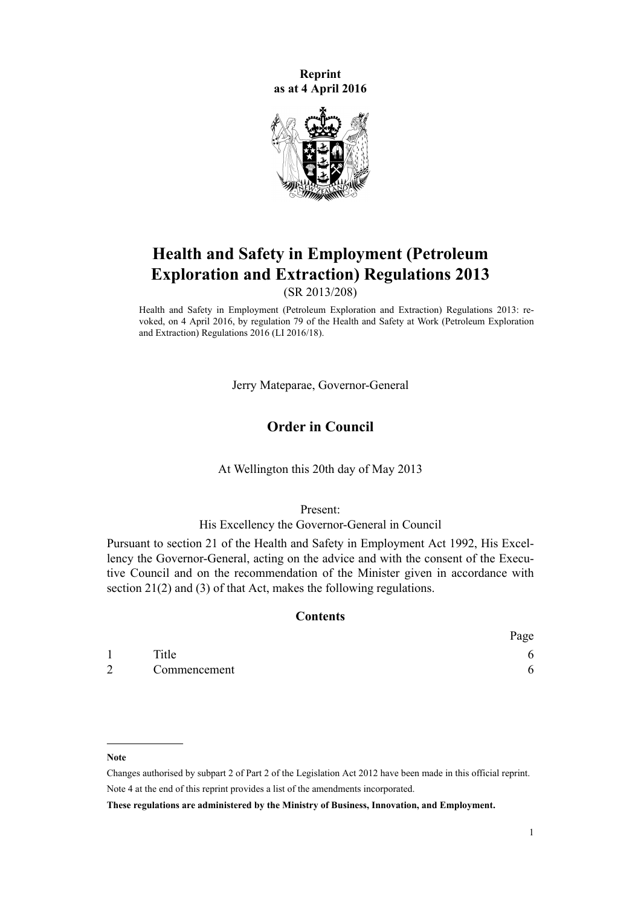**Reprint as at 4 April 2016**



# **Health and Safety in Employment (Petroleum Exploration and Extraction) Regulations 2013**

(SR 2013/208)

Health and Safety in Employment (Petroleum Exploration and Extraction) Regulations 2013: revoked, on 4 April 2016, by [regulation 79](http://prd-lgnz-nlb.prd.pco.net.nz/pdflink.aspx?id=DLM6728954) of the Health and Safety at Work (Petroleum Exploration and Extraction) Regulations 2016 (LI 2016/18).

Jerry Mateparae, Governor-General

# **Order in Council**

At Wellington this 20th day of May 2013

Present:

His Excellency the Governor-General in Council

Pursuant to [section 21](http://prd-lgnz-nlb.prd.pco.net.nz/pdflink.aspx?id=DLM279280) of the Health and Safety in Employment Act 1992, His Excellency the Governor-General, acting on the advice and with the consent of the Executive Council and on the recommendation of the Minister given in accordance with section 21(2) and (3) of that Act, makes the following regulations.

#### **Contents**

|   |              | Page |
|---|--------------|------|
|   | Title        |      |
| 2 | Commencement |      |

#### **Note**

Changes authorised by [subpart 2](http://prd-lgnz-nlb.prd.pco.net.nz/pdflink.aspx?id=DLM2998524) of Part 2 of the Legislation Act 2012 have been made in this official reprint. Note 4 at the end of this reprint provides a list of the amendments incorporated.

**These regulations are administered by the Ministry of Business, Innovation, and Employment.**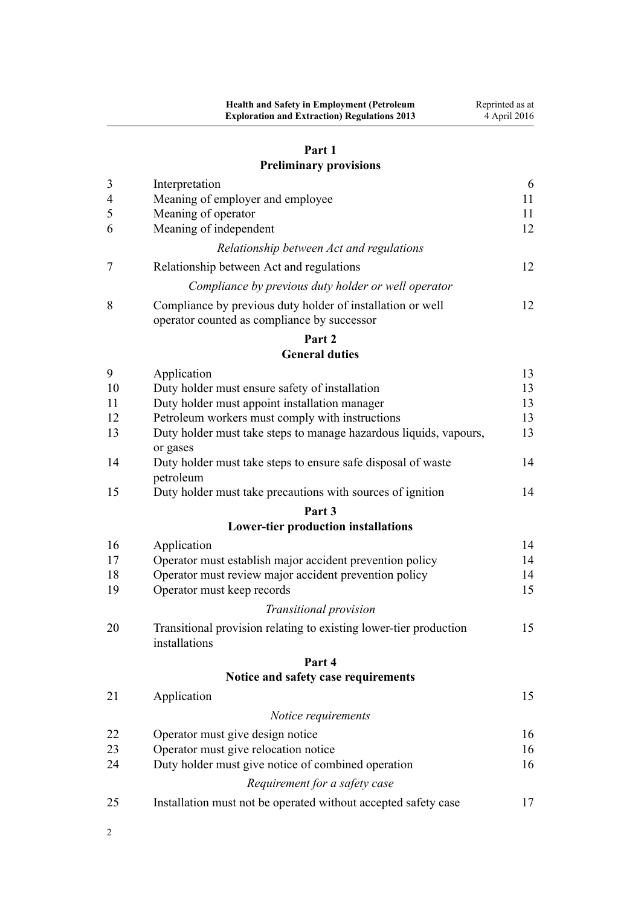# **[Part 1](#page-5-0) [Preliminary provisions](#page-5-0)**

# [3](#page-5-0) [Interpretation](#page-5-0) [6](#page-5-0) [4](#page-10-0) [Meaning of employer and employee](#page-10-0) [11](#page-10-0) [5](#page-10-0) [Meaning of operator](#page-10-0) [11](#page-10-0) [6](#page-11-0) [Meaning of independent](#page-11-0) [12](#page-11-0) *[Relationship between Act and regulations](#page-11-0)* [7](#page-11-0) [Relationship between Act and regulations](#page-11-0) [12](#page-11-0) *[Compliance by previous duty holder or well operator](#page-11-0)* [8](#page-11-0) [Compliance by previous duty holder of installation or well](#page-11-0) [operator counted as compliance by successor](#page-11-0) [12](#page-11-0) **[Part 2](#page-12-0) [General duties](#page-12-0)** [9](#page-12-0) [Application](#page-12-0) [13](#page-12-0) [10](#page-12-0) [Duty holder must ensure safety of installation](#page-12-0) [13](#page-12-0) [11](#page-12-0) [Duty holder must appoint installation manager](#page-12-0) [13](#page-12-0) [12](#page-12-0) [Petroleum workers must comply with instructions](#page-12-0) [13](#page-12-0) [13](#page-12-0) [Duty holder must take steps to manage hazardous liquids, vapours,](#page-12-0) [or gases](#page-12-0) [13](#page-12-0) [14](#page-13-0) [Duty holder must take steps to ensure safe disposal of waste](#page-13-0) [petroleum](#page-13-0) [14](#page-13-0) [15](#page-13-0) [Duty holder must take precautions with sources of ignition](#page-13-0) [14](#page-13-0) **[Part 3](#page-13-0) [Lower-tier production installations](#page-13-0)** [16](#page-13-0) [Application](#page-13-0) [14](#page-13-0) [17](#page-13-0) [Operator must establish major accident prevention policy](#page-13-0) [14](#page-13-0) [18](#page-13-0) [Operator must review major accident prevention policy](#page-13-0) [14](#page-13-0) [19](#page-14-0) [Operator must keep records](#page-14-0) [15](#page-14-0) *[Transitional provision](#page-14-0)* [20](#page-14-0) [Transitional provision relating to existing lower-tier production](#page-14-0) [installations](#page-14-0) [15](#page-14-0) **[Part 4](#page-14-0)**

# **[Notice and safety case requirements](#page-14-0)**

| 21 | Application                                                    | 15 |
|----|----------------------------------------------------------------|----|
|    | Notice requirements                                            |    |
| 22 | Operator must give design notice                               | 16 |
| 23 | Operator must give relocation notice                           | 16 |
| 24 | Duty holder must give notice of combined operation             | 16 |
|    | Requirement for a safety case                                  |    |
| 25 | Installation must not be operated without accepted safety case | 17 |

2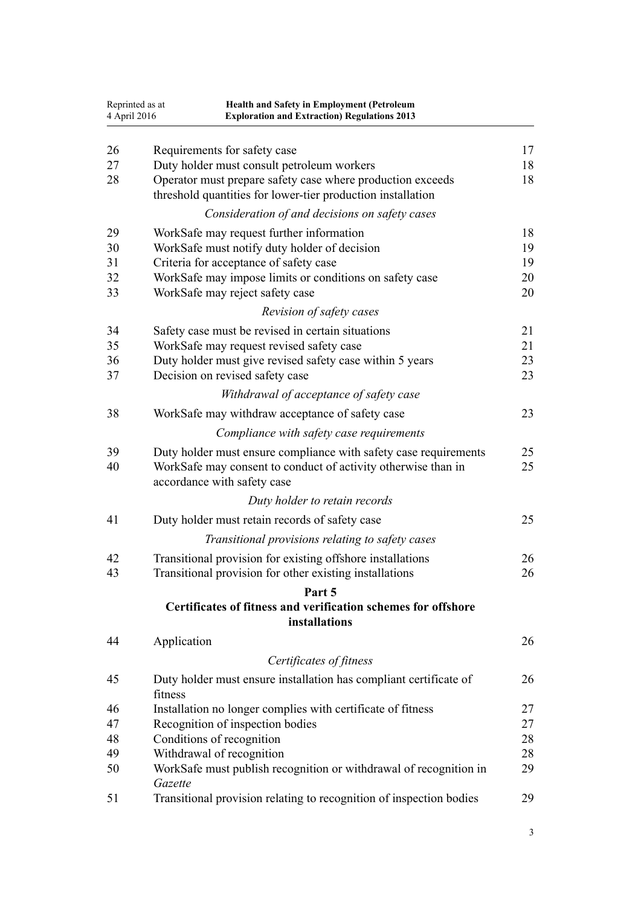| 4 April 2016 | Reprinted as at                                                                                                           | Health and Safety in Employment (Petroleum<br><b>Exploration and Extraction) Regulations 2013</b> |          |  |
|--------------|---------------------------------------------------------------------------------------------------------------------------|---------------------------------------------------------------------------------------------------|----------|--|
| 26           | Requirements for safety case                                                                                              |                                                                                                   | 17       |  |
| 27           | Duty holder must consult petroleum workers                                                                                |                                                                                                   | 18       |  |
| 28           | Operator must prepare safety case where production exceeds<br>threshold quantities for lower-tier production installation |                                                                                                   | 18       |  |
|              |                                                                                                                           | Consideration of and decisions on safety cases                                                    |          |  |
| 29           | WorkSafe may request further information                                                                                  |                                                                                                   | 18       |  |
| 30           | WorkSafe must notify duty holder of decision                                                                              |                                                                                                   | 19       |  |
| 31           | Criteria for acceptance of safety case                                                                                    |                                                                                                   | 19       |  |
| 32           | WorkSafe may impose limits or conditions on safety case                                                                   |                                                                                                   | 20       |  |
| 33           | WorkSafe may reject safety case                                                                                           |                                                                                                   | 20       |  |
|              |                                                                                                                           | Revision of safety cases                                                                          |          |  |
| 34           | Safety case must be revised in certain situations                                                                         |                                                                                                   | 21       |  |
| 35           | WorkSafe may request revised safety case                                                                                  |                                                                                                   | 21       |  |
| 36           | Duty holder must give revised safety case within 5 years                                                                  |                                                                                                   | 23       |  |
| 37           | Decision on revised safety case                                                                                           |                                                                                                   | 23       |  |
|              |                                                                                                                           | Withdrawal of acceptance of safety case                                                           |          |  |
| 38           | WorkSafe may withdraw acceptance of safety case                                                                           |                                                                                                   | 23       |  |
|              |                                                                                                                           | Compliance with safety case requirements                                                          |          |  |
| 39<br>40     | WorkSafe may consent to conduct of activity otherwise than in<br>accordance with safety case                              | Duty holder must ensure compliance with safety case requirements                                  | 25<br>25 |  |
|              |                                                                                                                           | Duty holder to retain records                                                                     |          |  |
| 41           | Duty holder must retain records of safety case                                                                            |                                                                                                   | 25       |  |
|              |                                                                                                                           | Transitional provisions relating to safety cases                                                  |          |  |
| 42           | Transitional provision for existing offshore installations                                                                |                                                                                                   | 26       |  |
| 43           | Transitional provision for other existing installations                                                                   |                                                                                                   | 26       |  |
|              |                                                                                                                           | Part 5                                                                                            |          |  |
|              |                                                                                                                           | Certificates of fitness and verification schemes for offshore<br>installations                    |          |  |
| 44           | Application                                                                                                               |                                                                                                   | 26       |  |
|              |                                                                                                                           | Certificates of fitness                                                                           |          |  |
| 45           | fitness                                                                                                                   | Duty holder must ensure installation has compliant certificate of                                 | 26       |  |
| 46           | Installation no longer complies with certificate of fitness                                                               |                                                                                                   | 27       |  |
| 47           | Recognition of inspection bodies                                                                                          |                                                                                                   | 27       |  |
| 48           | Conditions of recognition                                                                                                 |                                                                                                   | 28       |  |
| 49           | Withdrawal of recognition                                                                                                 |                                                                                                   | 28       |  |
| 50           | Gazette                                                                                                                   | WorkSafe must publish recognition or withdrawal of recognition in                                 | 29       |  |
| 51           |                                                                                                                           | Transitional provision relating to recognition of inspection bodies                               | 29       |  |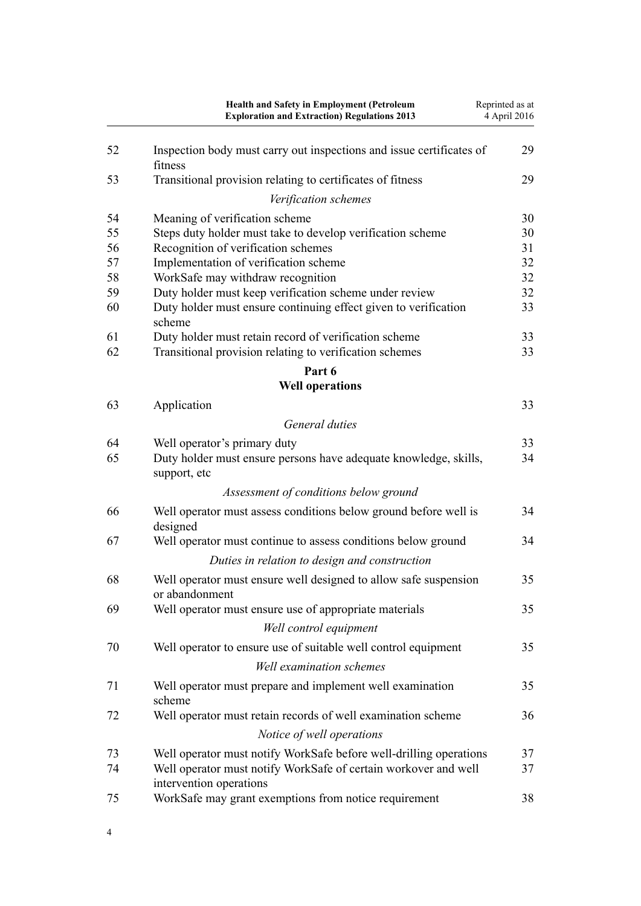|          | Health and Safety in Employment (Petroleum<br><b>Exploration and Extraction) Regulations 2013</b>                                     | Reprinted as at<br>4 April 2016 |
|----------|---------------------------------------------------------------------------------------------------------------------------------------|---------------------------------|
| 52       | Inspection body must carry out inspections and issue certificates of<br>fitness                                                       | 29                              |
| 53       | Transitional provision relating to certificates of fitness                                                                            | 29                              |
|          | Verification schemes                                                                                                                  |                                 |
| 54       | Meaning of verification scheme                                                                                                        | 30                              |
| 55       | Steps duty holder must take to develop verification scheme                                                                            | 30                              |
| 56       | Recognition of verification schemes                                                                                                   | 31                              |
| 57       | Implementation of verification scheme                                                                                                 | 32                              |
| 58       | WorkSafe may withdraw recognition                                                                                                     | 32                              |
| 59       | Duty holder must keep verification scheme under review                                                                                | 32                              |
| 60       | Duty holder must ensure continuing effect given to verification<br>scheme                                                             | 33                              |
| 61       | Duty holder must retain record of verification scheme                                                                                 | 33                              |
| 62       | Transitional provision relating to verification schemes                                                                               | 33                              |
|          | Part 6<br><b>Well operations</b>                                                                                                      |                                 |
| 63       |                                                                                                                                       | 33                              |
|          | Application                                                                                                                           |                                 |
|          | General duties                                                                                                                        |                                 |
| 64       | Well operator's primary duty                                                                                                          | 33                              |
| 65       | Duty holder must ensure persons have adequate knowledge, skills,<br>support, etc                                                      | 34                              |
|          | Assessment of conditions below ground                                                                                                 |                                 |
| 66       | Well operator must assess conditions below ground before well is<br>designed                                                          | 34                              |
| 67       | Well operator must continue to assess conditions below ground                                                                         | 34                              |
|          | Duties in relation to design and construction                                                                                         |                                 |
| 68       | Well operator must ensure well designed to allow safe suspension<br>or abandonment                                                    | 35                              |
| 69       | Well operator must ensure use of appropriate materials                                                                                | 35                              |
|          | Well control equipment                                                                                                                |                                 |
| 70       | Well operator to ensure use of suitable well control equipment                                                                        | 35                              |
|          | <b>Well examination schemes</b>                                                                                                       |                                 |
| 71       | Well operator must prepare and implement well examination<br>scheme                                                                   | 35                              |
| 72       | Well operator must retain records of well examination scheme                                                                          | 36                              |
|          | Notice of well operations                                                                                                             |                                 |
|          |                                                                                                                                       |                                 |
| 73<br>74 | Well operator must notify WorkSafe before well-drilling operations<br>Well operator must notify WorkSafe of certain workover and well | 37<br>37                        |
|          | intervention operations                                                                                                               |                                 |
| 75       | WorkSafe may grant exemptions from notice requirement                                                                                 | 38                              |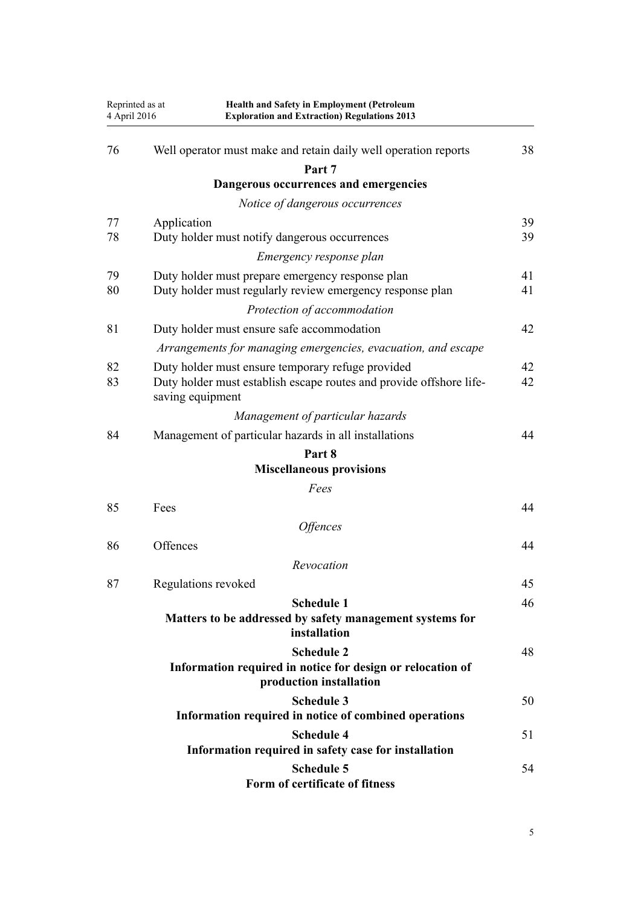| Reprinted as at<br>4 April 2016 | <b>Health and Safety in Employment (Petroleum</b><br><b>Exploration and Extraction) Regulations 2013</b>                                     |          |
|---------------------------------|----------------------------------------------------------------------------------------------------------------------------------------------|----------|
| 76                              | Well operator must make and retain daily well operation reports                                                                              | 38       |
|                                 | Part 7                                                                                                                                       |          |
|                                 | Dangerous occurrences and emergencies                                                                                                        |          |
|                                 | Notice of dangerous occurrences                                                                                                              |          |
| 77                              | Application                                                                                                                                  | 39       |
| 78                              | Duty holder must notify dangerous occurrences                                                                                                | 39       |
|                                 | Emergency response plan                                                                                                                      |          |
| 79<br>80                        | Duty holder must prepare emergency response plan<br>Duty holder must regularly review emergency response plan                                | 41<br>41 |
|                                 | Protection of accommodation                                                                                                                  |          |
| 81                              | Duty holder must ensure safe accommodation                                                                                                   | 42       |
|                                 | Arrangements for managing emergencies, evacuation, and escape                                                                                |          |
| 82<br>83                        | Duty holder must ensure temporary refuge provided<br>Duty holder must establish escape routes and provide offshore life-<br>saving equipment | 42<br>42 |
|                                 | Management of particular hazards                                                                                                             |          |
| 84                              | Management of particular hazards in all installations                                                                                        | 44       |
|                                 | Part 8<br><b>Miscellaneous provisions</b>                                                                                                    |          |
|                                 | Fees                                                                                                                                         |          |
| 85                              | Fees                                                                                                                                         | 44       |
|                                 | <i><b>Offences</b></i>                                                                                                                       |          |
| 86                              | Offences                                                                                                                                     | 44       |
|                                 | Revocation                                                                                                                                   |          |
| 87                              | Regulations revoked                                                                                                                          | 45       |
|                                 |                                                                                                                                              |          |
|                                 | <b>Schedule 1</b><br>Matters to be addressed by safety management systems for<br>installation                                                | 46       |
|                                 | <b>Schedule 2</b><br>Information required in notice for design or relocation of<br>production installation                                   | 48       |
|                                 | <b>Schedule 3</b>                                                                                                                            | 50       |
|                                 | Information required in notice of combined operations                                                                                        |          |
|                                 | <b>Schedule 4</b><br>Information required in safety case for installation                                                                    | 51       |
|                                 | <b>Schedule 5</b><br>Form of certificate of fitness                                                                                          | 54       |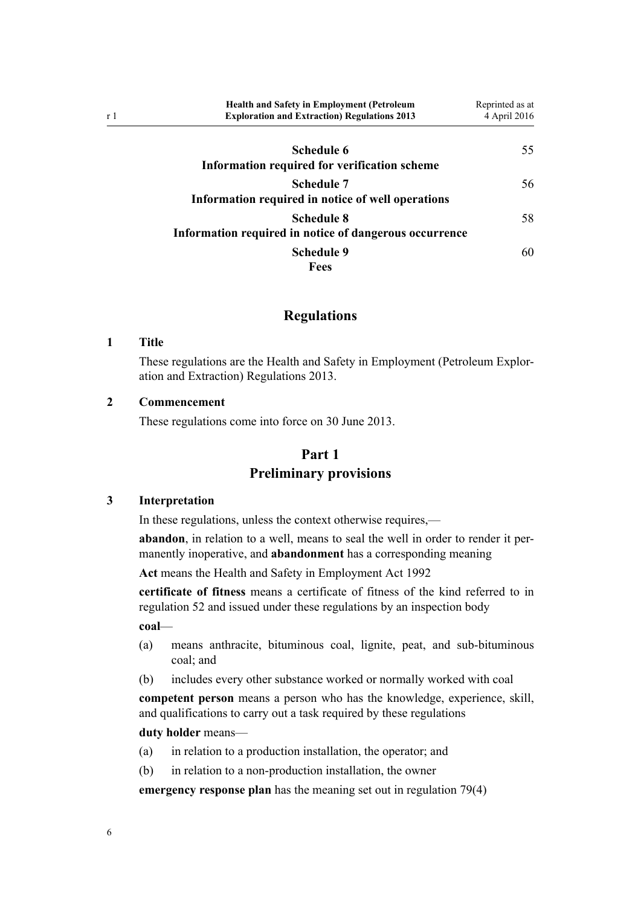<span id="page-5-0"></span>

| <b>Health and Safety in Employment (Petroleum</b><br><b>Exploration and Extraction Regulations 2013</b> | Reprinted as at<br>4 April 2016 |
|---------------------------------------------------------------------------------------------------------|---------------------------------|
| Schedule 6<br>Information required for verification scheme                                              | 55                              |
| <b>Schedule 7</b><br>Information required in notice of well operations                                  | 56                              |
| <b>Schedule 8</b><br>Information required in notice of dangerous occurrence                             | 58                              |
| <b>Schedule 9</b><br><b>Fees</b>                                                                        | 60                              |

# **Regulations**

#### **1 Title**

These regulations are the Health and Safety in Employment (Petroleum Exploration and Extraction) Regulations 2013.

#### **2 Commencement**

These regulations come into force on 30 June 2013.

# **Part 1**

# **Preliminary provisions**

## **3 Interpretation**

In these regulations, unless the context otherwise requires,—

**abandon**, in relation to a well, means to seal the well in order to render it permanently inoperative, and **abandonment** has a corresponding meaning

**Act** means the [Health and Safety in Employment Act 1992](http://prd-lgnz-nlb.prd.pco.net.nz/pdflink.aspx?id=DLM278828)

**certificate of fitness** means a certificate of fitness of the kind referred to in [regulation 52](#page-28-0) and issued under these regulations by an inspection body

**coal**—

- (a) means anthracite, bituminous coal, lignite, peat, and sub-bituminous coal; and
- (b) includes every other substance worked or normally worked with coal

**competent person** means a person who has the knowledge, experience, skill, and qualifications to carry out a task required by these regulations

#### **duty holder** means—

- (a) in relation to a production installation, the operator; and
- (b) in relation to a non-production installation, the owner

**emergency response plan** has the meaning set out in [regulation 79\(4\)](#page-40-0)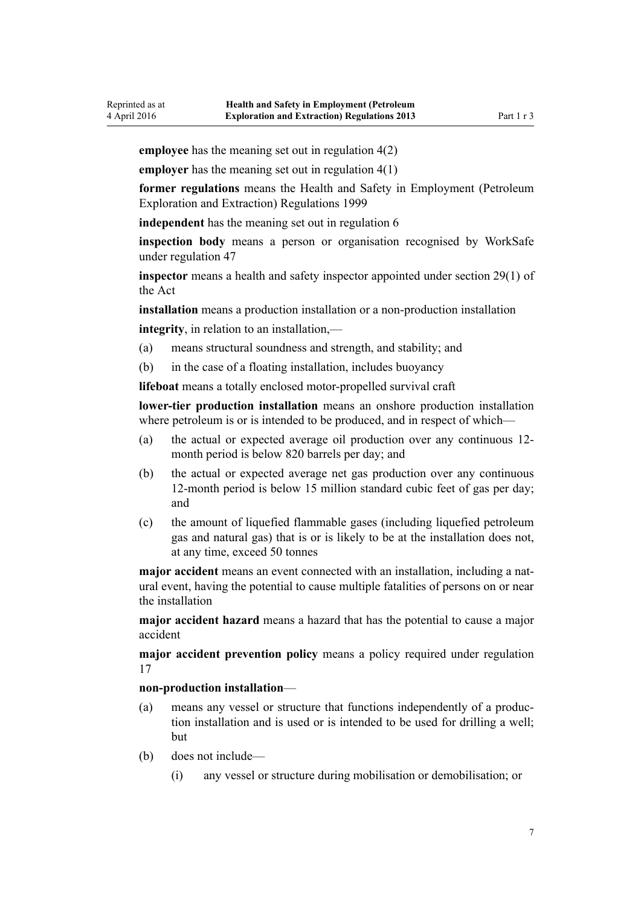**employee** has the meaning set out in [regulation 4\(2\)](#page-10-0)

**employer** has the meaning set out in [regulation 4\(1\)](#page-10-0)

**former regulations** means the [Health and Safety in Employment \(Petroleum](http://prd-lgnz-nlb.prd.pco.net.nz/pdflink.aspx?id=DLM298206) [Exploration and Extraction\) Regulations 1999](http://prd-lgnz-nlb.prd.pco.net.nz/pdflink.aspx?id=DLM298206)

**independent** has the meaning set out in [regulation 6](#page-11-0)

**inspection body** means a person or organisation recognised by WorkSafe under [regulation 47](#page-26-0)

**inspector** means a health and safety inspector appointed under [section 29\(1\)](http://prd-lgnz-nlb.prd.pco.net.nz/pdflink.aspx?id=DLM279613) of the Act

**installation** means a production installation or a non-production installation

**integrity**, in relation to an installation,—

- (a) means structural soundness and strength, and stability; and
- (b) in the case of a floating installation, includes buoyancy

**lifeboat** means a totally enclosed motor-propelled survival craft

**lower-tier production installation** means an onshore production installation where petroleum is or is intended to be produced, and in respect of which-

- (a) the actual or expected average oil production over any continuous 12 month period is below 820 barrels per day; and
- (b) the actual or expected average net gas production over any continuous 12-month period is below 15 million standard cubic feet of gas per day; and
- (c) the amount of liquefied flammable gases (including liquefied petroleum gas and natural gas) that is or is likely to be at the installation does not, at any time, exceed 50 tonnes

**major accident** means an event connected with an installation, including a natural event, having the potential to cause multiple fatalities of persons on or near the installation

**major accident hazard** means a hazard that has the potential to cause a major accident

**major accident prevention policy** means a policy required under [regulation](#page-13-0) [17](#page-13-0)

#### **non-production installation**—

- (a) means any vessel or structure that functions independently of a production installation and is used or is intended to be used for drilling a well; but
- (b) does not include—
	- (i) any vessel or structure during mobilisation or demobilisation; or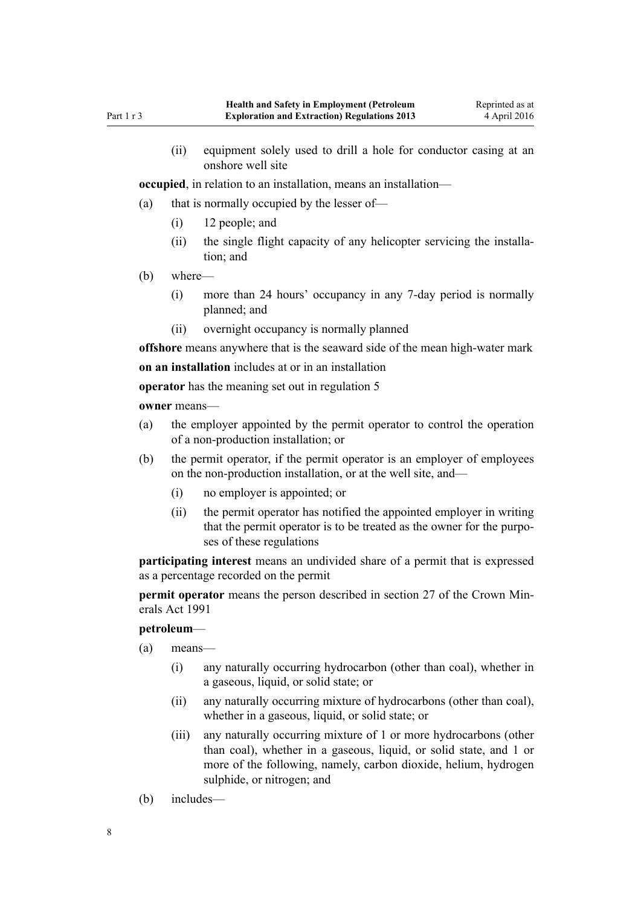(ii) equipment solely used to drill a hole for conductor casing at an onshore well site

**occupied**, in relation to an installation, means an installation—

- (a) that is normally occupied by the lesser of—
	- (i) 12 people; and
	- (ii) the single flight capacity of any helicopter servicing the installation; and
- (b) where—
	- (i) more than 24 hours' occupancy in any 7-day period is normally planned; and
	- (ii) overnight occupancy is normally planned

**offshore** means anywhere that is the seaward side of the mean high-water mark

**on an installation** includes at or in an installation

**operator** has the meaning set out in [regulation 5](#page-10-0)

**owner** means—

- (a) the employer appointed by the permit operator to control the operation of a non-production installation; or
- (b) the permit operator, if the permit operator is an employer of employees on the non-production installation, or at the well site, and—
	- (i) no employer is appointed; or
	- (ii) the permit operator has notified the appointed employer in writing that the permit operator is to be treated as the owner for the purposes of these regulations

**participating interest** means an undivided share of a permit that is expressed as a percentage recorded on the permit

**permit operator** means the person described in [section 27](http://prd-lgnz-nlb.prd.pco.net.nz/pdflink.aspx?id=DLM246334) of the Crown Minerals Act 1991

#### **petroleum**—

- (a) means—
	- (i) any naturally occurring hydrocarbon (other than coal), whether in a gaseous, liquid, or solid state; or
	- (ii) any naturally occurring mixture of hydrocarbons (other than coal), whether in a gaseous, liquid, or solid state; or
	- (iii) any naturally occurring mixture of 1 or more hydrocarbons (other than coal), whether in a gaseous, liquid, or solid state, and 1 or more of the following, namely, carbon dioxide, helium, hydrogen sulphide, or nitrogen; and
- (b) includes—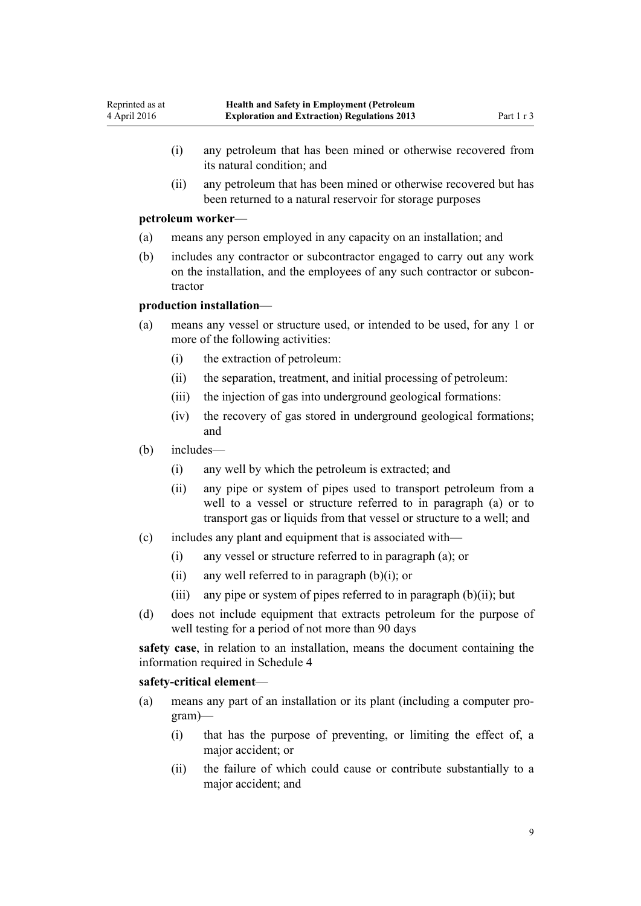- (i) any petroleum that has been mined or otherwise recovered from its natural condition; and
- (ii) any petroleum that has been mined or otherwise recovered but has been returned to a natural reservoir for storage purposes

#### **petroleum worker**—

- (a) means any person employed in any capacity on an installation; and
- (b) includes any contractor or subcontractor engaged to carry out any work on the installation, and the employees of any such contractor or subcontractor

# **production installation**—

- (a) means any vessel or structure used, or intended to be used, for any 1 or more of the following activities:
	- (i) the extraction of petroleum:
	- (ii) the separation, treatment, and initial processing of petroleum:
	- (iii) the injection of gas into underground geological formations:
	- (iv) the recovery of gas stored in underground geological formations; and
- (b) includes—
	- (i) any well by which the petroleum is extracted; and
	- (ii) any pipe or system of pipes used to transport petroleum from a well to a vessel or structure referred to in paragraph (a) or to transport gas or liquids from that vessel or structure to a well; and
- (c) includes any plant and equipment that is associated with—
	- (i) any vessel or structure referred to in paragraph (a); or
	- (ii) any well referred to in paragraph  $(b)(i)$ ; or
	- (iii) any pipe or system of pipes referred to in paragraph  $(b)(ii)$ ; but
- (d) does not include equipment that extracts petroleum for the purpose of well testing for a period of not more than 90 days

**safety case**, in relation to an installation, means the document containing the information required in [Schedule 4](#page-50-0)

#### **safety-critical element**—

- (a) means any part of an installation or its plant (including a computer program)—
	- (i) that has the purpose of preventing, or limiting the effect of, a major accident; or
	- (ii) the failure of which could cause or contribute substantially to a major accident; and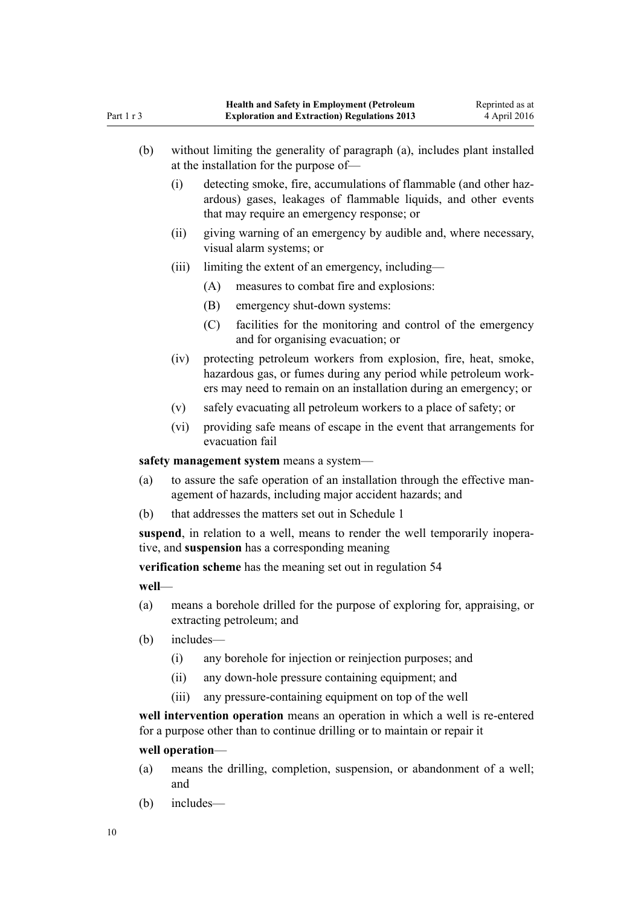| (b)   |                                                                                                                                         | without limiting the generality of paragraph (a), includes plant installed<br>at the installation for the purpose of-                                                                                   |  |
|-------|-----------------------------------------------------------------------------------------------------------------------------------------|---------------------------------------------------------------------------------------------------------------------------------------------------------------------------------------------------------|--|
|       | (i)                                                                                                                                     | detecting smoke, fire, accumulations of flammable (and other haz-<br>ardous) gases, leakages of flammable liquids, and other events<br>that may require an emergency response; or                       |  |
|       | (ii)                                                                                                                                    | giving warning of an emergency by audible and, where necessary,<br>visual alarm systems; or                                                                                                             |  |
|       | (iii)                                                                                                                                   | limiting the extent of an emergency, including—                                                                                                                                                         |  |
|       |                                                                                                                                         | measures to combat fire and explosions:<br>(A)                                                                                                                                                          |  |
|       |                                                                                                                                         | (B)<br>emergency shut-down systems:                                                                                                                                                                     |  |
|       |                                                                                                                                         | (C)<br>facilities for the monitoring and control of the emergency<br>and for organising evacuation; or                                                                                                  |  |
|       | (iv)                                                                                                                                    | protecting petroleum workers from explosion, fire, heat, smoke,<br>hazardous gas, or fumes during any period while petroleum work-<br>ers may need to remain on an installation during an emergency; or |  |
|       | (v)                                                                                                                                     | safely evacuating all petroleum workers to a place of safety; or                                                                                                                                        |  |
|       | (vi)                                                                                                                                    | providing safe means of escape in the event that arrangements for<br>evacuation fail                                                                                                                    |  |
|       |                                                                                                                                         | safety management system means a system—                                                                                                                                                                |  |
| (a)   | to assure the safe operation of an installation through the effective man-<br>agement of hazards, including major accident hazards; and |                                                                                                                                                                                                         |  |
| (b)   | that addresses the matters set out in Schedule 1                                                                                        |                                                                                                                                                                                                         |  |
|       |                                                                                                                                         | suspend, in relation to a well, means to render the well temporarily inopera-<br>tive, and suspension has a corresponding meaning                                                                       |  |
|       |                                                                                                                                         | verification scheme has the meaning set out in regulation 54                                                                                                                                            |  |
| well- |                                                                                                                                         |                                                                                                                                                                                                         |  |
| (a)   |                                                                                                                                         | means a borehole drilled for the purpose of exploring for, appraising, or<br>extracting petroleum; and                                                                                                  |  |

- (b) includes—
	- (i) any borehole for injection or reinjection purposes; and
	- (ii) any down-hole pressure containing equipment; and
	- (iii) any pressure-containing equipment on top of the well

**well intervention operation** means an operation in which a well is re-entered for a purpose other than to continue drilling or to maintain or repair it

# **well operation**—

- (a) means the drilling, completion, suspension, or abandonment of a well; and
- (b) includes—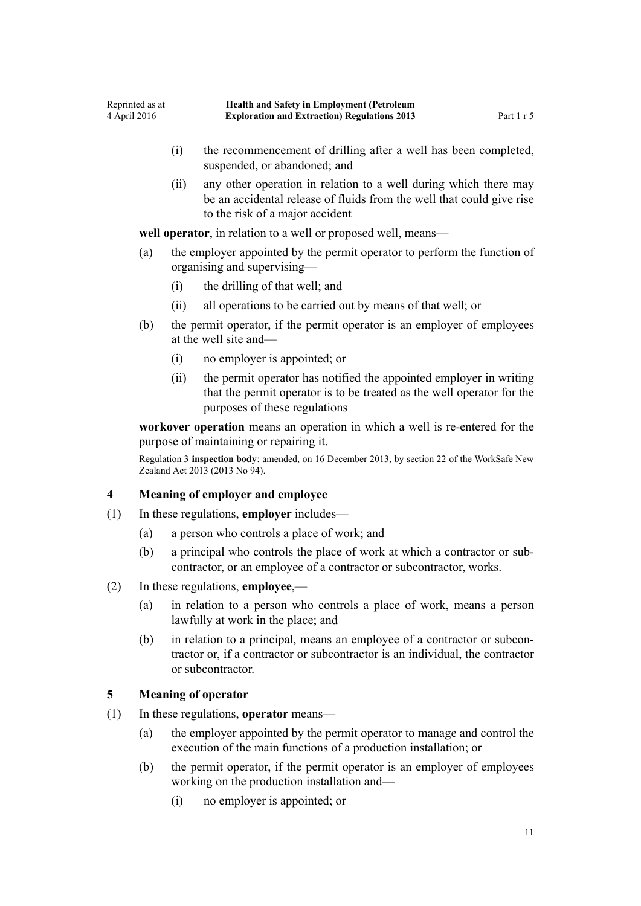- <span id="page-10-0"></span>(i) the recommencement of drilling after a well has been completed, suspended, or abandoned; and
- (ii) any other operation in relation to a well during which there may be an accidental release of fluids from the well that could give rise to the risk of a major accident

**well operator**, in relation to a well or proposed well, means—

- (a) the employer appointed by the permit operator to perform the function of organising and supervising—
	- (i) the drilling of that well; and
	- (ii) all operations to be carried out by means of that well; or
- (b) the permit operator, if the permit operator is an employer of employees at the well site and—
	- (i) no employer is appointed; or
	- (ii) the permit operator has notified the appointed employer in writing that the permit operator is to be treated as the well operator for the purposes of these regulations

**workover operation** means an operation in which a well is re-entered for the purpose of maintaining or repairing it.

Regulation 3 **inspection body**: amended, on 16 December 2013, by [section 22](http://prd-lgnz-nlb.prd.pco.net.nz/pdflink.aspx?id=DLM5302071) of the WorkSafe New Zealand Act 2013 (2013 No 94).

# **4 Meaning of employer and employee**

- (1) In these regulations, **employer** includes—
	- (a) a person who controls a place of work; and
	- (b) a principal who controls the place of work at which a contractor or subcontractor, or an employee of a contractor or subcontractor, works.
- (2) In these regulations, **employee**,—
	- (a) in relation to a person who controls a place of work, means a person lawfully at work in the place; and
	- (b) in relation to a principal, means an employee of a contractor or subcontractor or, if a contractor or subcontractor is an individual, the contractor or subcontractor.

# **5 Meaning of operator**

- (1) In these regulations, **operator** means—
	- (a) the employer appointed by the permit operator to manage and control the execution of the main functions of a production installation; or
	- (b) the permit operator, if the permit operator is an employer of employees working on the production installation and—
		- (i) no employer is appointed; or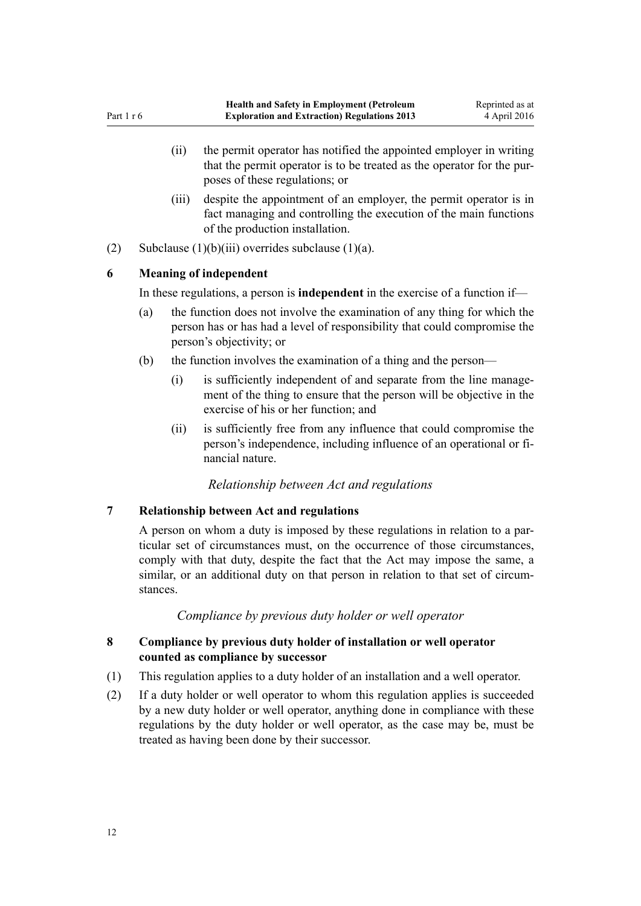- <span id="page-11-0"></span>(ii) the permit operator has notified the appointed employer in writing that the permit operator is to be treated as the operator for the purposes of these regulations; or
- (iii) despite the appointment of an employer, the permit operator is in fact managing and controlling the execution of the main functions of the production installation.
- (2) Subclause  $(1)(b)(iii)$  overrides subclause  $(1)(a)$ .

# **6 Meaning of independent**

In these regulations, a person is **independent** in the exercise of a function if—

- (a) the function does not involve the examination of any thing for which the person has or has had a level of responsibility that could compromise the person's objectivity; or
- (b) the function involves the examination of a thing and the person—
	- (i) is sufficiently independent of and separate from the line management of the thing to ensure that the person will be objective in the exercise of his or her function; and
	- (ii) is sufficiently free from any influence that could compromise the person's independence, including influence of an operational or financial nature.

# *Relationship between Act and regulations*

# **7 Relationship between Act and regulations**

A person on whom a duty is imposed by these regulations in relation to a particular set of circumstances must, on the occurrence of those circumstances, comply with that duty, despite the fact that the Act may impose the same, a similar, or an additional duty on that person in relation to that set of circumstances.

# *Compliance by previous duty holder or well operator*

# **8 Compliance by previous duty holder of installation or well operator counted as compliance by successor**

- (1) This regulation applies to a duty holder of an installation and a well operator.
- (2) If a duty holder or well operator to whom this regulation applies is succeeded by a new duty holder or well operator, anything done in compliance with these regulations by the duty holder or well operator, as the case may be, must be treated as having been done by their successor.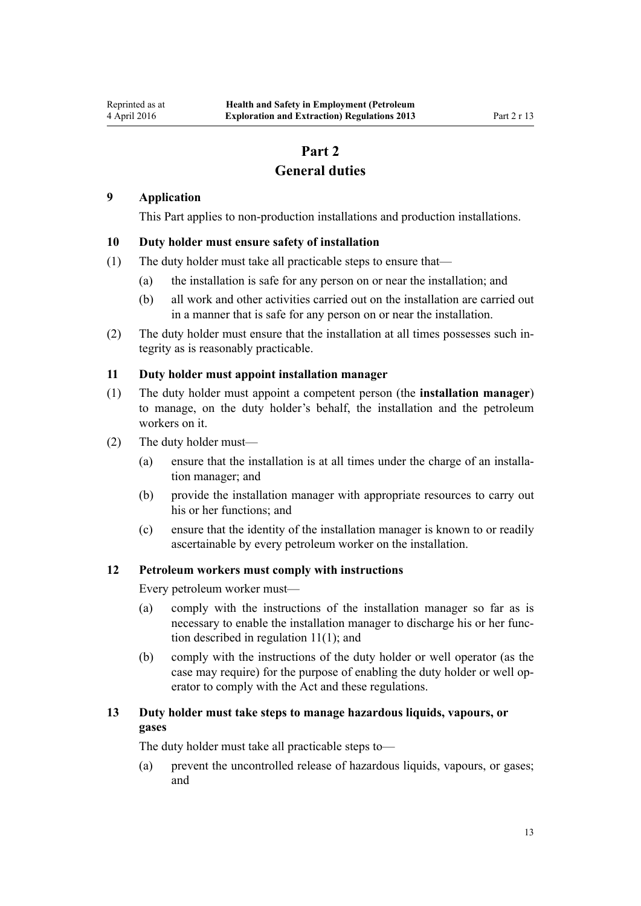# **Part 2 General duties**

#### <span id="page-12-0"></span>**9 Application**

This Part applies to non-production installations and production installations.

### **10 Duty holder must ensure safety of installation**

- (1) The duty holder must take all practicable steps to ensure that—
	- (a) the installation is safe for any person on or near the installation; and
	- (b) all work and other activities carried out on the installation are carried out in a manner that is safe for any person on or near the installation.
- (2) The duty holder must ensure that the installation at all times possesses such integrity as is reasonably practicable.

#### **11 Duty holder must appoint installation manager**

- (1) The duty holder must appoint a competent person (the **installation manager**) to manage, on the duty holder's behalf, the installation and the petroleum workers on it.
- (2) The duty holder must—
	- (a) ensure that the installation is at all times under the charge of an installation manager; and
	- (b) provide the installation manager with appropriate resources to carry out his or her functions; and
	- (c) ensure that the identity of the installation manager is known to or readily ascertainable by every petroleum worker on the installation.

#### **12 Petroleum workers must comply with instructions**

Every petroleum worker must—

- (a) comply with the instructions of the installation manager so far as is necessary to enable the installation manager to discharge his or her function described in regulation 11(1); and
- (b) comply with the instructions of the duty holder or well operator (as the case may require) for the purpose of enabling the duty holder or well operator to comply with the Act and these regulations.

# **13 Duty holder must take steps to manage hazardous liquids, vapours, or gases**

The duty holder must take all practicable steps to—

(a) prevent the uncontrolled release of hazardous liquids, vapours, or gases; and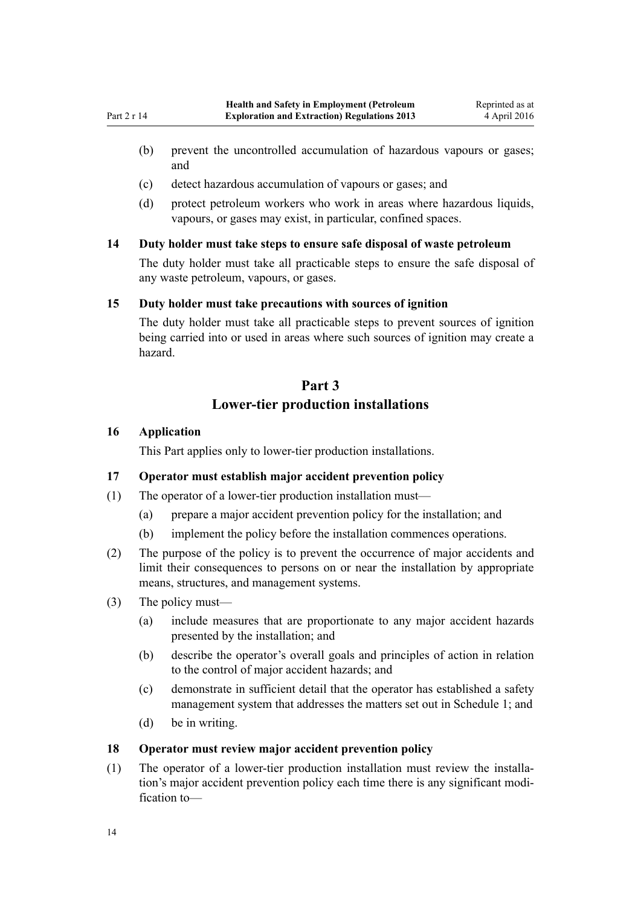- <span id="page-13-0"></span>(b) prevent the uncontrolled accumulation of hazardous vapours or gases; and
- (c) detect hazardous accumulation of vapours or gases; and
- (d) protect petroleum workers who work in areas where hazardous liquids, vapours, or gases may exist, in particular, confined spaces.

# **14 Duty holder must take steps to ensure safe disposal of waste petroleum**

The duty holder must take all practicable steps to ensure the safe disposal of any waste petroleum, vapours, or gases.

#### **15 Duty holder must take precautions with sources of ignition**

The duty holder must take all practicable steps to prevent sources of ignition being carried into or used in areas where such sources of ignition may create a hazard.

# **Part 3 Lower-tier production installations**

# **16 Application**

This Part applies only to lower-tier production installations.

# **17 Operator must establish major accident prevention policy**

- (1) The operator of a lower-tier production installation must—
	- (a) prepare a major accident prevention policy for the installation; and
	- (b) implement the policy before the installation commences operations.
- (2) The purpose of the policy is to prevent the occurrence of major accidents and limit their consequences to persons on or near the installation by appropriate means, structures, and management systems.
- (3) The policy must—
	- (a) include measures that are proportionate to any major accident hazards presented by the installation; and
	- (b) describe the operator's overall goals and principles of action in relation to the control of major accident hazards; and
	- (c) demonstrate in sufficient detail that the operator has established a safety management system that addresses the matters set out in [Schedule 1](#page-45-0); and
	- (d) be in writing.

#### **18 Operator must review major accident prevention policy**

(1) The operator of a lower-tier production installation must review the installation's major accident prevention policy each time there is any significant modification to—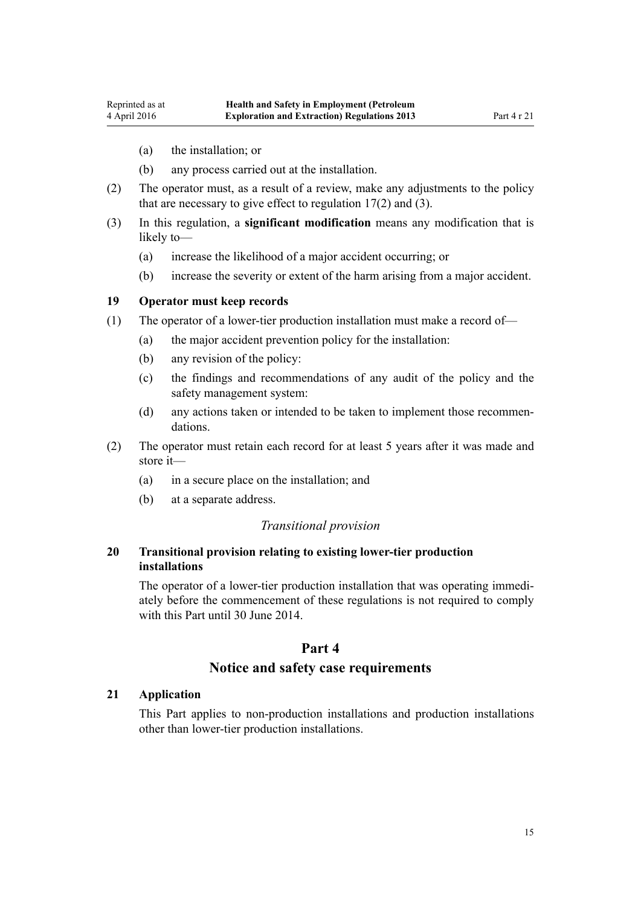- <span id="page-14-0"></span>(a) the installation; or
- (b) any process carried out at the installation.
- (2) The operator must, as a result of a review, make any adjustments to the policy that are necessary to give effect to regulation  $17(2)$  and  $(3)$ .
- (3) In this regulation, a **significant modification** means any modification that is likely to—
	- (a) increase the likelihood of a major accident occurring; or
	- (b) increase the severity or extent of the harm arising from a major accident.

#### **19 Operator must keep records**

- (1) The operator of a lower-tier production installation must make a record of—
	- (a) the major accident prevention policy for the installation:
	- (b) any revision of the policy:
	- (c) the findings and recommendations of any audit of the policy and the safety management system:
	- (d) any actions taken or intended to be taken to implement those recommendations.
- (2) The operator must retain each record for at least 5 years after it was made and store it—
	- (a) in a secure place on the installation; and
	- (b) at a separate address.

#### *Transitional provision*

# **20 Transitional provision relating to existing lower-tier production installations**

The operator of a lower-tier production installation that was operating immediately before the commencement of these regulations is not required to comply with this Part until 30 June 2014.

# **Part 4**

### **Notice and safety case requirements**

#### **21 Application**

This Part applies to non-production installations and production installations other than lower-tier production installations.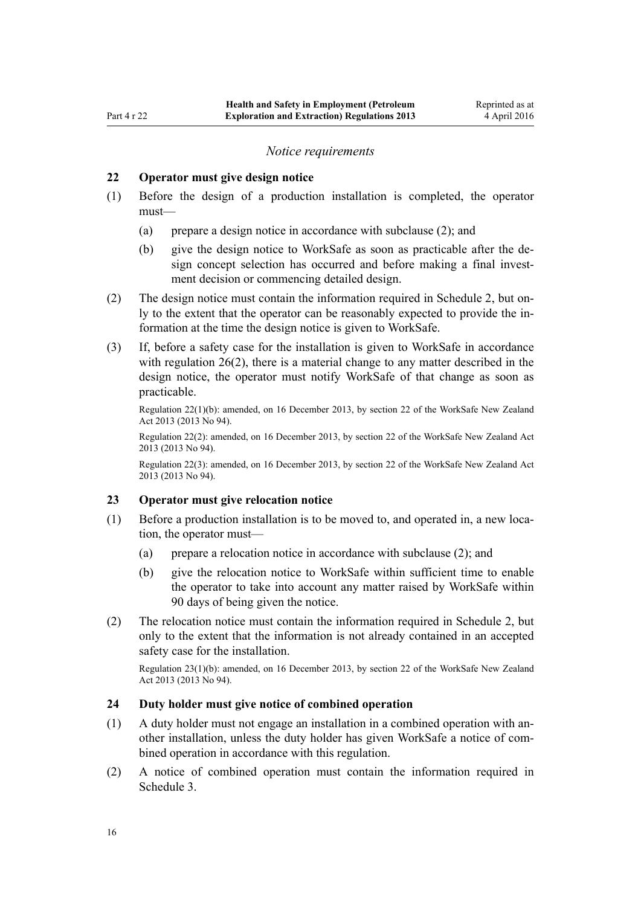#### *Notice requirements*

#### <span id="page-15-0"></span>**22 Operator must give design notice**

- (1) Before the design of a production installation is completed, the operator must—
	- (a) prepare a design notice in accordance with subclause (2); and
	- (b) give the design notice to WorkSafe as soon as practicable after the design concept selection has occurred and before making a final investment decision or commencing detailed design.
- (2) The design notice must contain the information required in [Schedule 2,](#page-47-0) but only to the extent that the operator can be reasonably expected to provide the information at the time the design notice is given to WorkSafe.
- (3) If, before a safety case for the installation is given to WorkSafe in accordance with [regulation 26\(2\),](#page-16-0) there is a material change to any matter described in the design notice, the operator must notify WorkSafe of that change as soon as practicable.

Regulation 22(1)(b): amended, on 16 December 2013, by [section 22](http://prd-lgnz-nlb.prd.pco.net.nz/pdflink.aspx?id=DLM5302071) of the WorkSafe New Zealand Act 2013 (2013 No 94).

Regulation 22(2): amended, on 16 December 2013, by [section 22](http://prd-lgnz-nlb.prd.pco.net.nz/pdflink.aspx?id=DLM5302071) of the WorkSafe New Zealand Act 2013 (2013 No 94).

Regulation 22(3): amended, on 16 December 2013, by [section 22](http://prd-lgnz-nlb.prd.pco.net.nz/pdflink.aspx?id=DLM5302071) of the WorkSafe New Zealand Act 2013 (2013 No 94).

#### **23 Operator must give relocation notice**

- (1) Before a production installation is to be moved to, and operated in, a new location, the operator must—
	- (a) prepare a relocation notice in accordance with subclause (2); and
	- (b) give the relocation notice to WorkSafe within sufficient time to enable the operator to take into account any matter raised by WorkSafe within 90 days of being given the notice.
- (2) The relocation notice must contain the information required in [Schedule 2](#page-47-0), but only to the extent that the information is not already contained in an accepted safety case for the installation.

Regulation 23(1)(b): amended, on 16 December 2013, by [section 22](http://prd-lgnz-nlb.prd.pco.net.nz/pdflink.aspx?id=DLM5302071) of the WorkSafe New Zealand Act 2013 (2013 No 94).

### **24 Duty holder must give notice of combined operation**

- (1) A duty holder must not engage an installation in a combined operation with another installation, unless the duty holder has given WorkSafe a notice of combined operation in accordance with this regulation.
- (2) A notice of combined operation must contain the information required in [Schedule 3.](#page-49-0)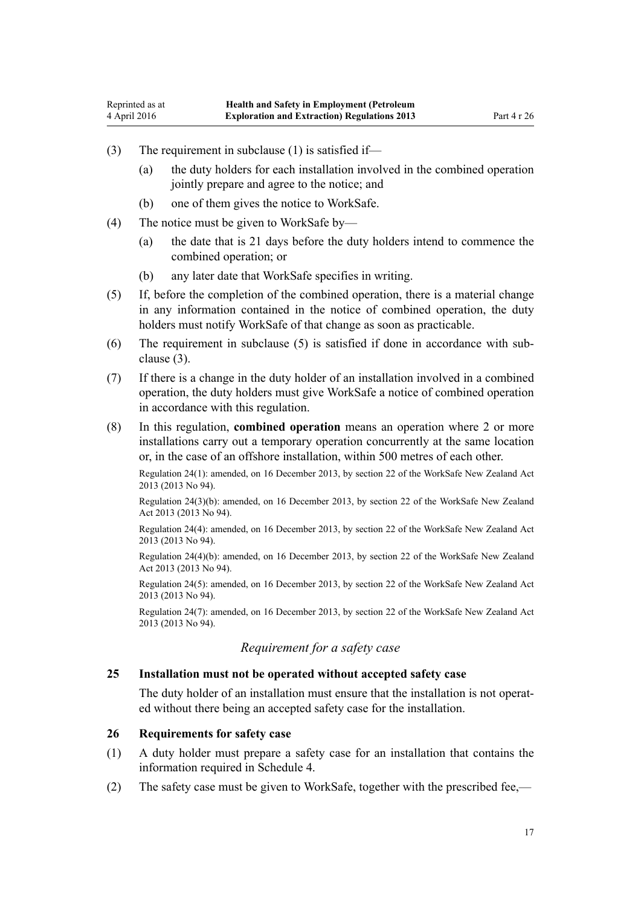- <span id="page-16-0"></span>(3) The requirement in subclause (1) is satisfied if—
	- (a) the duty holders for each installation involved in the combined operation jointly prepare and agree to the notice; and
	- (b) one of them gives the notice to WorkSafe.
- (4) The notice must be given to WorkSafe by—
	- (a) the date that is 21 days before the duty holders intend to commence the combined operation; or
	- (b) any later date that WorkSafe specifies in writing.
- (5) If, before the completion of the combined operation, there is a material change in any information contained in the notice of combined operation, the duty holders must notify WorkSafe of that change as soon as practicable.
- (6) The requirement in subclause (5) is satisfied if done in accordance with subclause (3).
- (7) If there is a change in the duty holder of an installation involved in a combined operation, the duty holders must give WorkSafe a notice of combined operation in accordance with this regulation.
- (8) In this regulation, **combined operation** means an operation where 2 or more installations carry out a temporary operation concurrently at the same location or, in the case of an offshore installation, within 500 metres of each other.

Regulation 24(1): amended, on 16 December 2013, by [section 22](http://prd-lgnz-nlb.prd.pco.net.nz/pdflink.aspx?id=DLM5302071) of the WorkSafe New Zealand Act 2013 (2013 No 94).

Regulation 24(3)(b): amended, on 16 December 2013, by [section 22](http://prd-lgnz-nlb.prd.pco.net.nz/pdflink.aspx?id=DLM5302071) of the WorkSafe New Zealand Act 2013 (2013 No 94).

Regulation 24(4): amended, on 16 December 2013, by [section 22](http://prd-lgnz-nlb.prd.pco.net.nz/pdflink.aspx?id=DLM5302071) of the WorkSafe New Zealand Act 2013 (2013 No 94).

Regulation 24(4)(b): amended, on 16 December 2013, by [section 22](http://prd-lgnz-nlb.prd.pco.net.nz/pdflink.aspx?id=DLM5302071) of the WorkSafe New Zealand Act 2013 (2013 No 94).

Regulation 24(5): amended, on 16 December 2013, by [section 22](http://prd-lgnz-nlb.prd.pco.net.nz/pdflink.aspx?id=DLM5302071) of the WorkSafe New Zealand Act 2013 (2013 No 94).

Regulation 24(7): amended, on 16 December 2013, by [section 22](http://prd-lgnz-nlb.prd.pco.net.nz/pdflink.aspx?id=DLM5302071) of the WorkSafe New Zealand Act 2013 (2013 No 94).

# *Requirement for a safety case*

#### **25 Installation must not be operated without accepted safety case**

The duty holder of an installation must ensure that the installation is not operated without there being an accepted safety case for the installation.

#### **26 Requirements for safety case**

- (1) A duty holder must prepare a safety case for an installation that contains the information required in [Schedule 4](#page-50-0).
- (2) The safety case must be given to WorkSafe, together with the prescribed fee,—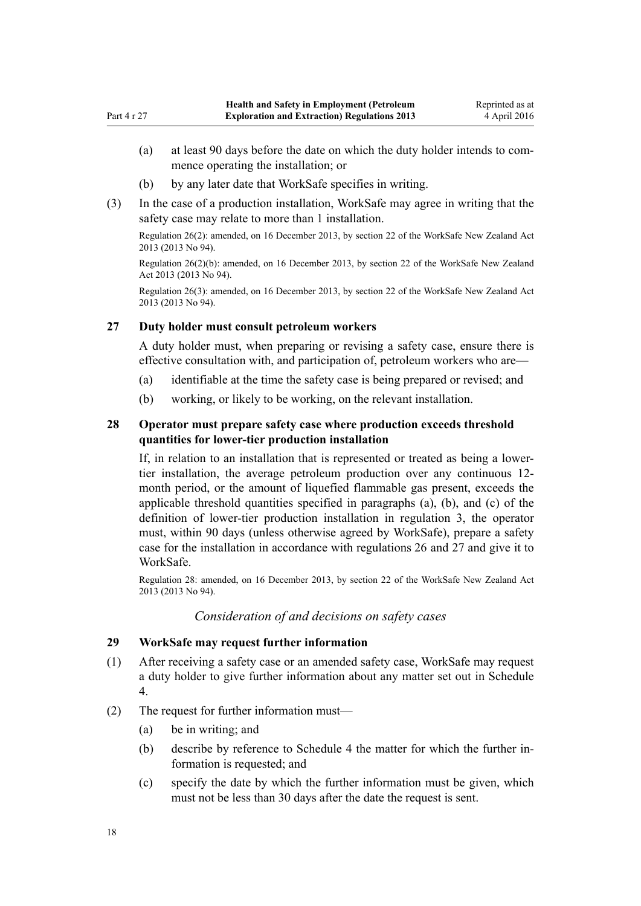- <span id="page-17-0"></span>(a) at least 90 days before the date on which the duty holder intends to commence operating the installation; or
- (b) by any later date that WorkSafe specifies in writing.
- (3) In the case of a production installation, WorkSafe may agree in writing that the safety case may relate to more than 1 installation.

Regulation 26(2): amended, on 16 December 2013, by [section 22](http://prd-lgnz-nlb.prd.pco.net.nz/pdflink.aspx?id=DLM5302071) of the WorkSafe New Zealand Act 2013 (2013 No 94).

Regulation 26(2)(b): amended, on 16 December 2013, by [section 22](http://prd-lgnz-nlb.prd.pco.net.nz/pdflink.aspx?id=DLM5302071) of the WorkSafe New Zealand Act 2013 (2013 No 94).

Regulation 26(3): amended, on 16 December 2013, by [section 22](http://prd-lgnz-nlb.prd.pco.net.nz/pdflink.aspx?id=DLM5302071) of the WorkSafe New Zealand Act 2013 (2013 No 94).

# **27 Duty holder must consult petroleum workers**

A duty holder must, when preparing or revising a safety case, ensure there is effective consultation with, and participation of, petroleum workers who are—

- (a) identifiable at the time the safety case is being prepared or revised; and
- (b) working, or likely to be working, on the relevant installation.

# **28 Operator must prepare safety case where production exceeds threshold quantities for lower-tier production installation**

If, in relation to an installation that is represented or treated as being a lowertier installation, the average petroleum production over any continuous 12 month period, or the amount of liquefied flammable gas present, exceeds the applicable threshold quantities specified in paragraphs (a), (b), and (c) of the definition of lower-tier production installation in [regulation 3,](#page-5-0) the operator must, within 90 days (unless otherwise agreed by WorkSafe), prepare a safety case for the installation in accordance with [regulations 26](#page-16-0) and 27 and give it to WorkSafe.

Regulation 28: amended, on 16 December 2013, by [section 22](http://prd-lgnz-nlb.prd.pco.net.nz/pdflink.aspx?id=DLM5302071) of the WorkSafe New Zealand Act 2013 (2013 No 94).

#### *Consideration of and decisions on safety cases*

# **29 WorkSafe may request further information**

- (1) After receiving a safety case or an amended safety case, WorkSafe may request a duty holder to give further information about any matter set out in [Schedule](#page-50-0) [4.](#page-50-0)
- (2) The request for further information must—
	- (a) be in writing; and
	- (b) describe by reference to [Schedule 4](#page-50-0) the matter for which the further information is requested; and
	- (c) specify the date by which the further information must be given, which must not be less than 30 days after the date the request is sent.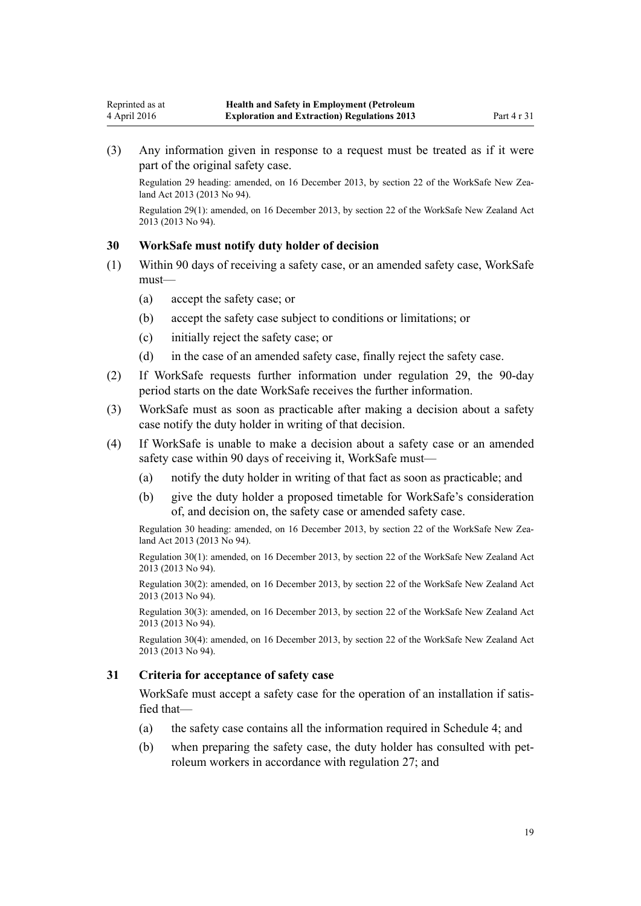<span id="page-18-0"></span>(3) Any information given in response to a request must be treated as if it were part of the original safety case.

Regulation 29 heading: amended, on 16 December 2013, by [section 22](http://prd-lgnz-nlb.prd.pco.net.nz/pdflink.aspx?id=DLM5302071) of the WorkSafe New Zealand Act 2013 (2013 No 94).

Regulation 29(1): amended, on 16 December 2013, by [section 22](http://prd-lgnz-nlb.prd.pco.net.nz/pdflink.aspx?id=DLM5302071) of the WorkSafe New Zealand Act 2013 (2013 No 94).

#### **30 WorkSafe must notify duty holder of decision**

- (1) Within 90 days of receiving a safety case, or an amended safety case, WorkSafe must—
	- (a) accept the safety case; or
	- (b) accept the safety case subject to conditions or limitations; or
	- (c) initially reject the safety case; or
	- (d) in the case of an amended safety case, finally reject the safety case.
- (2) If WorkSafe requests further information under [regulation 29,](#page-17-0) the 90-day period starts on the date WorkSafe receives the further information.
- (3) WorkSafe must as soon as practicable after making a decision about a safety case notify the duty holder in writing of that decision.
- (4) If WorkSafe is unable to make a decision about a safety case or an amended safety case within 90 days of receiving it, WorkSafe must—
	- (a) notify the duty holder in writing of that fact as soon as practicable; and
	- (b) give the duty holder a proposed timetable for WorkSafe's consideration of, and decision on, the safety case or amended safety case.

Regulation 30 heading: amended, on 16 December 2013, by [section 22](http://prd-lgnz-nlb.prd.pco.net.nz/pdflink.aspx?id=DLM5302071) of the WorkSafe New Zealand Act 2013 (2013 No 94).

Regulation 30(1): amended, on 16 December 2013, by [section 22](http://prd-lgnz-nlb.prd.pco.net.nz/pdflink.aspx?id=DLM5302071) of the WorkSafe New Zealand Act 2013 (2013 No 94).

Regulation 30(2): amended, on 16 December 2013, by [section 22](http://prd-lgnz-nlb.prd.pco.net.nz/pdflink.aspx?id=DLM5302071) of the WorkSafe New Zealand Act 2013 (2013 No 94).

Regulation 30(3): amended, on 16 December 2013, by [section 22](http://prd-lgnz-nlb.prd.pco.net.nz/pdflink.aspx?id=DLM5302071) of the WorkSafe New Zealand Act 2013 (2013 No 94).

Regulation 30(4): amended, on 16 December 2013, by [section 22](http://prd-lgnz-nlb.prd.pco.net.nz/pdflink.aspx?id=DLM5302071) of the WorkSafe New Zealand Act 2013 (2013 No 94).

#### **31 Criteria for acceptance of safety case**

WorkSafe must accept a safety case for the operation of an installation if satisfied that—

- (a) the safety case contains all the information required in [Schedule 4;](#page-50-0) and
- (b) when preparing the safety case, the duty holder has consulted with petroleum workers in accordance with [regulation 27](#page-17-0); and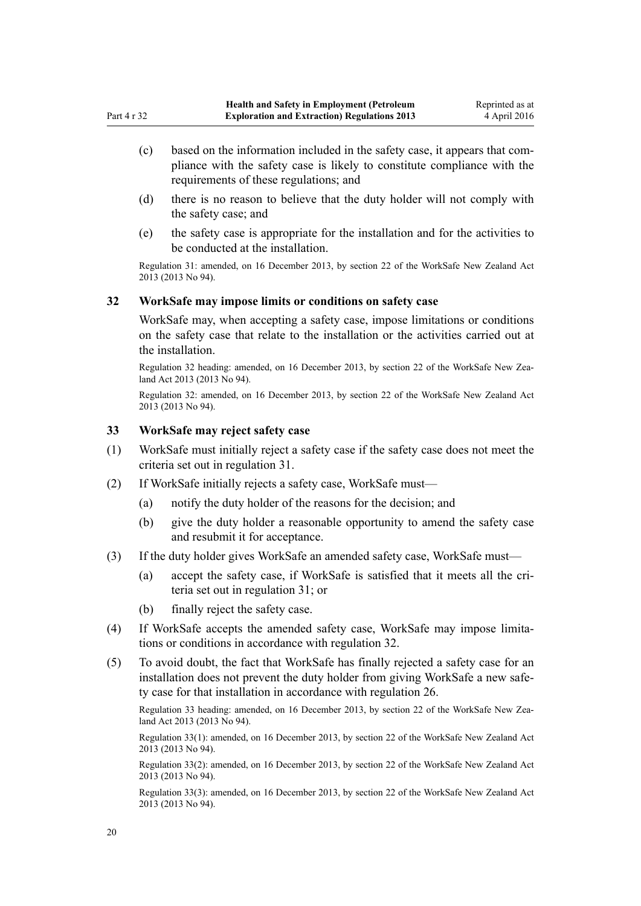- <span id="page-19-0"></span>(c) based on the information included in the safety case, it appears that compliance with the safety case is likely to constitute compliance with the requirements of these regulations; and
- (d) there is no reason to believe that the duty holder will not comply with the safety case; and
- (e) the safety case is appropriate for the installation and for the activities to be conducted at the installation.

Regulation 31: amended, on 16 December 2013, by [section 22](http://prd-lgnz-nlb.prd.pco.net.nz/pdflink.aspx?id=DLM5302071) of the WorkSafe New Zealand Act 2013 (2013 No 94).

#### **32 WorkSafe may impose limits or conditions on safety case**

WorkSafe may, when accepting a safety case, impose limitations or conditions on the safety case that relate to the installation or the activities carried out at the installation.

Regulation 32 heading: amended, on 16 December 2013, by [section 22](http://prd-lgnz-nlb.prd.pco.net.nz/pdflink.aspx?id=DLM5302071) of the WorkSafe New Zealand Act 2013 (2013 No 94).

Regulation 32: amended, on 16 December 2013, by [section 22](http://prd-lgnz-nlb.prd.pco.net.nz/pdflink.aspx?id=DLM5302071) of the WorkSafe New Zealand Act 2013 (2013 No 94).

## **33 WorkSafe may reject safety case**

- (1) WorkSafe must initially reject a safety case if the safety case does not meet the criteria set out in [regulation 31.](#page-18-0)
- (2) If WorkSafe initially rejects a safety case, WorkSafe must—
	- (a) notify the duty holder of the reasons for the decision; and
	- (b) give the duty holder a reasonable opportunity to amend the safety case and resubmit it for acceptance.
- (3) If the duty holder gives WorkSafe an amended safety case, WorkSafe must—
	- (a) accept the safety case, if WorkSafe is satisfied that it meets all the criteria set out in [regulation 31;](#page-18-0) or
	- (b) finally reject the safety case.
- (4) If WorkSafe accepts the amended safety case, WorkSafe may impose limitations or conditions in accordance with regulation 32.
- (5) To avoid doubt, the fact that WorkSafe has finally rejected a safety case for an installation does not prevent the duty holder from giving WorkSafe a new safety case for that installation in accordance with [regulation 26.](#page-16-0)

Regulation 33 heading: amended, on 16 December 2013, by [section 22](http://prd-lgnz-nlb.prd.pco.net.nz/pdflink.aspx?id=DLM5302071) of the WorkSafe New Zealand Act 2013 (2013 No 94).

Regulation 33(1): amended, on 16 December 2013, by [section 22](http://prd-lgnz-nlb.prd.pco.net.nz/pdflink.aspx?id=DLM5302071) of the WorkSafe New Zealand Act 2013 (2013 No 94).

Regulation 33(2): amended, on 16 December 2013, by [section 22](http://prd-lgnz-nlb.prd.pco.net.nz/pdflink.aspx?id=DLM5302071) of the WorkSafe New Zealand Act 2013 (2013 No 94).

Regulation 33(3): amended, on 16 December 2013, by [section 22](http://prd-lgnz-nlb.prd.pco.net.nz/pdflink.aspx?id=DLM5302071) of the WorkSafe New Zealand Act 2013 (2013 No 94).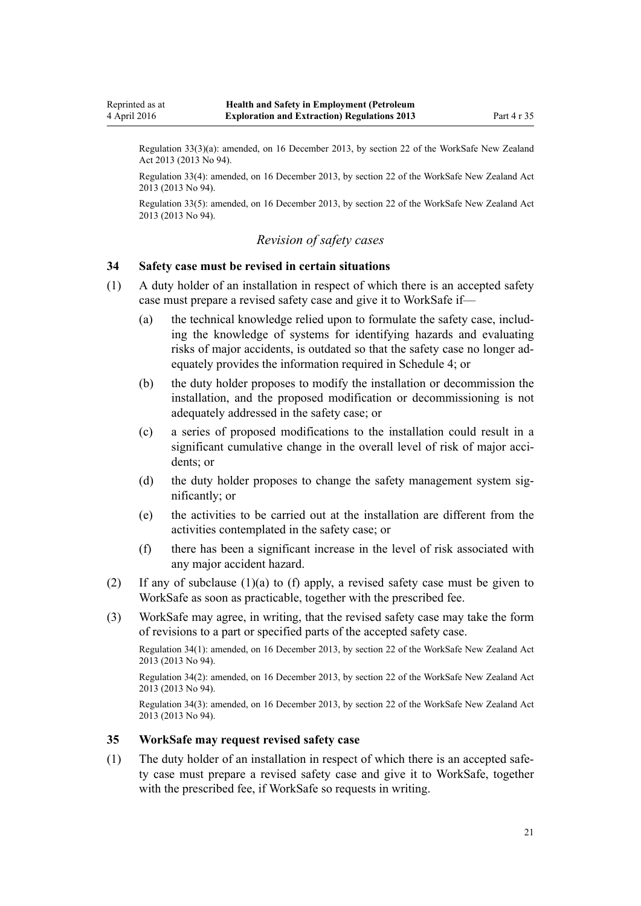<span id="page-20-0"></span>Reprinted as at 4 April 2016

> Regulation 33(3)(a): amended, on 16 December 2013, by [section 22](http://prd-lgnz-nlb.prd.pco.net.nz/pdflink.aspx?id=DLM5302071) of the WorkSafe New Zealand Act 2013 (2013 No 94).

> Regulation 33(4): amended, on 16 December 2013, by [section 22](http://prd-lgnz-nlb.prd.pco.net.nz/pdflink.aspx?id=DLM5302071) of the WorkSafe New Zealand Act 2013 (2013 No 94).

> Regulation 33(5): amended, on 16 December 2013, by [section 22](http://prd-lgnz-nlb.prd.pco.net.nz/pdflink.aspx?id=DLM5302071) of the WorkSafe New Zealand Act 2013 (2013 No 94).

# *Revision of safety cases*

#### **34 Safety case must be revised in certain situations**

- (1) A duty holder of an installation in respect of which there is an accepted safety case must prepare a revised safety case and give it to WorkSafe if—
	- (a) the technical knowledge relied upon to formulate the safety case, including the knowledge of systems for identifying hazards and evaluating risks of major accidents, is outdated so that the safety case no longer adequately provides the information required in [Schedule 4](#page-50-0); or
	- (b) the duty holder proposes to modify the installation or decommission the installation, and the proposed modification or decommissioning is not adequately addressed in the safety case; or
	- (c) a series of proposed modifications to the installation could result in a significant cumulative change in the overall level of risk of major accidents; or
	- (d) the duty holder proposes to change the safety management system significantly; or
	- (e) the activities to be carried out at the installation are different from the activities contemplated in the safety case; or
	- (f) there has been a significant increase in the level of risk associated with any major accident hazard.
- (2) If any of subclause (1)(a) to (f) apply, a revised safety case must be given to WorkSafe as soon as practicable, together with the prescribed fee.
- (3) WorkSafe may agree, in writing, that the revised safety case may take the form of revisions to a part or specified parts of the accepted safety case.

Regulation 34(1): amended, on 16 December 2013, by [section 22](http://prd-lgnz-nlb.prd.pco.net.nz/pdflink.aspx?id=DLM5302071) of the WorkSafe New Zealand Act 2013 (2013 No 94).

Regulation 34(2): amended, on 16 December 2013, by [section 22](http://prd-lgnz-nlb.prd.pco.net.nz/pdflink.aspx?id=DLM5302071) of the WorkSafe New Zealand Act 2013 (2013 No 94).

Regulation 34(3): amended, on 16 December 2013, by [section 22](http://prd-lgnz-nlb.prd.pco.net.nz/pdflink.aspx?id=DLM5302071) of the WorkSafe New Zealand Act 2013 (2013 No 94).

#### **35 WorkSafe may request revised safety case**

(1) The duty holder of an installation in respect of which there is an accepted safety case must prepare a revised safety case and give it to WorkSafe, together with the prescribed fee, if WorkSafe so requests in writing.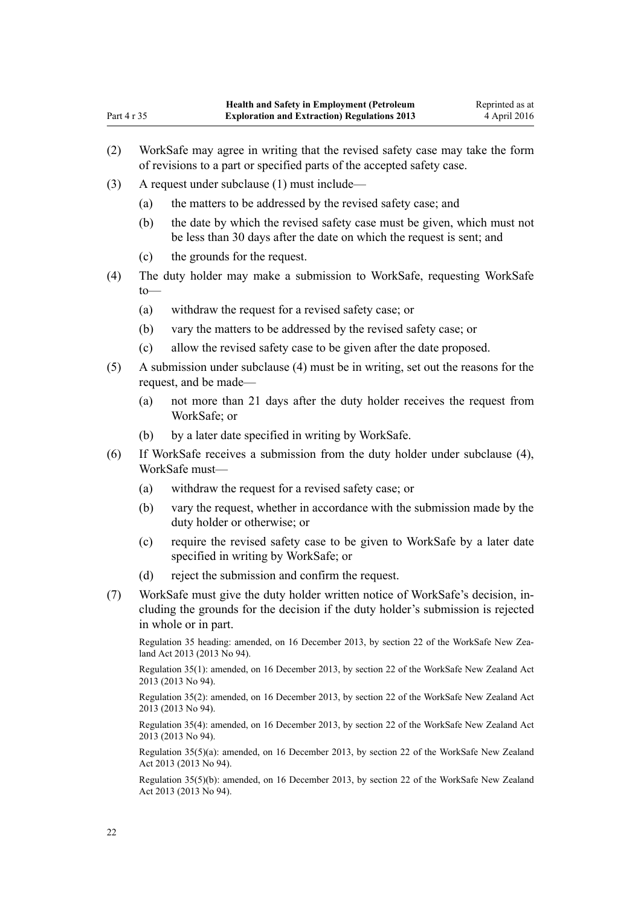- (2) WorkSafe may agree in writing that the revised safety case may take the form of revisions to a part or specified parts of the accepted safety case.
- (3) A request under subclause (1) must include—

Part 4 r 35

- (a) the matters to be addressed by the revised safety case; and
- (b) the date by which the revised safety case must be given, which must not be less than 30 days after the date on which the request is sent; and
- (c) the grounds for the request.
- (4) The duty holder may make a submission to WorkSafe, requesting WorkSafe  $to$ —
	- (a) withdraw the request for a revised safety case; or
	- (b) vary the matters to be addressed by the revised safety case; or
	- (c) allow the revised safety case to be given after the date proposed.
- (5) A submission under subclause (4) must be in writing, set out the reasons for the request, and be made—
	- (a) not more than 21 days after the duty holder receives the request from WorkSafe; or
	- (b) by a later date specified in writing by WorkSafe.
- (6) If WorkSafe receives a submission from the duty holder under subclause (4), WorkSafe must—
	- (a) withdraw the request for a revised safety case; or
	- (b) vary the request, whether in accordance with the submission made by the duty holder or otherwise; or
	- (c) require the revised safety case to be given to WorkSafe by a later date specified in writing by WorkSafe; or
	- (d) reject the submission and confirm the request.
- (7) WorkSafe must give the duty holder written notice of WorkSafe's decision, including the grounds for the decision if the duty holder's submission is rejected in whole or in part.

Regulation 35 heading: amended, on 16 December 2013, by [section 22](http://prd-lgnz-nlb.prd.pco.net.nz/pdflink.aspx?id=DLM5302071) of the WorkSafe New Zealand Act 2013 (2013 No 94).

Regulation 35(1): amended, on 16 December 2013, by [section 22](http://prd-lgnz-nlb.prd.pco.net.nz/pdflink.aspx?id=DLM5302071) of the WorkSafe New Zealand Act 2013 (2013 No 94).

Regulation 35(2): amended, on 16 December 2013, by [section 22](http://prd-lgnz-nlb.prd.pco.net.nz/pdflink.aspx?id=DLM5302071) of the WorkSafe New Zealand Act 2013 (2013 No 94).

Regulation 35(4): amended, on 16 December 2013, by [section 22](http://prd-lgnz-nlb.prd.pco.net.nz/pdflink.aspx?id=DLM5302071) of the WorkSafe New Zealand Act 2013 (2013 No 94).

Regulation 35(5)(a): amended, on 16 December 2013, by [section 22](http://prd-lgnz-nlb.prd.pco.net.nz/pdflink.aspx?id=DLM5302071) of the WorkSafe New Zealand Act 2013 (2013 No 94).

Regulation 35(5)(b): amended, on 16 December 2013, by [section 22](http://prd-lgnz-nlb.prd.pco.net.nz/pdflink.aspx?id=DLM5302071) of the WorkSafe New Zealand Act 2013 (2013 No 94).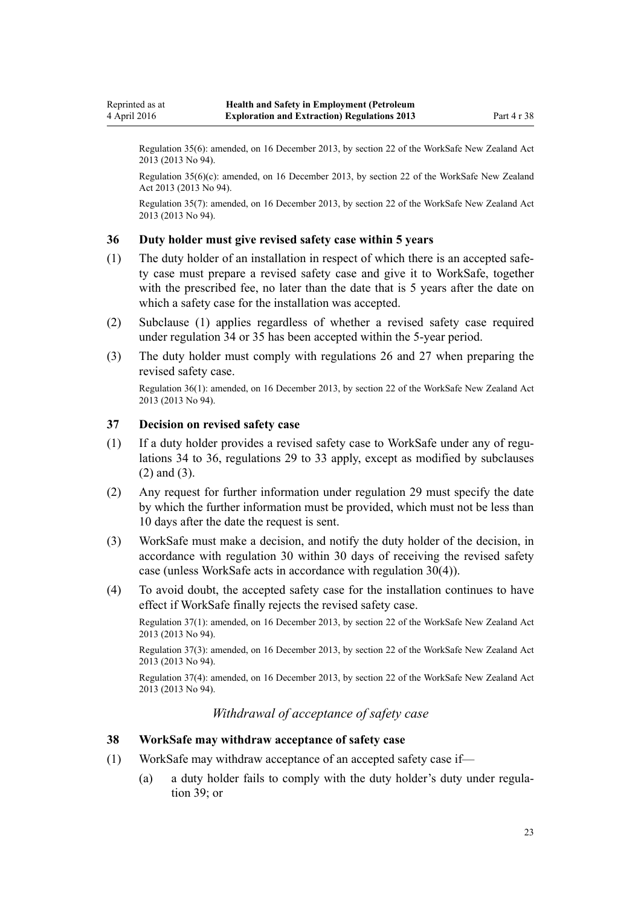<span id="page-22-0"></span>Regulation 35(6): amended, on 16 December 2013, by [section 22](http://prd-lgnz-nlb.prd.pco.net.nz/pdflink.aspx?id=DLM5302071) of the WorkSafe New Zealand Act 2013 (2013 No 94).

Regulation 35(6)(c): amended, on 16 December 2013, by [section 22](http://prd-lgnz-nlb.prd.pco.net.nz/pdflink.aspx?id=DLM5302071) of the WorkSafe New Zealand Act 2013 (2013 No 94).

Regulation 35(7): amended, on 16 December 2013, by [section 22](http://prd-lgnz-nlb.prd.pco.net.nz/pdflink.aspx?id=DLM5302071) of the WorkSafe New Zealand Act 2013 (2013 No 94).

#### **36 Duty holder must give revised safety case within 5 years**

- (1) The duty holder of an installation in respect of which there is an accepted safety case must prepare a revised safety case and give it to WorkSafe, together with the prescribed fee, no later than the date that is 5 years after the date on which a safety case for the installation was accepted.
- (2) Subclause (1) applies regardless of whether a revised safety case required under [regulation 34](#page-20-0) or [35](#page-20-0) has been accepted within the 5-year period.
- (3) The duty holder must comply with [regulations 26](#page-16-0) and [27](#page-17-0) when preparing the revised safety case.

Regulation 36(1): amended, on 16 December 2013, by [section 22](http://prd-lgnz-nlb.prd.pco.net.nz/pdflink.aspx?id=DLM5302071) of the WorkSafe New Zealand Act 2013 (2013 No 94).

#### **37 Decision on revised safety case**

- (1) If a duty holder provides a revised safety case to WorkSafe under any of [regu](#page-20-0)[lations 34](#page-20-0) to 36, [regulations 29](#page-17-0) to [33](#page-19-0) apply, except as modified by subclauses (2) and (3).
- (2) Any request for further information under [regulation 29](#page-17-0) must specify the date by which the further information must be provided, which must not be less than 10 days after the date the request is sent.
- (3) WorkSafe must make a decision, and notify the duty holder of the decision, in accordance with [regulation 30](#page-18-0) within 30 days of receiving the revised safety case (unless WorkSafe acts in accordance with regulation 30(4)).
- (4) To avoid doubt, the accepted safety case for the installation continues to have effect if WorkSafe finally rejects the revised safety case.

Regulation 37(1): amended, on 16 December 2013, by [section 22](http://prd-lgnz-nlb.prd.pco.net.nz/pdflink.aspx?id=DLM5302071) of the WorkSafe New Zealand Act 2013 (2013 No 94).

Regulation 37(3): amended, on 16 December 2013, by [section 22](http://prd-lgnz-nlb.prd.pco.net.nz/pdflink.aspx?id=DLM5302071) of the WorkSafe New Zealand Act 2013 (2013 No 94).

Regulation 37(4): amended, on 16 December 2013, by [section 22](http://prd-lgnz-nlb.prd.pco.net.nz/pdflink.aspx?id=DLM5302071) of the WorkSafe New Zealand Act 2013 (2013 No 94).

*Withdrawal of acceptance of safety case*

#### **38 WorkSafe may withdraw acceptance of safety case**

- (1) WorkSafe may withdraw acceptance of an accepted safety case if—
	- (a) a duty holder fails to comply with the duty holder's duty under [regula](#page-24-0)[tion 39](#page-24-0); or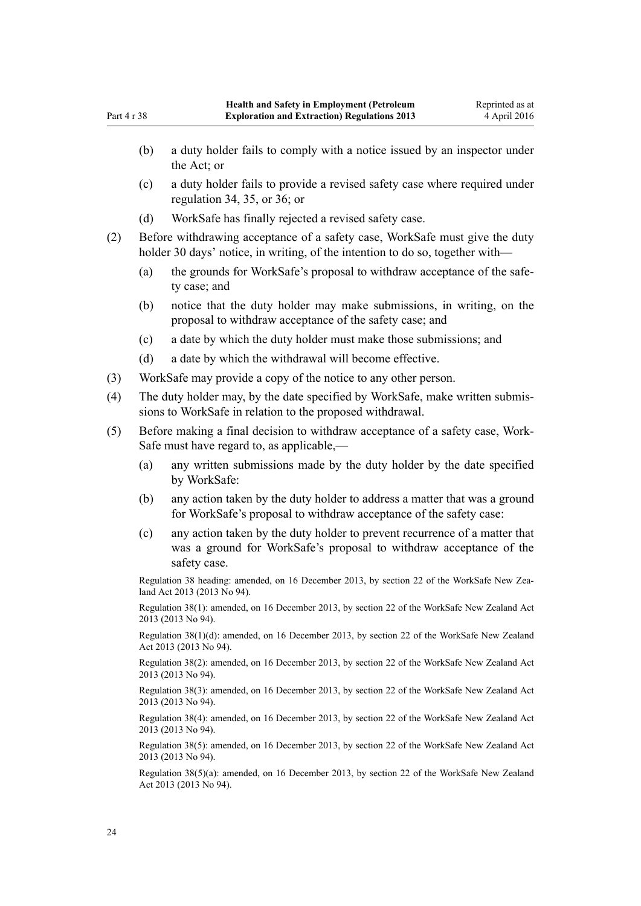- (b) a duty holder fails to comply with a notice issued by an inspector under the Act; or
- (c) a duty holder fails to provide a revised safety case where required under [regulation 34](#page-20-0), [35](#page-20-0), or [36](#page-22-0); or
- (d) WorkSafe has finally rejected a revised safety case.
- (2) Before withdrawing acceptance of a safety case, WorkSafe must give the duty holder 30 days' notice, in writing, of the intention to do so, together with-
	- (a) the grounds for WorkSafe's proposal to withdraw acceptance of the safety case; and
	- (b) notice that the duty holder may make submissions, in writing, on the proposal to withdraw acceptance of the safety case; and
	- (c) a date by which the duty holder must make those submissions; and
	- (d) a date by which the withdrawal will become effective.
- (3) WorkSafe may provide a copy of the notice to any other person.
- (4) The duty holder may, by the date specified by WorkSafe, make written submissions to WorkSafe in relation to the proposed withdrawal.
- (5) Before making a final decision to withdraw acceptance of a safety case, Work-Safe must have regard to, as applicable,—
	- (a) any written submissions made by the duty holder by the date specified by WorkSafe:
	- (b) any action taken by the duty holder to address a matter that was a ground for WorkSafe's proposal to withdraw acceptance of the safety case:
	- (c) any action taken by the duty holder to prevent recurrence of a matter that was a ground for WorkSafe's proposal to withdraw acceptance of the safety case.

Regulation 38 heading: amended, on 16 December 2013, by [section 22](http://prd-lgnz-nlb.prd.pco.net.nz/pdflink.aspx?id=DLM5302071) of the WorkSafe New Zealand Act 2013 (2013 No 94).

Regulation 38(1): amended, on 16 December 2013, by [section 22](http://prd-lgnz-nlb.prd.pco.net.nz/pdflink.aspx?id=DLM5302071) of the WorkSafe New Zealand Act 2013 (2013 No 94).

Regulation 38(1)(d): amended, on 16 December 2013, by [section 22](http://prd-lgnz-nlb.prd.pco.net.nz/pdflink.aspx?id=DLM5302071) of the WorkSafe New Zealand Act 2013 (2013 No 94).

Regulation 38(2): amended, on 16 December 2013, by [section 22](http://prd-lgnz-nlb.prd.pco.net.nz/pdflink.aspx?id=DLM5302071) of the WorkSafe New Zealand Act 2013 (2013 No 94).

Regulation 38(3): amended, on 16 December 2013, by [section 22](http://prd-lgnz-nlb.prd.pco.net.nz/pdflink.aspx?id=DLM5302071) of the WorkSafe New Zealand Act 2013 (2013 No 94).

Regulation 38(4): amended, on 16 December 2013, by [section 22](http://prd-lgnz-nlb.prd.pco.net.nz/pdflink.aspx?id=DLM5302071) of the WorkSafe New Zealand Act 2013 (2013 No 94).

Regulation 38(5): amended, on 16 December 2013, by [section 22](http://prd-lgnz-nlb.prd.pco.net.nz/pdflink.aspx?id=DLM5302071) of the WorkSafe New Zealand Act 2013 (2013 No 94).

Regulation 38(5)(a): amended, on 16 December 2013, by [section 22](http://prd-lgnz-nlb.prd.pco.net.nz/pdflink.aspx?id=DLM5302071) of the WorkSafe New Zealand Act 2013 (2013 No 94).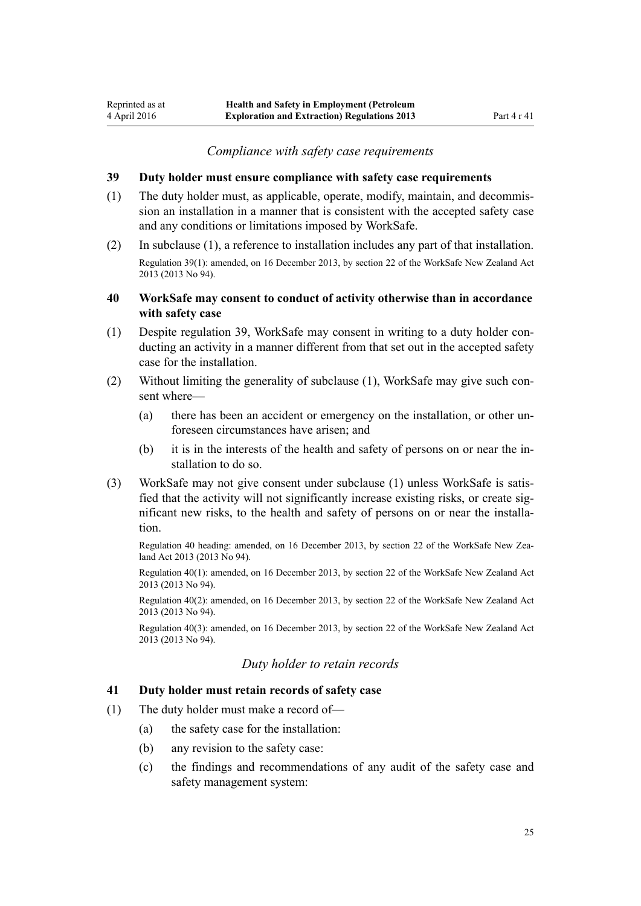#### *Compliance with safety case requirements*

#### <span id="page-24-0"></span>**39 Duty holder must ensure compliance with safety case requirements**

- (1) The duty holder must, as applicable, operate, modify, maintain, and decommission an installation in a manner that is consistent with the accepted safety case and any conditions or limitations imposed by WorkSafe.
- (2) In subclause (1), a reference to installation includes any part of that installation. Regulation 39(1): amended, on 16 December 2013, by [section 22](http://prd-lgnz-nlb.prd.pco.net.nz/pdflink.aspx?id=DLM5302071) of the WorkSafe New Zealand Act 2013 (2013 No 94).

#### **40 WorkSafe may consent to conduct of activity otherwise than in accordance with safety case**

- (1) Despite regulation 39, WorkSafe may consent in writing to a duty holder conducting an activity in a manner different from that set out in the accepted safety case for the installation.
- (2) Without limiting the generality of subclause (1), WorkSafe may give such consent where—
	- (a) there has been an accident or emergency on the installation, or other unforeseen circumstances have arisen; and
	- (b) it is in the interests of the health and safety of persons on or near the installation to do so.
- (3) WorkSafe may not give consent under subclause (1) unless WorkSafe is satisfied that the activity will not significantly increase existing risks, or create significant new risks, to the health and safety of persons on or near the installation.

Regulation 40 heading: amended, on 16 December 2013, by [section 22](http://prd-lgnz-nlb.prd.pco.net.nz/pdflink.aspx?id=DLM5302071) of the WorkSafe New Zealand Act 2013 (2013 No 94).

Regulation 40(1): amended, on 16 December 2013, by section 22 of the WorkSafe New Zealand Act 2013 (2013 No 94).

Regulation 40(2): amended, on 16 December 2013, by section 22 of the WorkSafe New Zealand Act 2013 (2013 No 94).

Regulation 40(3): amended, on 16 December 2013, by section 22 of the WorkSafe New Zealand Act 2013 (2013 No 94).

# *Duty holder to retain records*

### **41 Duty holder must retain records of safety case**

- (1) The duty holder must make a record of—
	- (a) the safety case for the installation:
	- (b) any revision to the safety case:
	- (c) the findings and recommendations of any audit of the safety case and safety management system: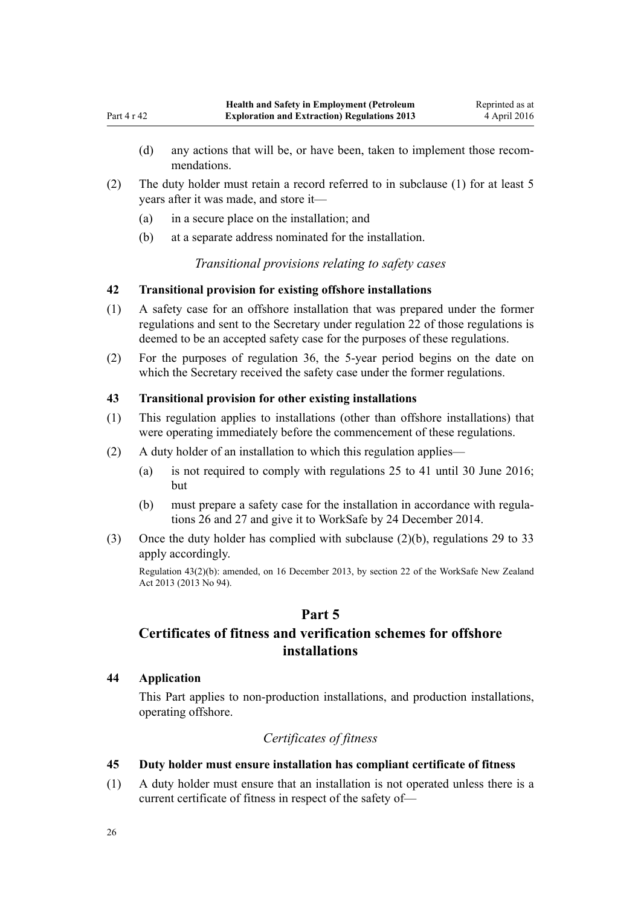- <span id="page-25-0"></span>(d) any actions that will be, or have been, taken to implement those recommendations.
- (2) The duty holder must retain a record referred to in subclause (1) for at least 5 years after it was made, and store it—
	- (a) in a secure place on the installation; and
	- (b) at a separate address nominated for the installation.

*Transitional provisions relating to safety cases*

# **42 Transitional provision for existing offshore installations**

- (1) A safety case for an offshore installation that was prepared under the former regulations and sent to the Secretary under [regulation 22](http://prd-lgnz-nlb.prd.pco.net.nz/pdflink.aspx?id=DLM298295) of those regulations is deemed to be an accepted safety case for the purposes of these regulations.
- (2) For the purposes of [regulation 36](#page-22-0), the 5-year period begins on the date on which the Secretary received the safety case under the former regulations.

# **43 Transitional provision for other existing installations**

- (1) This regulation applies to installations (other than offshore installations) that were operating immediately before the commencement of these regulations.
- (2) A duty holder of an installation to which this regulation applies—
	- (a) is not required to comply with [regulations 25 to 41](#page-16-0) until 30 June 2016; but
	- (b) must prepare a safety case for the installation in accordance with [regula](#page-16-0)[tions 26](#page-16-0) and [27](#page-17-0) and give it to WorkSafe by 24 December 2014.
- (3) Once the duty holder has complied with subclause (2)(b), [regulations 29 to 33](#page-17-0) apply accordingly.

Regulation 43(2)(b): amended, on 16 December 2013, by [section 22](http://prd-lgnz-nlb.prd.pco.net.nz/pdflink.aspx?id=DLM5302071) of the WorkSafe New Zealand Act 2013 (2013 No 94).

# **Part 5**

# **Certificates of fitness and verification schemes for offshore installations**

# **44 Application**

This Part applies to non-production installations, and production installations, operating offshore.

# *Certificates of fitness*

# **45 Duty holder must ensure installation has compliant certificate of fitness**

(1) A duty holder must ensure that an installation is not operated unless there is a current certificate of fitness in respect of the safety of—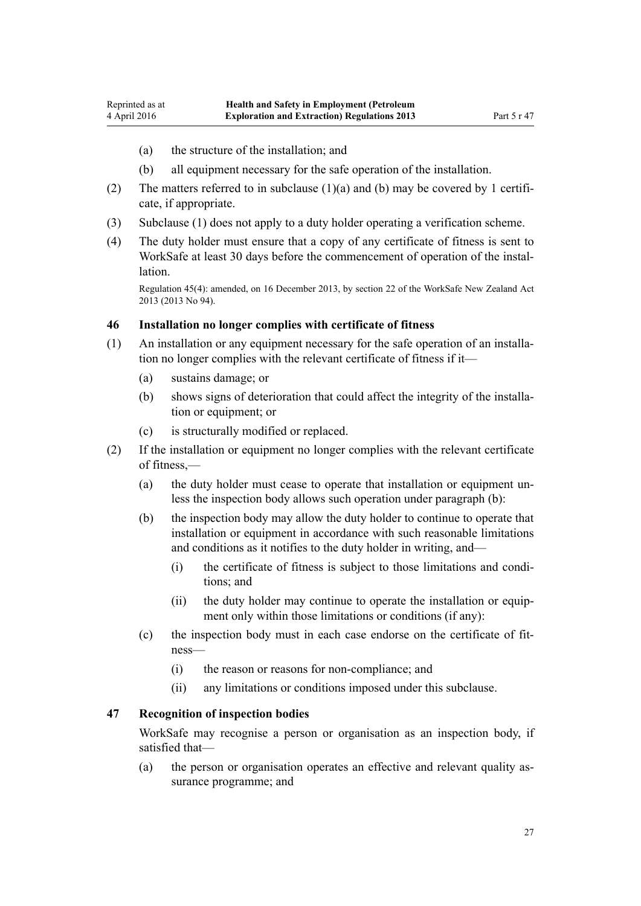- <span id="page-26-0"></span>(a) the structure of the installation; and
- (b) all equipment necessary for the safe operation of the installation.
- (2) The matters referred to in subclause (1)(a) and (b) may be covered by 1 certificate, if appropriate.
- (3) Subclause (1) does not apply to a duty holder operating a verification scheme.
- (4) The duty holder must ensure that a copy of any certificate of fitness is sent to WorkSafe at least 30 days before the commencement of operation of the installation.

Regulation 45(4): amended, on 16 December 2013, by [section 22](http://prd-lgnz-nlb.prd.pco.net.nz/pdflink.aspx?id=DLM5302071) of the WorkSafe New Zealand Act 2013 (2013 No 94).

#### **46 Installation no longer complies with certificate of fitness**

- (1) An installation or any equipment necessary for the safe operation of an installation no longer complies with the relevant certificate of fitness if it—
	- (a) sustains damage; or
	- (b) shows signs of deterioration that could affect the integrity of the installation or equipment; or
	- (c) is structurally modified or replaced.
- (2) If the installation or equipment no longer complies with the relevant certificate of fitness,—
	- (a) the duty holder must cease to operate that installation or equipment unless the inspection body allows such operation under paragraph (b):
	- (b) the inspection body may allow the duty holder to continue to operate that installation or equipment in accordance with such reasonable limitations and conditions as it notifies to the duty holder in writing, and—
		- (i) the certificate of fitness is subject to those limitations and conditions; and
		- (ii) the duty holder may continue to operate the installation or equipment only within those limitations or conditions (if any):
	- (c) the inspection body must in each case endorse on the certificate of fitness—
		- (i) the reason or reasons for non-compliance; and
		- (ii) any limitations or conditions imposed under this subclause.

#### **47 Recognition of inspection bodies**

WorkSafe may recognise a person or organisation as an inspection body, if satisfied that—

(a) the person or organisation operates an effective and relevant quality assurance programme; and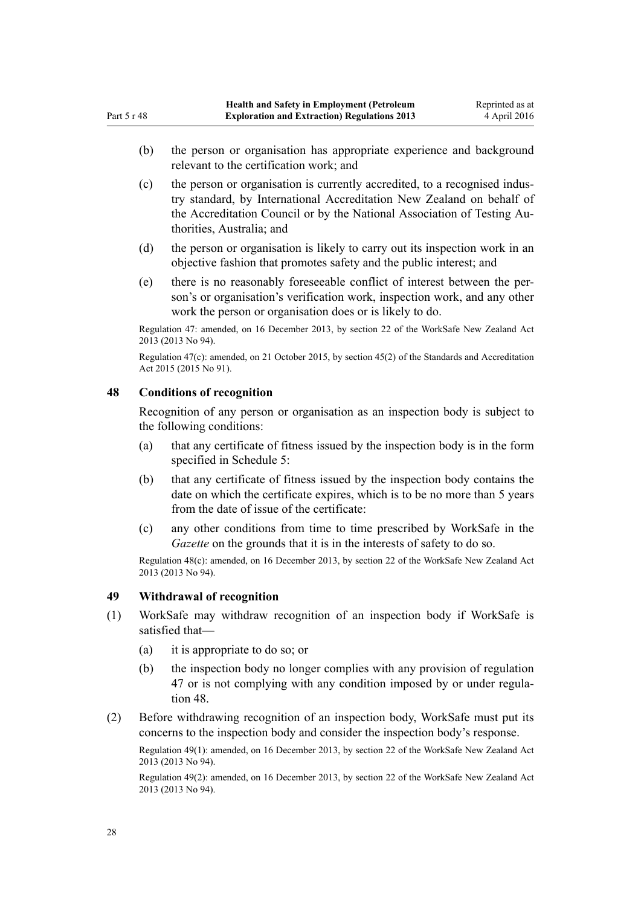- <span id="page-27-0"></span>(b) the person or organisation has appropriate experience and background relevant to the certification work; and
- (c) the person or organisation is currently accredited, to a recognised industry standard, by International Accreditation New Zealand on behalf of the Accreditation Council or by the National Association of Testing Authorities, Australia; and
- (d) the person or organisation is likely to carry out its inspection work in an objective fashion that promotes safety and the public interest; and
- (e) there is no reasonably foreseeable conflict of interest between the person's or organisation's verification work, inspection work, and any other work the person or organisation does or is likely to do.

Regulation 47: amended, on 16 December 2013, by [section 22](http://prd-lgnz-nlb.prd.pco.net.nz/pdflink.aspx?id=DLM5302071) of the WorkSafe New Zealand Act 2013 (2013 No 94).

Regulation 47(c): amended, on 21 October 2015, by [section 45\(2\)](http://prd-lgnz-nlb.prd.pco.net.nz/pdflink.aspx?id=DLM5947001) of the Standards and Accreditation Act 2015 (2015 No 91).

#### **48 Conditions of recognition**

Recognition of any person or organisation as an inspection body is subject to the following conditions:

- (a) that any certificate of fitness issued by the inspection body is in the form specified in [Schedule 5](#page-53-0):
- (b) that any certificate of fitness issued by the inspection body contains the date on which the certificate expires, which is to be no more than 5 years from the date of issue of the certificate:
- (c) any other conditions from time to time prescribed by WorkSafe in the *Gazette* on the grounds that it is in the interests of safety to do so.

Regulation 48(c): amended, on 16 December 2013, by [section 22](http://prd-lgnz-nlb.prd.pco.net.nz/pdflink.aspx?id=DLM5302071) of the WorkSafe New Zealand Act 2013 (2013 No 94).

#### **49 Withdrawal of recognition**

- (1) WorkSafe may withdraw recognition of an inspection body if WorkSafe is satisfied that—
	- (a) it is appropriate to do so; or
	- (b) the inspection body no longer complies with any provision of [regulation](#page-26-0) [47](#page-26-0) or is not complying with any condition imposed by or under regulation 48.
- (2) Before withdrawing recognition of an inspection body, WorkSafe must put its concerns to the inspection body and consider the inspection body's response.

Regulation 49(1): amended, on 16 December 2013, by [section 22](http://prd-lgnz-nlb.prd.pco.net.nz/pdflink.aspx?id=DLM5302071) of the WorkSafe New Zealand Act 2013 (2013 No 94).

Regulation 49(2): amended, on 16 December 2013, by [section 22](http://prd-lgnz-nlb.prd.pco.net.nz/pdflink.aspx?id=DLM5302071) of the WorkSafe New Zealand Act 2013 (2013 No 94).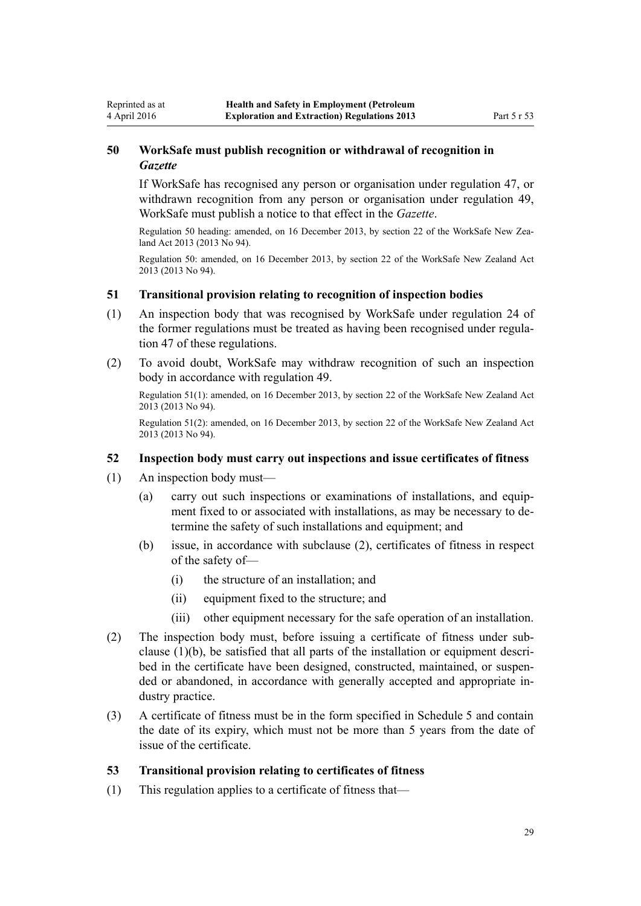# **50 WorkSafe must publish recognition or withdrawal of recognition in** *Gazette*

If WorkSafe has recognised any person or organisation under [regulation 47](#page-26-0), or withdrawn recognition from any person or organisation under [regulation 49](#page-27-0), WorkSafe must publish a notice to that effect in the *Gazette*.

Regulation 50 heading: amended, on 16 December 2013, by [section 22](http://prd-lgnz-nlb.prd.pco.net.nz/pdflink.aspx?id=DLM5302071) of the WorkSafe New Zealand Act 2013 (2013 No 94).

Regulation 50: amended, on 16 December 2013, by [section 22](http://prd-lgnz-nlb.prd.pco.net.nz/pdflink.aspx?id=DLM5302071) of the WorkSafe New Zealand Act 2013 (2013 No 94).

#### **51 Transitional provision relating to recognition of inspection bodies**

- (1) An inspection body that was recognised by WorkSafe under [regulation 24](http://prd-lgnz-nlb.prd.pco.net.nz/pdflink.aspx?id=DLM298297) of the former regulations must be treated as having been recognised under [regula](#page-26-0)[tion 47](#page-26-0) of these regulations.
- (2) To avoid doubt, WorkSafe may withdraw recognition of such an inspection body in accordance with [regulation 49.](#page-27-0)

Regulation 51(1): amended, on 16 December 2013, by [section 22](http://prd-lgnz-nlb.prd.pco.net.nz/pdflink.aspx?id=DLM5302071) of the WorkSafe New Zealand Act 2013 (2013 No 94).

Regulation 51(2): amended, on 16 December 2013, by [section 22](http://prd-lgnz-nlb.prd.pco.net.nz/pdflink.aspx?id=DLM5302071) of the WorkSafe New Zealand Act 2013 (2013 No 94).

#### **52 Inspection body must carry out inspections and issue certificates of fitness**

(1) An inspection body must—

<span id="page-28-0"></span>4 April 2016

- (a) carry out such inspections or examinations of installations, and equipment fixed to or associated with installations, as may be necessary to determine the safety of such installations and equipment; and
- (b) issue, in accordance with subclause (2), certificates of fitness in respect of the safety of—
	- (i) the structure of an installation; and
	- (ii) equipment fixed to the structure; and
	- (iii) other equipment necessary for the safe operation of an installation.
- (2) The inspection body must, before issuing a certificate of fitness under subclause (1)(b), be satisfied that all parts of the installation or equipment described in the certificate have been designed, constructed, maintained, or suspended or abandoned, in accordance with generally accepted and appropriate industry practice.
- (3) A certificate of fitness must be in the form specified in [Schedule 5](#page-53-0) and contain the date of its expiry, which must not be more than 5 years from the date of issue of the certificate.

# **53 Transitional provision relating to certificates of fitness**

(1) This regulation applies to a certificate of fitness that—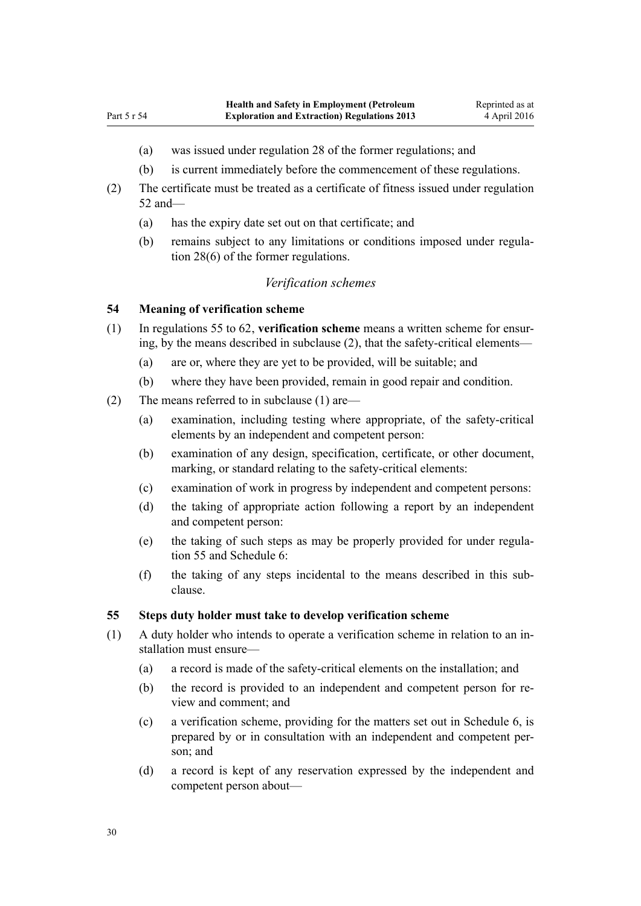- <span id="page-29-0"></span>(a) was issued under [regulation 28](http://prd-lgnz-nlb.prd.pco.net.nz/pdflink.aspx?id=DLM298512) of the former regulations; and
- (b) is current immediately before the commencement of these regulations.
- (2) The certificate must be treated as a certificate of fitness issued under [regulation](#page-28-0) [52](#page-28-0) and—
	- (a) has the expiry date set out on that certificate; and
	- (b) remains subject to any limitations or conditions imposed under [regula](http://prd-lgnz-nlb.prd.pco.net.nz/pdflink.aspx?id=DLM298512)[tion 28\(6\)](http://prd-lgnz-nlb.prd.pco.net.nz/pdflink.aspx?id=DLM298512) of the former regulations.

#### *Verification schemes*

#### **54 Meaning of verification scheme**

- (1) In regulations 55 to 62, **verification scheme** means a written scheme for ensuring, by the means described in subclause (2), that the safety-critical elements—
	- (a) are or, where they are yet to be provided, will be suitable; and
	- (b) where they have been provided, remain in good repair and condition.
- (2) The means referred to in subclause (1) are—
	- (a) examination, including testing where appropriate, of the safety-critical elements by an independent and competent person:
	- (b) examination of any design, specification, certificate, or other document, marking, or standard relating to the safety-critical elements:
	- (c) examination of work in progress by independent and competent persons:
	- (d) the taking of appropriate action following a report by an independent and competent person:
	- (e) the taking of such steps as may be properly provided for under regulation 55 and [Schedule 6:](#page-54-0)
	- (f) the taking of any steps incidental to the means described in this subclause.

#### **55 Steps duty holder must take to develop verification scheme**

- (1) A duty holder who intends to operate a verification scheme in relation to an installation must ensure—
	- (a) a record is made of the safety-critical elements on the installation; and
	- (b) the record is provided to an independent and competent person for review and comment; and
	- (c) a verification scheme, providing for the matters set out in [Schedule 6](#page-54-0), is prepared by or in consultation with an independent and competent person; and
	- (d) a record is kept of any reservation expressed by the independent and competent person about—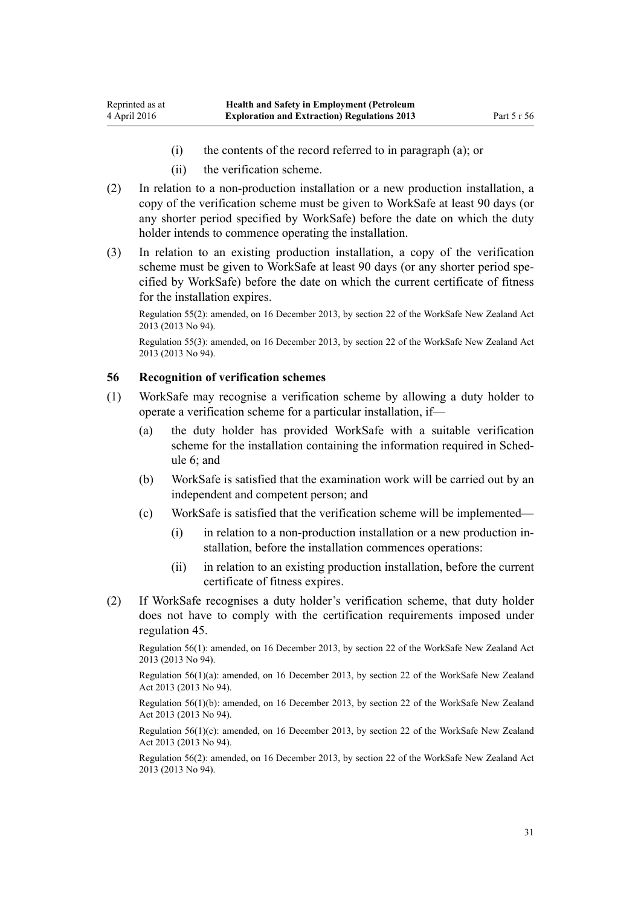- (i) the contents of the record referred to in paragraph (a); or
- (ii) the verification scheme.
- <span id="page-30-0"></span>(2) In relation to a non-production installation or a new production installation, a copy of the verification scheme must be given to WorkSafe at least 90 days (or any shorter period specified by WorkSafe) before the date on which the duty holder intends to commence operating the installation.
- (3) In relation to an existing production installation, a copy of the verification scheme must be given to WorkSafe at least 90 days (or any shorter period specified by WorkSafe) before the date on which the current certificate of fitness for the installation expires.

Regulation 55(2): amended, on 16 December 2013, by [section 22](http://prd-lgnz-nlb.prd.pco.net.nz/pdflink.aspx?id=DLM5302071) of the WorkSafe New Zealand Act 2013 (2013 No 94).

Regulation 55(3): amended, on 16 December 2013, by [section 22](http://prd-lgnz-nlb.prd.pco.net.nz/pdflink.aspx?id=DLM5302071) of the WorkSafe New Zealand Act 2013 (2013 No 94).

#### **56 Recognition of verification schemes**

- (1) WorkSafe may recognise a verification scheme by allowing a duty holder to operate a verification scheme for a particular installation, if—
	- (a) the duty holder has provided WorkSafe with a suitable verification scheme for the installation containing the information required in [Sched](#page-54-0)[ule 6;](#page-54-0) and
	- (b) WorkSafe is satisfied that the examination work will be carried out by an independent and competent person; and
	- (c) WorkSafe is satisfied that the verification scheme will be implemented—
		- (i) in relation to a non-production installation or a new production installation, before the installation commences operations:
		- (ii) in relation to an existing production installation, before the current certificate of fitness expires.
- (2) If WorkSafe recognises a duty holder's verification scheme, that duty holder does not have to comply with the certification requirements imposed under [regulation 45](#page-25-0).

Regulation 56(1): amended, on 16 December 2013, by [section 22](http://prd-lgnz-nlb.prd.pco.net.nz/pdflink.aspx?id=DLM5302071) of the WorkSafe New Zealand Act 2013 (2013 No 94).

Regulation 56(1)(a): amended, on 16 December 2013, by [section 22](http://prd-lgnz-nlb.prd.pco.net.nz/pdflink.aspx?id=DLM5302071) of the WorkSafe New Zealand Act 2013 (2013 No 94).

Regulation 56(1)(b): amended, on 16 December 2013, by [section 22](http://prd-lgnz-nlb.prd.pco.net.nz/pdflink.aspx?id=DLM5302071) of the WorkSafe New Zealand Act 2013 (2013 No 94).

Regulation 56(1)(c): amended, on 16 December 2013, by [section 22](http://prd-lgnz-nlb.prd.pco.net.nz/pdflink.aspx?id=DLM5302071) of the WorkSafe New Zealand Act 2013 (2013 No 94).

Regulation 56(2): amended, on 16 December 2013, by [section 22](http://prd-lgnz-nlb.prd.pco.net.nz/pdflink.aspx?id=DLM5302071) of the WorkSafe New Zealand Act 2013 (2013 No 94).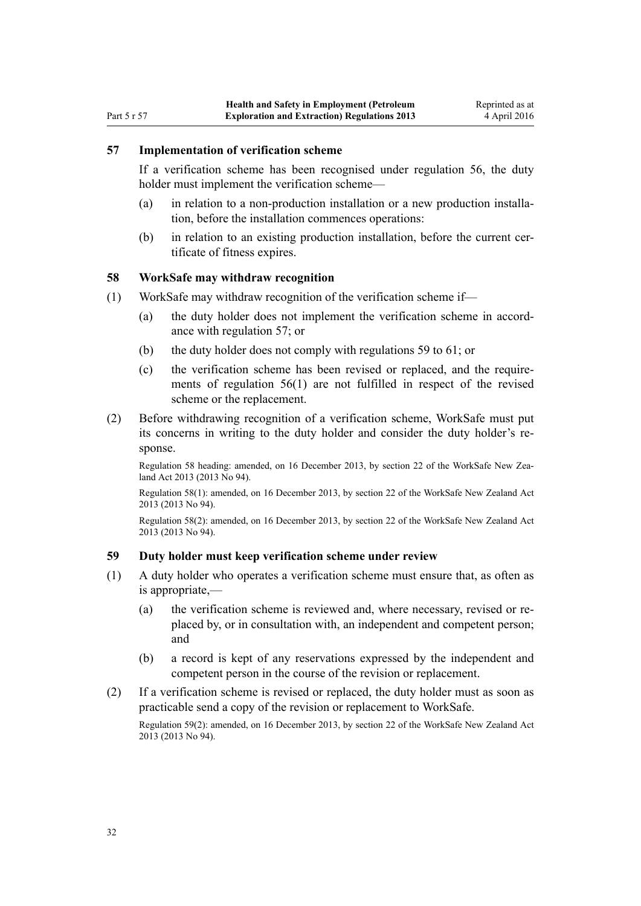#### <span id="page-31-0"></span>**57 Implementation of verification scheme**

If a verification scheme has been recognised under [regulation 56](#page-30-0), the duty holder must implement the verification scheme—

- (a) in relation to a non-production installation or a new production installation, before the installation commences operations:
- (b) in relation to an existing production installation, before the current certificate of fitness expires.

#### **58 WorkSafe may withdraw recognition**

- (1) WorkSafe may withdraw recognition of the verification scheme if—
	- (a) the duty holder does not implement the verification scheme in accordance with regulation 57; or
	- (b) the duty holder does not comply with regulations 59 to [61;](#page-32-0) or
	- (c) the verification scheme has been revised or replaced, and the requirements of [regulation 56\(1\)](#page-30-0) are not fulfilled in respect of the revised scheme or the replacement.
- (2) Before withdrawing recognition of a verification scheme, WorkSafe must put its concerns in writing to the duty holder and consider the duty holder's response.

Regulation 58 heading: amended, on 16 December 2013, by [section 22](http://prd-lgnz-nlb.prd.pco.net.nz/pdflink.aspx?id=DLM5302071) of the WorkSafe New Zealand Act 2013 (2013 No 94).

Regulation 58(1): amended, on 16 December 2013, by [section 22](http://prd-lgnz-nlb.prd.pco.net.nz/pdflink.aspx?id=DLM5302071) of the WorkSafe New Zealand Act 2013 (2013 No 94).

Regulation 58(2): amended, on 16 December 2013, by [section 22](http://prd-lgnz-nlb.prd.pco.net.nz/pdflink.aspx?id=DLM5302071) of the WorkSafe New Zealand Act 2013 (2013 No 94).

#### **59 Duty holder must keep verification scheme under review**

- (1) A duty holder who operates a verification scheme must ensure that, as often as is appropriate,—
	- (a) the verification scheme is reviewed and, where necessary, revised or replaced by, or in consultation with, an independent and competent person; and
	- (b) a record is kept of any reservations expressed by the independent and competent person in the course of the revision or replacement.
- (2) If a verification scheme is revised or replaced, the duty holder must as soon as practicable send a copy of the revision or replacement to WorkSafe.

Regulation 59(2): amended, on 16 December 2013, by [section 22](http://prd-lgnz-nlb.prd.pco.net.nz/pdflink.aspx?id=DLM5302071) of the WorkSafe New Zealand Act 2013 (2013 No 94).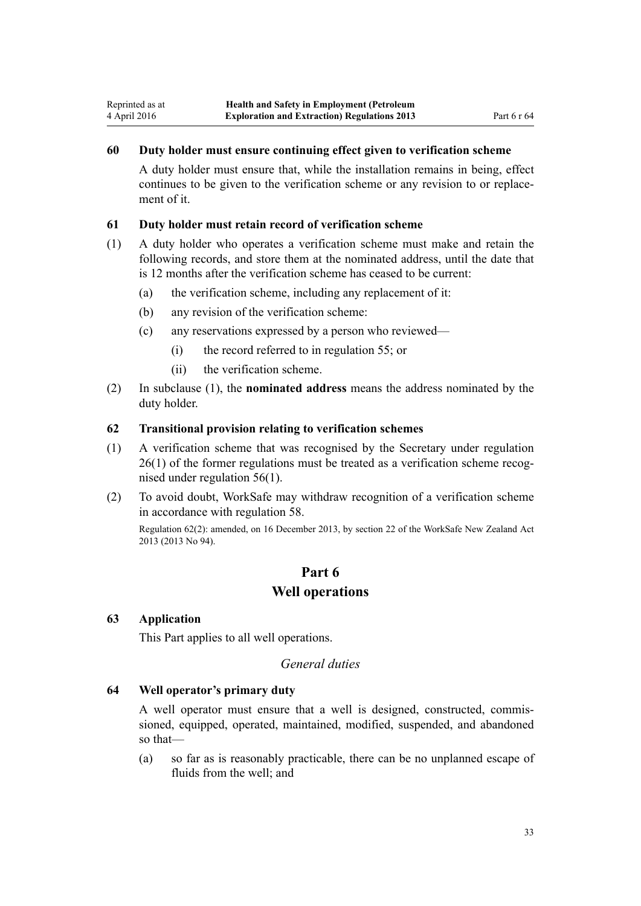#### <span id="page-32-0"></span>**60 Duty holder must ensure continuing effect given to verification scheme**

A duty holder must ensure that, while the installation remains in being, effect continues to be given to the verification scheme or any revision to or replacement of it.

#### **61 Duty holder must retain record of verification scheme**

- (1) A duty holder who operates a verification scheme must make and retain the following records, and store them at the nominated address, until the date that is 12 months after the verification scheme has ceased to be current:
	- (a) the verification scheme, including any replacement of it:
	- (b) any revision of the verification scheme:
	- (c) any reservations expressed by a person who reviewed—
		- (i) the record referred to in [regulation 55](#page-29-0); or
		- (ii) the verification scheme.
- (2) In subclause (1), the **nominated address** means the address nominated by the duty holder.

#### **62 Transitional provision relating to verification schemes**

- (1) A verification scheme that was recognised by the Secretary under [regulation](http://prd-lgnz-nlb.prd.pco.net.nz/pdflink.aspx?id=DLM298510) [26\(1\)](http://prd-lgnz-nlb.prd.pco.net.nz/pdflink.aspx?id=DLM298510) of the former regulations must be treated as a verification scheme recognised under [regulation 56\(1\).](#page-30-0)
- (2) To avoid doubt, WorkSafe may withdraw recognition of a verification scheme in accordance with [regulation 58.](#page-31-0)

Regulation 62(2): amended, on 16 December 2013, by [section 22](http://prd-lgnz-nlb.prd.pco.net.nz/pdflink.aspx?id=DLM5302071) of the WorkSafe New Zealand Act 2013 (2013 No 94).

# **Part 6 Well operations**

#### **63 Application**

This Part applies to all well operations.

# *General duties*

# **64 Well operator's primary duty**

A well operator must ensure that a well is designed, constructed, commissioned, equipped, operated, maintained, modified, suspended, and abandoned so that—

(a) so far as is reasonably practicable, there can be no unplanned escape of fluids from the well; and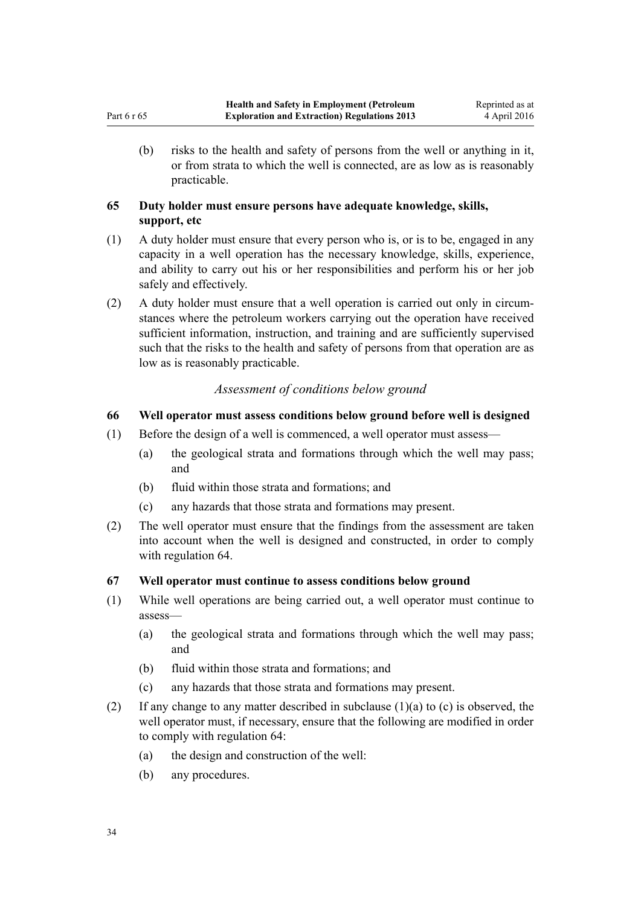<span id="page-33-0"></span>(b) risks to the health and safety of persons from the well or anything in it, or from strata to which the well is connected, are as low as is reasonably practicable.

# **65 Duty holder must ensure persons have adequate knowledge, skills, support, etc**

- (1) A duty holder must ensure that every person who is, or is to be, engaged in any capacity in a well operation has the necessary knowledge, skills, experience, and ability to carry out his or her responsibilities and perform his or her job safely and effectively.
- (2) A duty holder must ensure that a well operation is carried out only in circumstances where the petroleum workers carrying out the operation have received sufficient information, instruction, and training and are sufficiently supervised such that the risks to the health and safety of persons from that operation are as low as is reasonably practicable.

# *Assessment of conditions below ground*

# **66 Well operator must assess conditions below ground before well is designed**

- (1) Before the design of a well is commenced, a well operator must assess—
	- (a) the geological strata and formations through which the well may pass; and
	- (b) fluid within those strata and formations; and
	- (c) any hazards that those strata and formations may present.
- (2) The well operator must ensure that the findings from the assessment are taken into account when the well is designed and constructed, in order to comply with [regulation 64.](#page-32-0)

# **67 Well operator must continue to assess conditions below ground**

- (1) While well operations are being carried out, a well operator must continue to assess—
	- (a) the geological strata and formations through which the well may pass; and
	- (b) fluid within those strata and formations; and
	- (c) any hazards that those strata and formations may present.
- (2) If any change to any matter described in subclause (1)(a) to (c) is observed, the well operator must, if necessary, ensure that the following are modified in order to comply with [regulation 64:](#page-32-0)
	- (a) the design and construction of the well:
	- (b) any procedures.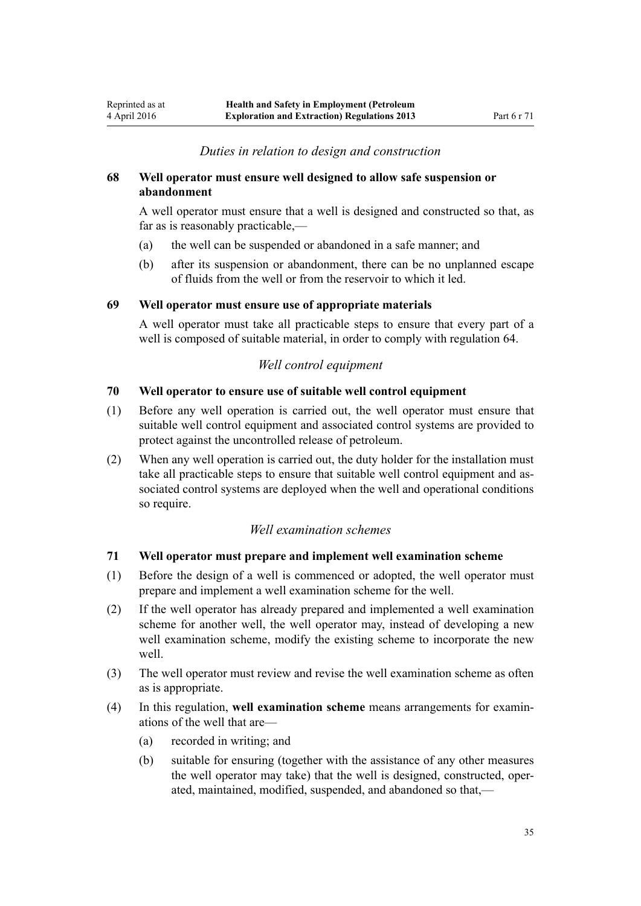# *Duties in relation to design and construction*

### <span id="page-34-0"></span>**68 Well operator must ensure well designed to allow safe suspension or abandonment**

A well operator must ensure that a well is designed and constructed so that, as far as is reasonably practicable,—

- (a) the well can be suspended or abandoned in a safe manner; and
- (b) after its suspension or abandonment, there can be no unplanned escape of fluids from the well or from the reservoir to which it led.

#### **69 Well operator must ensure use of appropriate materials**

A well operator must take all practicable steps to ensure that every part of a well is composed of suitable material, in order to comply with [regulation 64.](#page-32-0)

# *Well control equipment*

#### **70 Well operator to ensure use of suitable well control equipment**

- (1) Before any well operation is carried out, the well operator must ensure that suitable well control equipment and associated control systems are provided to protect against the uncontrolled release of petroleum.
- (2) When any well operation is carried out, the duty holder for the installation must take all practicable steps to ensure that suitable well control equipment and associated control systems are deployed when the well and operational conditions so require.

#### *Well examination schemes*

#### **71 Well operator must prepare and implement well examination scheme**

- (1) Before the design of a well is commenced or adopted, the well operator must prepare and implement a well examination scheme for the well.
- (2) If the well operator has already prepared and implemented a well examination scheme for another well, the well operator may, instead of developing a new well examination scheme, modify the existing scheme to incorporate the new well.
- (3) The well operator must review and revise the well examination scheme as often as is appropriate.
- (4) In this regulation, **well examination scheme** means arrangements for examinations of the well that are—
	- (a) recorded in writing; and
	- (b) suitable for ensuring (together with the assistance of any other measures the well operator may take) that the well is designed, constructed, operated, maintained, modified, suspended, and abandoned so that,—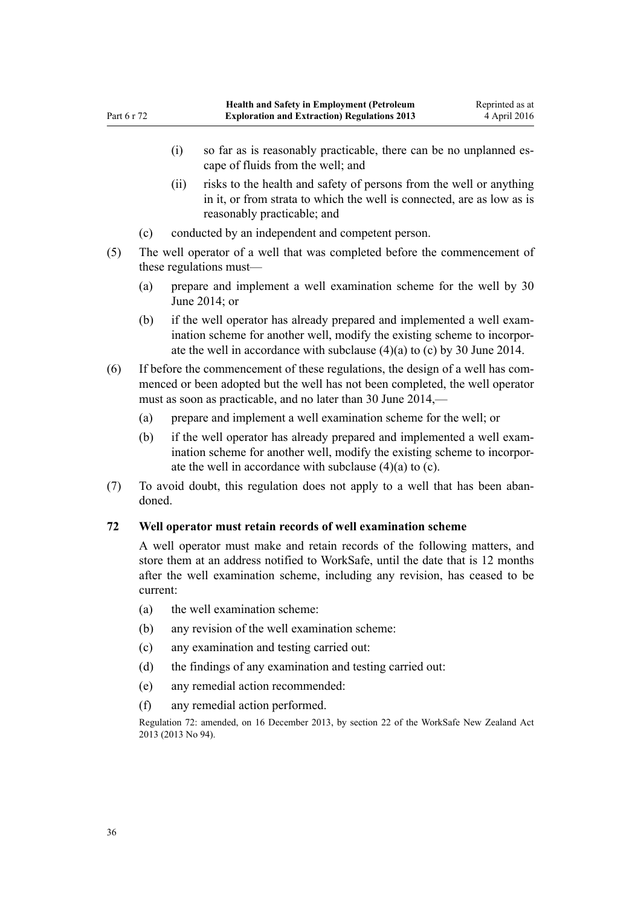- <span id="page-35-0"></span>(i) so far as is reasonably practicable, there can be no unplanned escape of fluids from the well; and
- (ii) risks to the health and safety of persons from the well or anything in it, or from strata to which the well is connected, are as low as is reasonably practicable; and
- (c) conducted by an independent and competent person.
- (5) The well operator of a well that was completed before the commencement of these regulations must—
	- (a) prepare and implement a well examination scheme for the well by 30 June 2014; or
	- (b) if the well operator has already prepared and implemented a well examination scheme for another well, modify the existing scheme to incorporate the well in accordance with subclause (4)(a) to (c) by 30 June 2014.
- (6) If before the commencement of these regulations, the design of a well has commenced or been adopted but the well has not been completed, the well operator must as soon as practicable, and no later than 30 June 2014,—
	- (a) prepare and implement a well examination scheme for the well; or
	- (b) if the well operator has already prepared and implemented a well examination scheme for another well, modify the existing scheme to incorporate the well in accordance with subclause (4)(a) to (c).
- (7) To avoid doubt, this regulation does not apply to a well that has been abandoned.

# **72 Well operator must retain records of well examination scheme**

A well operator must make and retain records of the following matters, and store them at an address notified to WorkSafe, until the date that is 12 months after the well examination scheme, including any revision, has ceased to be current:

- (a) the well examination scheme:
- (b) any revision of the well examination scheme:
- (c) any examination and testing carried out:
- (d) the findings of any examination and testing carried out:
- (e) any remedial action recommended:
- (f) any remedial action performed.

Regulation 72: amended, on 16 December 2013, by [section 22](http://prd-lgnz-nlb.prd.pco.net.nz/pdflink.aspx?id=DLM5302071) of the WorkSafe New Zealand Act 2013 (2013 No 94).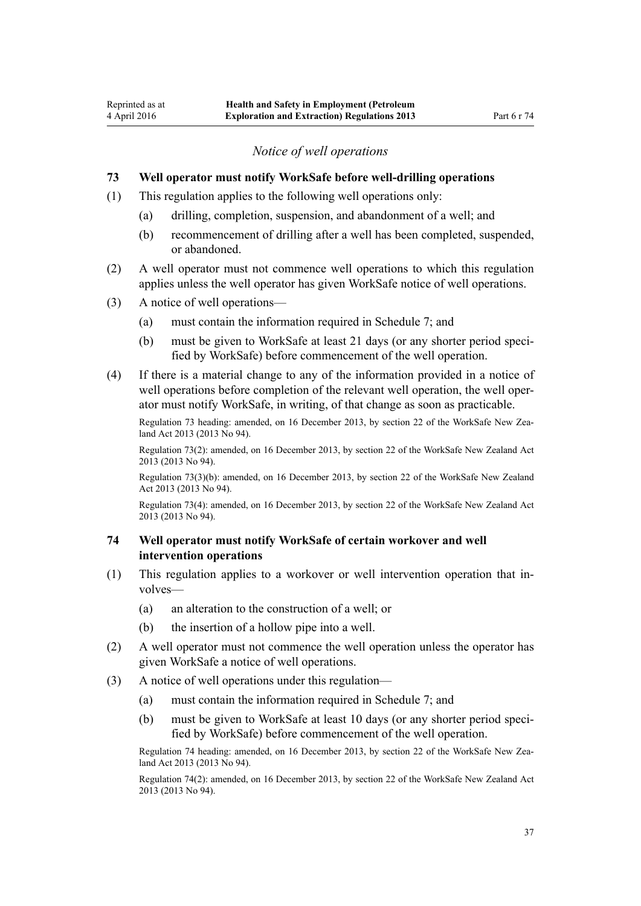### *Notice of well operations*

# <span id="page-36-0"></span>**73 Well operator must notify WorkSafe before well-drilling operations**

- (1) This regulation applies to the following well operations only:
	- (a) drilling, completion, suspension, and abandonment of a well; and
	- (b) recommencement of drilling after a well has been completed, suspended, or abandoned.
- (2) A well operator must not commence well operations to which this regulation applies unless the well operator has given WorkSafe notice of well operations.
- (3) A notice of well operations—
	- (a) must contain the information required in [Schedule 7](#page-55-0); and
	- (b) must be given to WorkSafe at least 21 days (or any shorter period specified by WorkSafe) before commencement of the well operation.
- (4) If there is a material change to any of the information provided in a notice of well operations before completion of the relevant well operation, the well operator must notify WorkSafe, in writing, of that change as soon as practicable.

Regulation 73 heading: amended, on 16 December 2013, by [section 22](http://prd-lgnz-nlb.prd.pco.net.nz/pdflink.aspx?id=DLM5302071) of the WorkSafe New Zealand Act 2013 (2013 No 94).

Regulation 73(2): amended, on 16 December 2013, by [section 22](http://prd-lgnz-nlb.prd.pco.net.nz/pdflink.aspx?id=DLM5302071) of the WorkSafe New Zealand Act 2013 (2013 No 94).

Regulation 73(3)(b): amended, on 16 December 2013, by [section 22](http://prd-lgnz-nlb.prd.pco.net.nz/pdflink.aspx?id=DLM5302071) of the WorkSafe New Zealand Act 2013 (2013 No 94).

Regulation 73(4): amended, on 16 December 2013, by [section 22](http://prd-lgnz-nlb.prd.pco.net.nz/pdflink.aspx?id=DLM5302071) of the WorkSafe New Zealand Act 2013 (2013 No 94).

#### **74 Well operator must notify WorkSafe of certain workover and well intervention operations**

- (1) This regulation applies to a workover or well intervention operation that involves—
	- (a) an alteration to the construction of a well; or
	- (b) the insertion of a hollow pipe into a well.
- (2) A well operator must not commence the well operation unless the operator has given WorkSafe a notice of well operations.
- (3) A notice of well operations under this regulation—
	- (a) must contain the information required in [Schedule 7](#page-55-0); and
	- (b) must be given to WorkSafe at least 10 days (or any shorter period specified by WorkSafe) before commencement of the well operation.

Regulation 74 heading: amended, on 16 December 2013, by [section 22](http://prd-lgnz-nlb.prd.pco.net.nz/pdflink.aspx?id=DLM5302071) of the WorkSafe New Zealand Act 2013 (2013 No 94).

Regulation 74(2): amended, on 16 December 2013, by [section 22](http://prd-lgnz-nlb.prd.pco.net.nz/pdflink.aspx?id=DLM5302071) of the WorkSafe New Zealand Act 2013 (2013 No 94).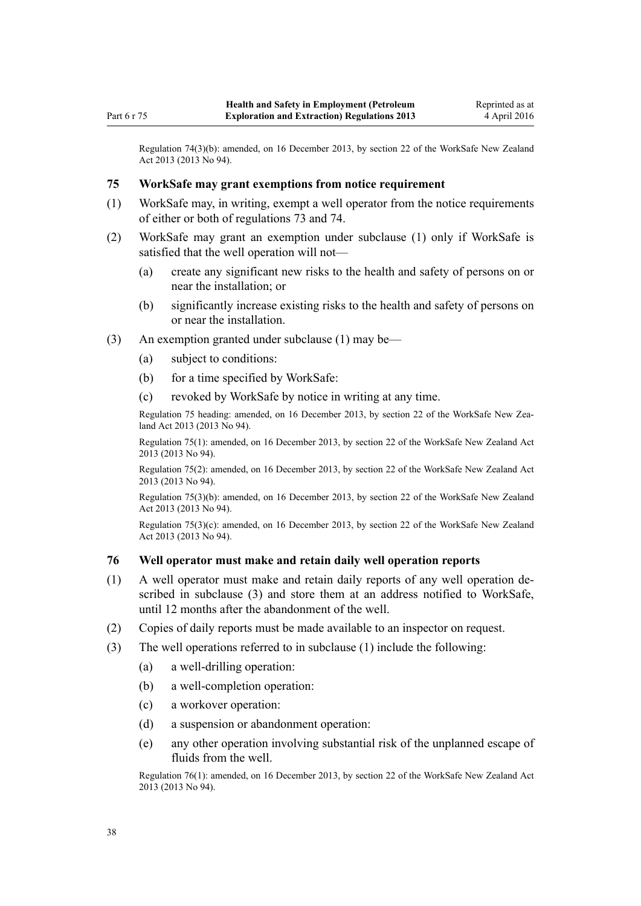<span id="page-37-0"></span>Regulation 74(3)(b): amended, on 16 December 2013, by [section 22](http://prd-lgnz-nlb.prd.pco.net.nz/pdflink.aspx?id=DLM5302071) of the WorkSafe New Zealand Act 2013 (2013 No 94).

#### **75 WorkSafe may grant exemptions from notice requirement**

- (1) WorkSafe may, in writing, exempt a well operator from the notice requirements of either or both of [regulations 73](#page-36-0) and [74](#page-36-0).
- (2) WorkSafe may grant an exemption under subclause (1) only if WorkSafe is satisfied that the well operation will not—
	- (a) create any significant new risks to the health and safety of persons on or near the installation; or
	- (b) significantly increase existing risks to the health and safety of persons on or near the installation.
- (3) An exemption granted under subclause (1) may be—
	- (a) subject to conditions:
	- (b) for a time specified by WorkSafe:
	- (c) revoked by WorkSafe by notice in writing at any time.

Regulation 75 heading: amended, on 16 December 2013, by [section 22](http://prd-lgnz-nlb.prd.pco.net.nz/pdflink.aspx?id=DLM5302071) of the WorkSafe New Zealand Act 2013 (2013 No 94).

Regulation 75(1): amended, on 16 December 2013, by [section 22](http://prd-lgnz-nlb.prd.pco.net.nz/pdflink.aspx?id=DLM5302071) of the WorkSafe New Zealand Act 2013 (2013 No 94).

Regulation 75(2): amended, on 16 December 2013, by [section 22](http://prd-lgnz-nlb.prd.pco.net.nz/pdflink.aspx?id=DLM5302071) of the WorkSafe New Zealand Act 2013 (2013 No 94).

Regulation 75(3)(b): amended, on 16 December 2013, by [section 22](http://prd-lgnz-nlb.prd.pco.net.nz/pdflink.aspx?id=DLM5302071) of the WorkSafe New Zealand Act 2013 (2013 No 94).

Regulation 75(3)(c): amended, on 16 December 2013, by [section 22](http://prd-lgnz-nlb.prd.pco.net.nz/pdflink.aspx?id=DLM5302071) of the WorkSafe New Zealand Act 2013 (2013 No 94).

#### **76 Well operator must make and retain daily well operation reports**

- (1) A well operator must make and retain daily reports of any well operation described in subclause (3) and store them at an address notified to WorkSafe, until 12 months after the abandonment of the well.
- (2) Copies of daily reports must be made available to an inspector on request.
- (3) The well operations referred to in subclause (1) include the following:
	- (a) a well-drilling operation:
	- (b) a well-completion operation:
	- (c) a workover operation:
	- (d) a suspension or abandonment operation:
	- (e) any other operation involving substantial risk of the unplanned escape of fluids from the well.

Regulation 76(1): amended, on 16 December 2013, by [section 22](http://prd-lgnz-nlb.prd.pco.net.nz/pdflink.aspx?id=DLM5302071) of the WorkSafe New Zealand Act 2013 (2013 No 94).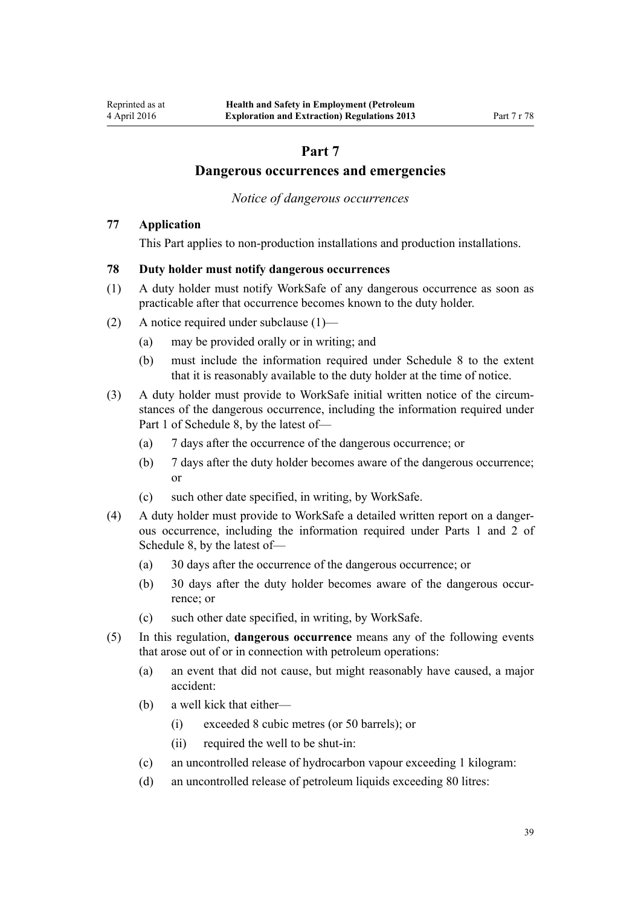# **Part 7**

# **Dangerous occurrences and emergencies**

*Notice of dangerous occurrences*

# <span id="page-38-0"></span>**77 Application**

This Part applies to non-production installations and production installations.

# **78 Duty holder must notify dangerous occurrences**

- (1) A duty holder must notify WorkSafe of any dangerous occurrence as soon as practicable after that occurrence becomes known to the duty holder.
- (2) A notice required under subclause (1)—
	- (a) may be provided orally or in writing; and
	- (b) must include the information required under [Schedule 8](#page-57-0) to the extent that it is reasonably available to the duty holder at the time of notice.
- (3) A duty holder must provide to WorkSafe initial written notice of the circumstances of the dangerous occurrence, including the information required under [Part 1](#page-57-0) of Schedule 8, by the latest of—
	- (a) 7 days after the occurrence of the dangerous occurrence; or
	- (b) 7 days after the duty holder becomes aware of the dangerous occurrence; or
	- (c) such other date specified, in writing, by WorkSafe.
- (4) A duty holder must provide to WorkSafe a detailed written report on a dangerous occurrence, including the information required under [Parts 1](#page-57-0) and [2](#page-58-0) of Schedule 8, by the latest of—
	- (a) 30 days after the occurrence of the dangerous occurrence; or
	- (b) 30 days after the duty holder becomes aware of the dangerous occurrence; or
	- (c) such other date specified, in writing, by WorkSafe.
- (5) In this regulation, **dangerous occurrence** means any of the following events that arose out of or in connection with petroleum operations:
	- (a) an event that did not cause, but might reasonably have caused, a major accident:
	- (b) a well kick that either—
		- (i) exceeded 8 cubic metres (or 50 barrels); or
		- (ii) required the well to be shut-in:
	- (c) an uncontrolled release of hydrocarbon vapour exceeding 1 kilogram:
	- (d) an uncontrolled release of petroleum liquids exceeding 80 litres: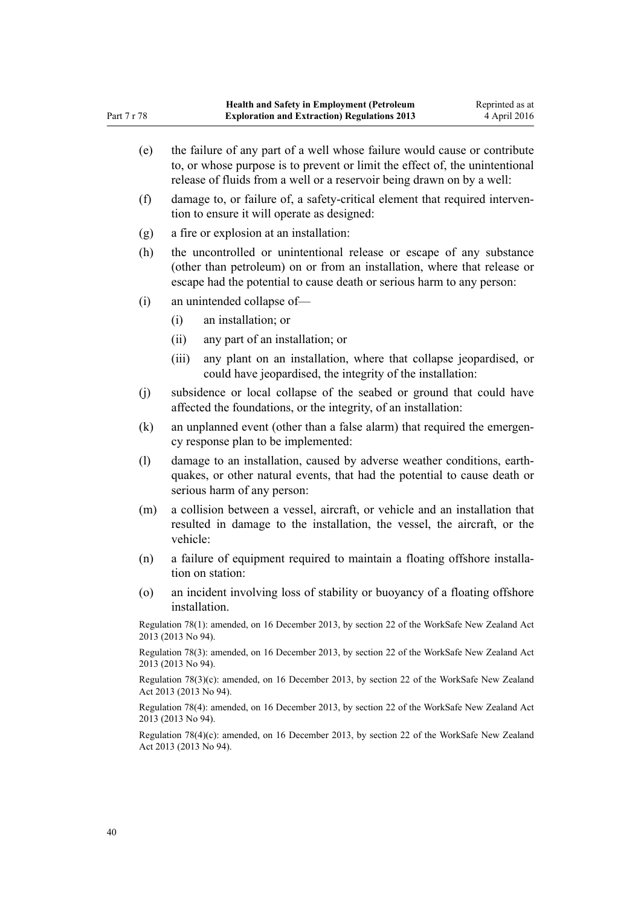(e) the failure of any part of a well whose failure would cause or contribute to, or whose purpose is to prevent or limit the effect of, the unintentional release of fluids from a well or a reservoir being drawn on by a well: (f) damage to, or failure of, a safety-critical element that required intervention to ensure it will operate as designed: (g) a fire or explosion at an installation: (h) the uncontrolled or unintentional release or escape of any substance (other than petroleum) on or from an installation, where that release or escape had the potential to cause death or serious harm to any person: (i) an unintended collapse of— (i) an installation; or (ii) any part of an installation; or (iii) any plant on an installation, where that collapse jeopardised, or could have jeopardised, the integrity of the installation: (j) subsidence or local collapse of the seabed or ground that could have affected the foundations, or the integrity, of an installation: (k) an unplanned event (other than a false alarm) that required the emergency response plan to be implemented: (l) damage to an installation, caused by adverse weather conditions, earthquakes, or other natural events, that had the potential to cause death or serious harm of any person: (m) a collision between a vessel, aircraft, or vehicle and an installation that resulted in damage to the installation, the vessel, the aircraft, or the vehicle: (n) a failure of equipment required to maintain a floating offshore installation on station: (o) an incident involving loss of stability or buoyancy of a floating offshore installation. Regulation 78(1): amended, on 16 December 2013, by [section 22](http://prd-lgnz-nlb.prd.pco.net.nz/pdflink.aspx?id=DLM5302071) of the WorkSafe New Zealand Act 2013 (2013 No 94). Regulation 78(3): amended, on 16 December 2013, by [section 22](http://prd-lgnz-nlb.prd.pco.net.nz/pdflink.aspx?id=DLM5302071) of the WorkSafe New Zealand Act 2013 (2013 No 94). Regulation 78(3)(c): amended, on 16 December 2013, by [section 22](http://prd-lgnz-nlb.prd.pco.net.nz/pdflink.aspx?id=DLM5302071) of the WorkSafe New Zealand Act 2013 (2013 No 94). Regulation 78(4): amended, on 16 December 2013, by [section 22](http://prd-lgnz-nlb.prd.pco.net.nz/pdflink.aspx?id=DLM5302071) of the WorkSafe New Zealand Act 2013 (2013 No 94). Regulation 78(4)(c): amended, on 16 December 2013, by [section 22](http://prd-lgnz-nlb.prd.pco.net.nz/pdflink.aspx?id=DLM5302071) of the WorkSafe New Zealand Act 2013 (2013 No 94).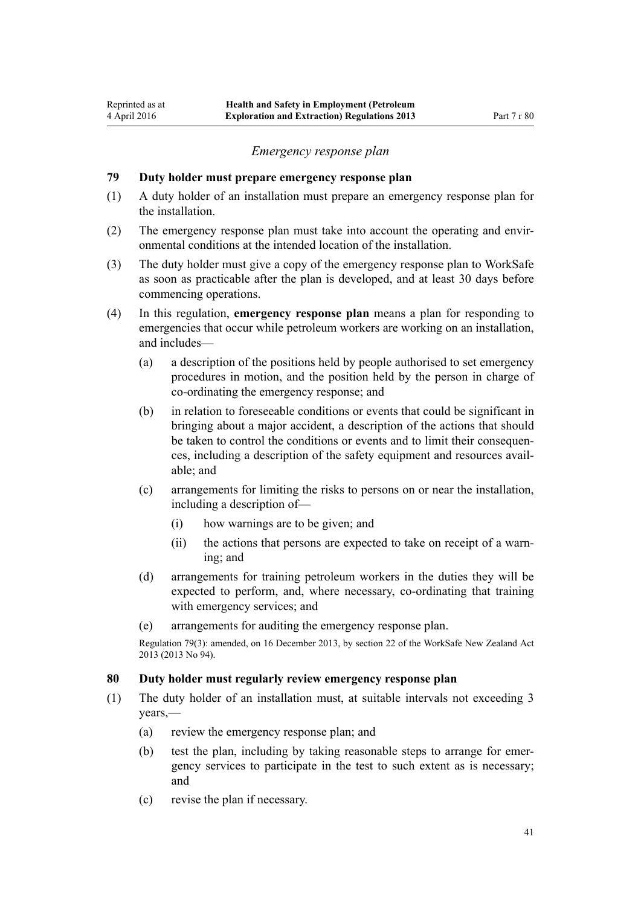#### *Emergency response plan*

## <span id="page-40-0"></span>**79 Duty holder must prepare emergency response plan**

- (1) A duty holder of an installation must prepare an emergency response plan for the installation.
- (2) The emergency response plan must take into account the operating and environmental conditions at the intended location of the installation.
- (3) The duty holder must give a copy of the emergency response plan to WorkSafe as soon as practicable after the plan is developed, and at least 30 days before commencing operations.
- (4) In this regulation, **emergency response plan** means a plan for responding to emergencies that occur while petroleum workers are working on an installation, and includes—
	- (a) a description of the positions held by people authorised to set emergency procedures in motion, and the position held by the person in charge of co-ordinating the emergency response; and
	- (b) in relation to foreseeable conditions or events that could be significant in bringing about a major accident, a description of the actions that should be taken to control the conditions or events and to limit their consequences, including a description of the safety equipment and resources available; and
	- (c) arrangements for limiting the risks to persons on or near the installation, including a description of—
		- (i) how warnings are to be given; and
		- (ii) the actions that persons are expected to take on receipt of a warning; and
	- (d) arrangements for training petroleum workers in the duties they will be expected to perform, and, where necessary, co-ordinating that training with emergency services; and
	- (e) arrangements for auditing the emergency response plan.

Regulation 79(3): amended, on 16 December 2013, by [section 22](http://prd-lgnz-nlb.prd.pco.net.nz/pdflink.aspx?id=DLM5302071) of the WorkSafe New Zealand Act 2013 (2013 No 94).

# **80 Duty holder must regularly review emergency response plan**

- (1) The duty holder of an installation must, at suitable intervals not exceeding 3 years,—
	- (a) review the emergency response plan; and
	- (b) test the plan, including by taking reasonable steps to arrange for emergency services to participate in the test to such extent as is necessary; and
	- (c) revise the plan if necessary.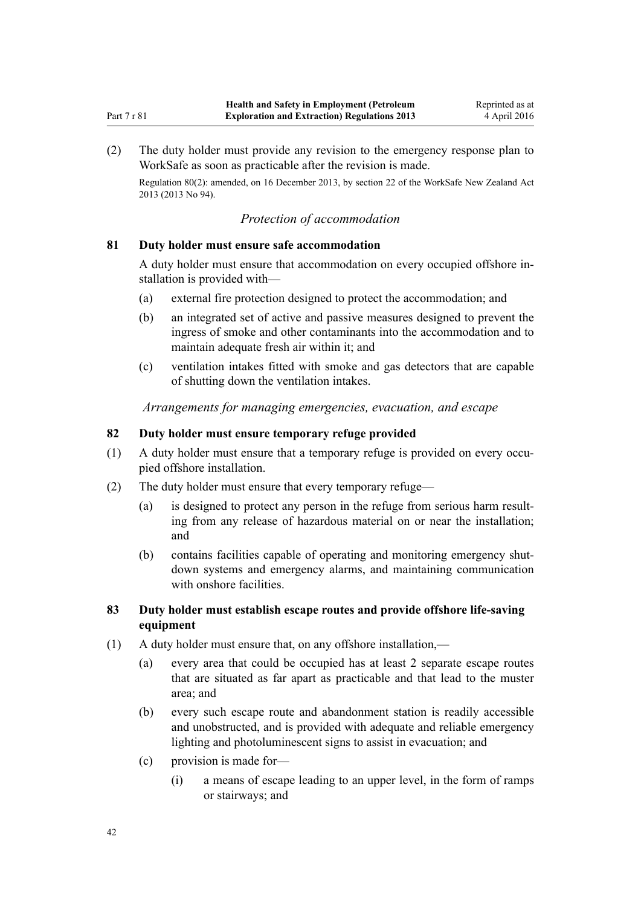<span id="page-41-0"></span>(2) The duty holder must provide any revision to the emergency response plan to WorkSafe as soon as practicable after the revision is made.

Regulation 80(2): amended, on 16 December 2013, by [section 22](http://prd-lgnz-nlb.prd.pco.net.nz/pdflink.aspx?id=DLM5302071) of the WorkSafe New Zealand Act 2013 (2013 No 94).

# *Protection of accommodation*

# **81 Duty holder must ensure safe accommodation**

A duty holder must ensure that accommodation on every occupied offshore installation is provided with—

- (a) external fire protection designed to protect the accommodation; and
- (b) an integrated set of active and passive measures designed to prevent the ingress of smoke and other contaminants into the accommodation and to maintain adequate fresh air within it; and
- (c) ventilation intakes fitted with smoke and gas detectors that are capable of shutting down the ventilation intakes.

# *Arrangements for managing emergencies, evacuation, and escape*

# **82 Duty holder must ensure temporary refuge provided**

- (1) A duty holder must ensure that a temporary refuge is provided on every occupied offshore installation.
- (2) The duty holder must ensure that every temporary refuge—
	- (a) is designed to protect any person in the refuge from serious harm resulting from any release of hazardous material on or near the installation; and
	- (b) contains facilities capable of operating and monitoring emergency shutdown systems and emergency alarms, and maintaining communication with onshore facilities.

# **83 Duty holder must establish escape routes and provide offshore life-saving equipment**

- (1) A duty holder must ensure that, on any offshore installation,—
	- (a) every area that could be occupied has at least 2 separate escape routes that are situated as far apart as practicable and that lead to the muster area; and
	- (b) every such escape route and abandonment station is readily accessible and unobstructed, and is provided with adequate and reliable emergency lighting and photoluminescent signs to assist in evacuation; and
	- (c) provision is made for—
		- (i) a means of escape leading to an upper level, in the form of ramps or stairways; and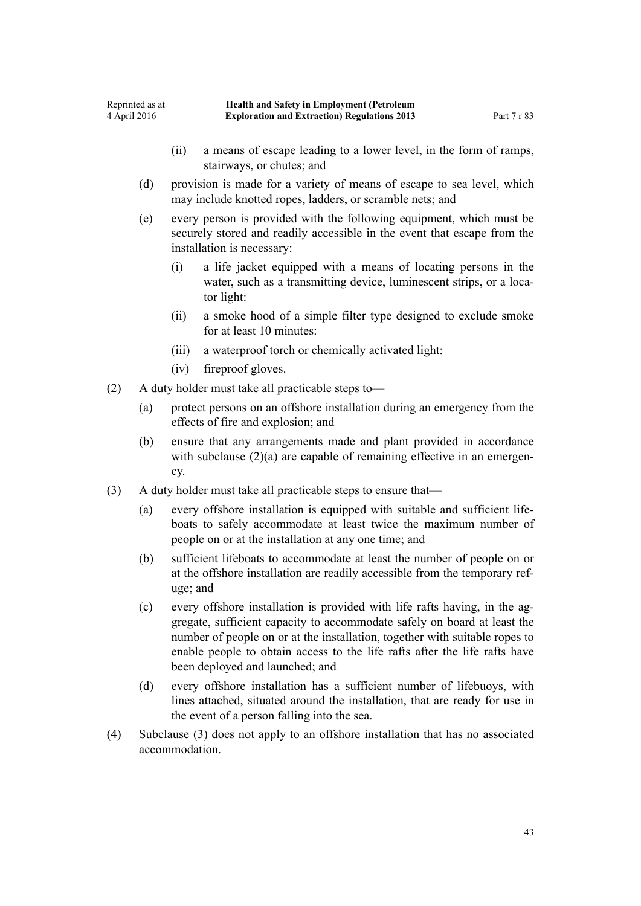- (ii) a means of escape leading to a lower level, in the form of ramps, stairways, or chutes; and
- (d) provision is made for a variety of means of escape to sea level, which may include knotted ropes, ladders, or scramble nets; and
- (e) every person is provided with the following equipment, which must be securely stored and readily accessible in the event that escape from the installation is necessary:
	- (i) a life jacket equipped with a means of locating persons in the water, such as a transmitting device, luminescent strips, or a locator light:
	- (ii) a smoke hood of a simple filter type designed to exclude smoke for at least 10 minutes:
	- (iii) a waterproof torch or chemically activated light:
	- (iv) fireproof gloves.
- (2) A duty holder must take all practicable steps to—
	- (a) protect persons on an offshore installation during an emergency from the effects of fire and explosion; and
	- (b) ensure that any arrangements made and plant provided in accordance with subclause  $(2)(a)$  are capable of remaining effective in an emergency.
- (3) A duty holder must take all practicable steps to ensure that—
	- (a) every offshore installation is equipped with suitable and sufficient lifeboats to safely accommodate at least twice the maximum number of people on or at the installation at any one time; and
	- (b) sufficient lifeboats to accommodate at least the number of people on or at the offshore installation are readily accessible from the temporary refuge; and
	- (c) every offshore installation is provided with life rafts having, in the aggregate, sufficient capacity to accommodate safely on board at least the number of people on or at the installation, together with suitable ropes to enable people to obtain access to the life rafts after the life rafts have been deployed and launched; and
	- (d) every offshore installation has a sufficient number of lifebuoys, with lines attached, situated around the installation, that are ready for use in the event of a person falling into the sea.
- (4) Subclause (3) does not apply to an offshore installation that has no associated accommodation.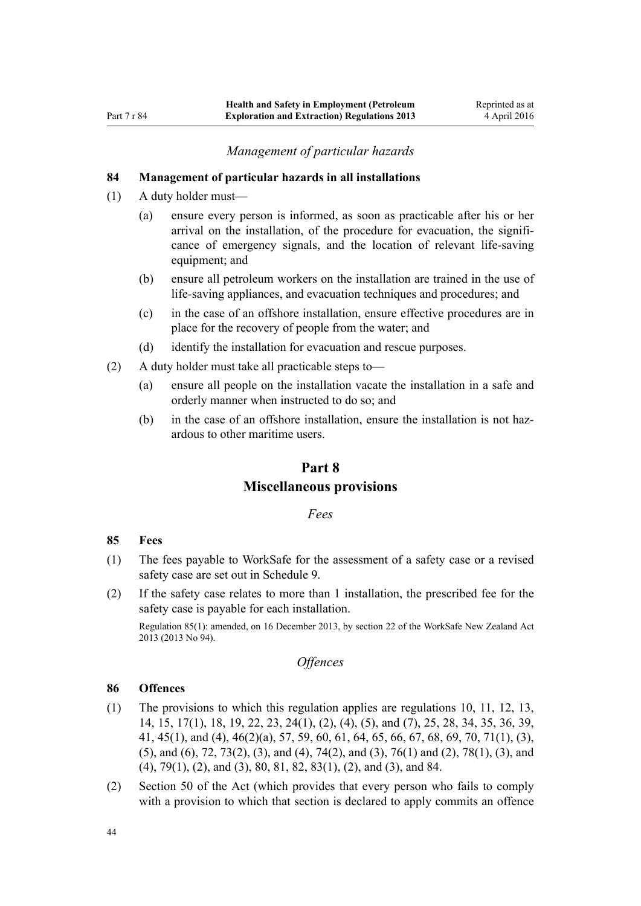# *Management of particular hazards*

#### <span id="page-43-0"></span>**84 Management of particular hazards in all installations**

- (1) A duty holder must—
	- (a) ensure every person is informed, as soon as practicable after his or her arrival on the installation, of the procedure for evacuation, the significance of emergency signals, and the location of relevant life-saving equipment; and
	- (b) ensure all petroleum workers on the installation are trained in the use of life-saving appliances, and evacuation techniques and procedures; and
	- (c) in the case of an offshore installation, ensure effective procedures are in place for the recovery of people from the water; and
	- (d) identify the installation for evacuation and rescue purposes.
- (2) A duty holder must take all practicable steps to—
	- (a) ensure all people on the installation vacate the installation in a safe and orderly manner when instructed to do so; and
	- (b) in the case of an offshore installation, ensure the installation is not hazardous to other maritime users.

# **Part 8 Miscellaneous provisions**

# *Fees*

#### **85 Fees**

- (1) The fees payable to WorkSafe for the assessment of a safety case or a revised safety case are set out in [Schedule 9.](#page-59-0)
- (2) If the safety case relates to more than 1 installation, the prescribed fee for the safety case is payable for each installation.

Regulation 85(1): amended, on 16 December 2013, by [section 22](http://prd-lgnz-nlb.prd.pco.net.nz/pdflink.aspx?id=DLM5302071) of the WorkSafe New Zealand Act 2013 (2013 No 94).

# *Offences*

#### **86 Offences**

- (1) The provisions to which this regulation applies are [regulations 10,](#page-12-0) [11,](#page-12-0) [12,](#page-12-0) [13](#page-12-0), [14,](#page-13-0) [15](#page-13-0), [17\(1\)](#page-13-0), [18,](#page-13-0) [19](#page-14-0), [22,](#page-15-0) [23](#page-15-0), [24\(1\), \(2\), \(4\), \(5\), and \(7\),](#page-15-0) [25](#page-16-0), [28](#page-17-0), [34,](#page-20-0) [35](#page-20-0), [36,](#page-22-0) [39](#page-24-0), [41,](#page-24-0) [45\(1\), and \(4\)](#page-25-0), [46\(2\)\(a\)](#page-26-0), [57, 59,](#page-31-0) [60](#page-32-0), [61, 64,](#page-32-0) [65](#page-33-0), [66](#page-33-0), [67,](#page-33-0) [68,](#page-34-0) [69](#page-34-0), [70](#page-34-0), [71\(1\), \(3\),](#page-34-0) [\(5\), and \(6\)](#page-34-0), [72,](#page-35-0) [73\(2\), \(3\), and \(4\)](#page-36-0), [74\(2\), and \(3\)](#page-36-0), [76\(1\) and \(2\),](#page-37-0) [78\(1\), \(3\), and](#page-38-0) [\(4\),](#page-38-0) [79\(1\), \(2\), and \(3\)](#page-40-0), [80](#page-40-0), [81, 82,](#page-41-0) [83\(1\), \(2\), and \(3\)](#page-41-0), and 84.
- (2) [Section 50](http://prd-lgnz-nlb.prd.pco.net.nz/pdflink.aspx?id=DLM279658) of the Act (which provides that every person who fails to comply with a provision to which that section is declared to apply commits an offence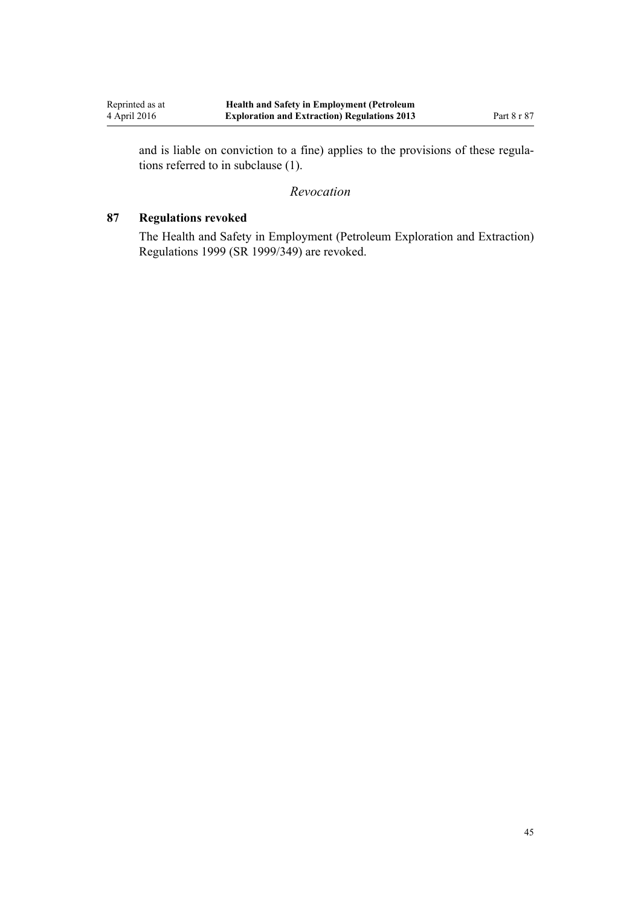<span id="page-44-0"></span>and is liable on conviction to a fine) applies to the provisions of these regulations referred to in subclause (1).

#### *Revocation*

# **87 Regulations revoked**

The [Health and Safety in Employment \(Petroleum Exploration and Extraction\)](http://prd-lgnz-nlb.prd.pco.net.nz/pdflink.aspx?id=DLM298206) [Regulations 1999](http://prd-lgnz-nlb.prd.pco.net.nz/pdflink.aspx?id=DLM298206) (SR 1999/349) are revoked.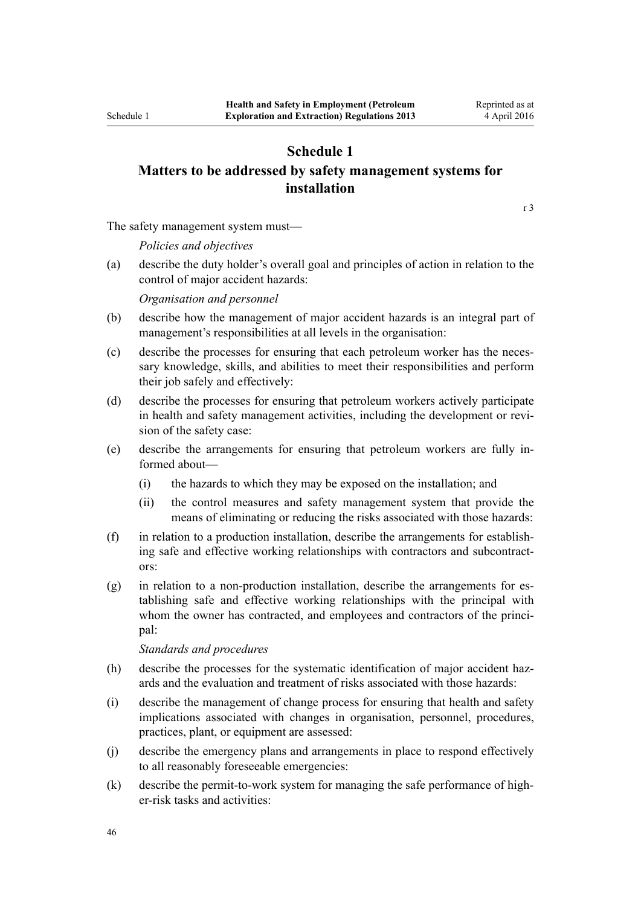# **Schedule 1**

# <span id="page-45-0"></span>**Matters to be addressed by safety management systems for installation**

[r 3](#page-5-0)

The safety management system must—

*Policies and objectives*

(a) describe the duty holder's overall goal and principles of action in relation to the control of major accident hazards:

*Organisation and personnel*

- (b) describe how the management of major accident hazards is an integral part of management's responsibilities at all levels in the organisation:
- (c) describe the processes for ensuring that each petroleum worker has the necessary knowledge, skills, and abilities to meet their responsibilities and perform their job safely and effectively:
- (d) describe the processes for ensuring that petroleum workers actively participate in health and safety management activities, including the development or revision of the safety case:
- (e) describe the arrangements for ensuring that petroleum workers are fully informed about—
	- (i) the hazards to which they may be exposed on the installation; and
	- (ii) the control measures and safety management system that provide the means of eliminating or reducing the risks associated with those hazards:
- (f) in relation to a production installation, describe the arrangements for establishing safe and effective working relationships with contractors and subcontractors:
- (g) in relation to a non-production installation, describe the arrangements for establishing safe and effective working relationships with the principal with whom the owner has contracted, and employees and contractors of the principal:

*Standards and procedures*

- (h) describe the processes for the systematic identification of major accident hazards and the evaluation and treatment of risks associated with those hazards:
- (i) describe the management of change process for ensuring that health and safety implications associated with changes in organisation, personnel, procedures, practices, plant, or equipment are assessed:
- (j) describe the emergency plans and arrangements in place to respond effectively to all reasonably foreseeable emergencies:
- (k) describe the permit-to-work system for managing the safe performance of higher-risk tasks and activities: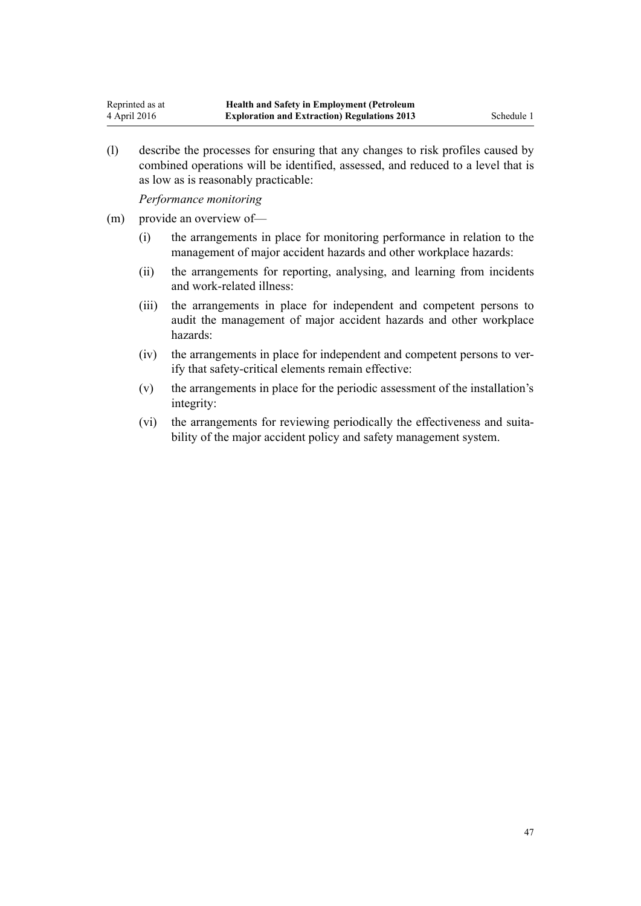(l) describe the processes for ensuring that any changes to risk profiles caused by combined operations will be identified, assessed, and reduced to a level that is as low as is reasonably practicable:

*Performance monitoring*

- (m) provide an overview of—
	- (i) the arrangements in place for monitoring performance in relation to the management of major accident hazards and other workplace hazards:
	- (ii) the arrangements for reporting, analysing, and learning from incidents and work-related illness:
	- (iii) the arrangements in place for independent and competent persons to audit the management of major accident hazards and other workplace hazards:
	- (iv) the arrangements in place for independent and competent persons to verify that safety-critical elements remain effective:
	- (v) the arrangements in place for the periodic assessment of the installation's integrity:
	- (vi) the arrangements for reviewing periodically the effectiveness and suitability of the major accident policy and safety management system.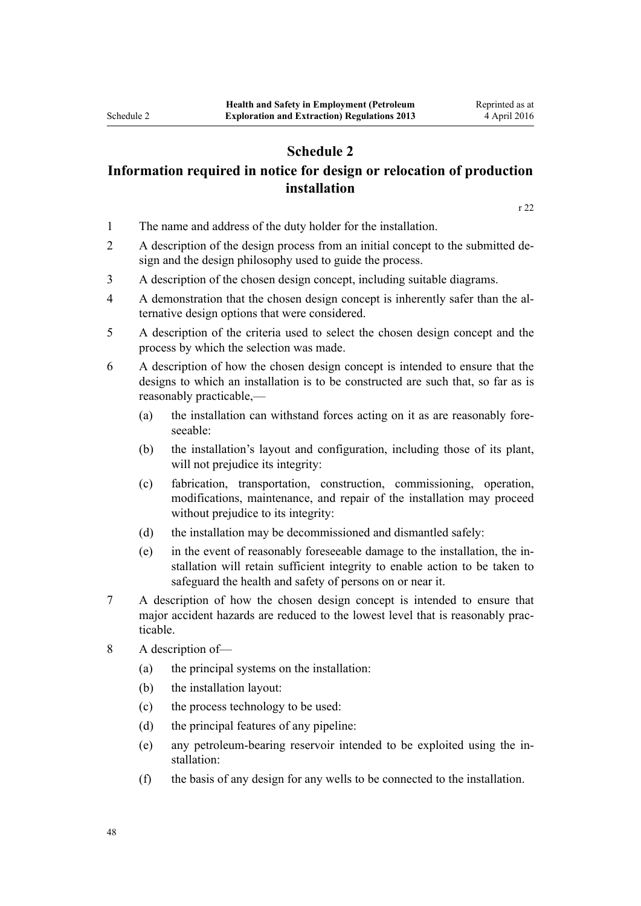# **Schedule 2**

# <span id="page-47-0"></span>**Information required in notice for design or relocation of production installation**

[r 22](#page-15-0)

- 1 The name and address of the duty holder for the installation.
- 2 A description of the design process from an initial concept to the submitted design and the design philosophy used to guide the process.
- 3 A description of the chosen design concept, including suitable diagrams.
- 4 A demonstration that the chosen design concept is inherently safer than the alternative design options that were considered.
- 5 A description of the criteria used to select the chosen design concept and the process by which the selection was made.
- 6 A description of how the chosen design concept is intended to ensure that the designs to which an installation is to be constructed are such that, so far as is reasonably practicable,—
	- (a) the installation can withstand forces acting on it as are reasonably foreseeable:
	- (b) the installation's layout and configuration, including those of its plant, will not prejudice its integrity:
	- (c) fabrication, transportation, construction, commissioning, operation, modifications, maintenance, and repair of the installation may proceed without prejudice to its integrity:
	- (d) the installation may be decommissioned and dismantled safely:
	- (e) in the event of reasonably foreseeable damage to the installation, the installation will retain sufficient integrity to enable action to be taken to safeguard the health and safety of persons on or near it.
- 7 A description of how the chosen design concept is intended to ensure that major accident hazards are reduced to the lowest level that is reasonably practicable.
- 8 A description of—
	- (a) the principal systems on the installation:
	- (b) the installation layout:
	- (c) the process technology to be used:
	- (d) the principal features of any pipeline:
	- (e) any petroleum-bearing reservoir intended to be exploited using the installation:
	- (f) the basis of any design for any wells to be connected to the installation.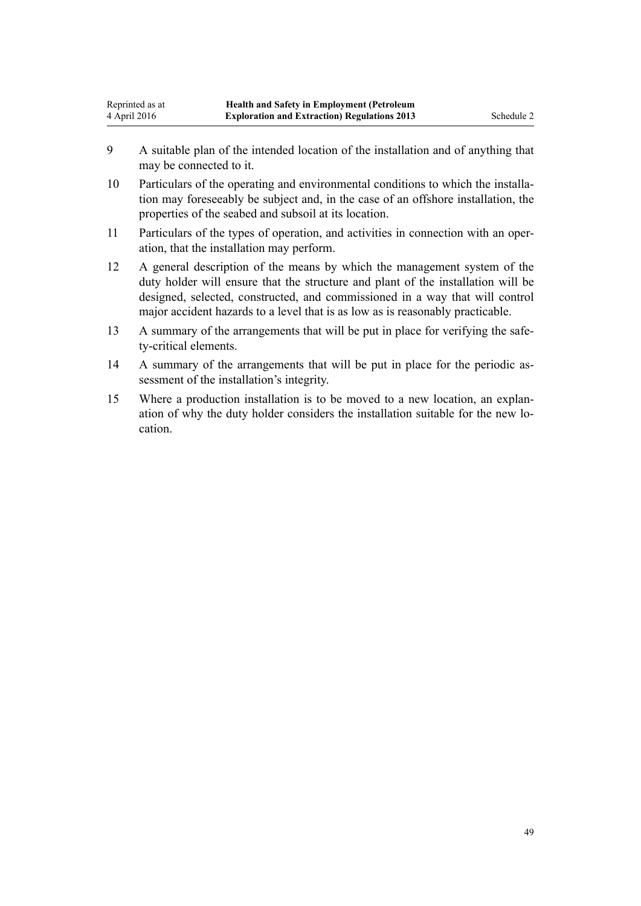- 9 A suitable plan of the intended location of the installation and of anything that may be connected to it.
- 10 Particulars of the operating and environmental conditions to which the installation may foreseeably be subject and, in the case of an offshore installation, the properties of the seabed and subsoil at its location.
- 11 Particulars of the types of operation, and activities in connection with an operation, that the installation may perform.
- 12 A general description of the means by which the management system of the duty holder will ensure that the structure and plant of the installation will be designed, selected, constructed, and commissioned in a way that will control major accident hazards to a level that is as low as is reasonably practicable.
- 13 A summary of the arrangements that will be put in place for verifying the safety-critical elements.
- 14 A summary of the arrangements that will be put in place for the periodic assessment of the installation's integrity.
- 15 Where a production installation is to be moved to a new location, an explanation of why the duty holder considers the installation suitable for the new location.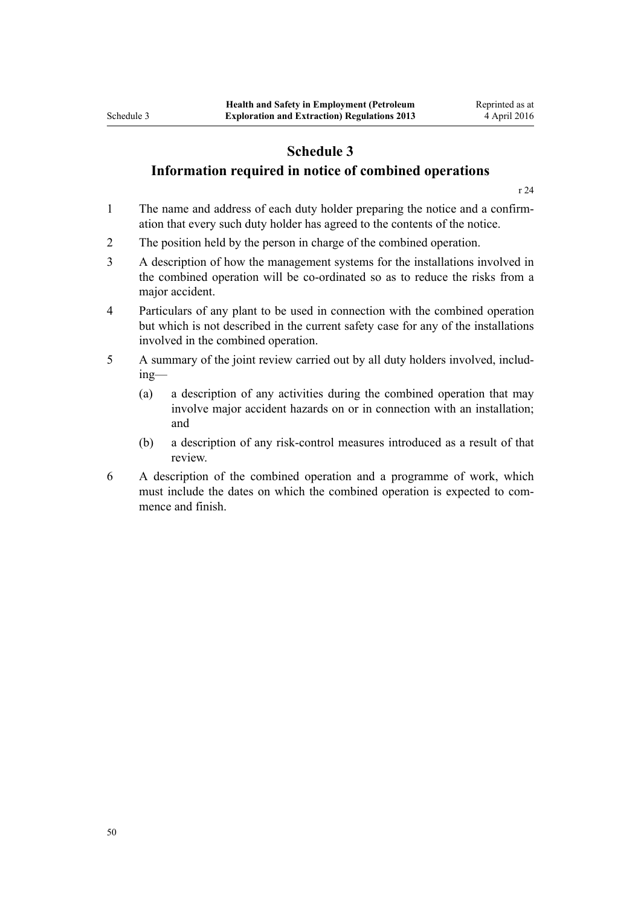# **Schedule 3**

# <span id="page-49-0"></span>**Information required in notice of combined operations**

[r 24](#page-15-0)

- 1 The name and address of each duty holder preparing the notice and a confirmation that every such duty holder has agreed to the contents of the notice.
- 2 The position held by the person in charge of the combined operation.
- 3 A description of how the management systems for the installations involved in the combined operation will be co-ordinated so as to reduce the risks from a major accident.
- 4 Particulars of any plant to be used in connection with the combined operation but which is not described in the current safety case for any of the installations involved in the combined operation.
- 5 A summary of the joint review carried out by all duty holders involved, including—
	- (a) a description of any activities during the combined operation that may involve major accident hazards on or in connection with an installation; and
	- (b) a description of any risk-control measures introduced as a result of that review.
- 6 A description of the combined operation and a programme of work, which must include the dates on which the combined operation is expected to commence and finish.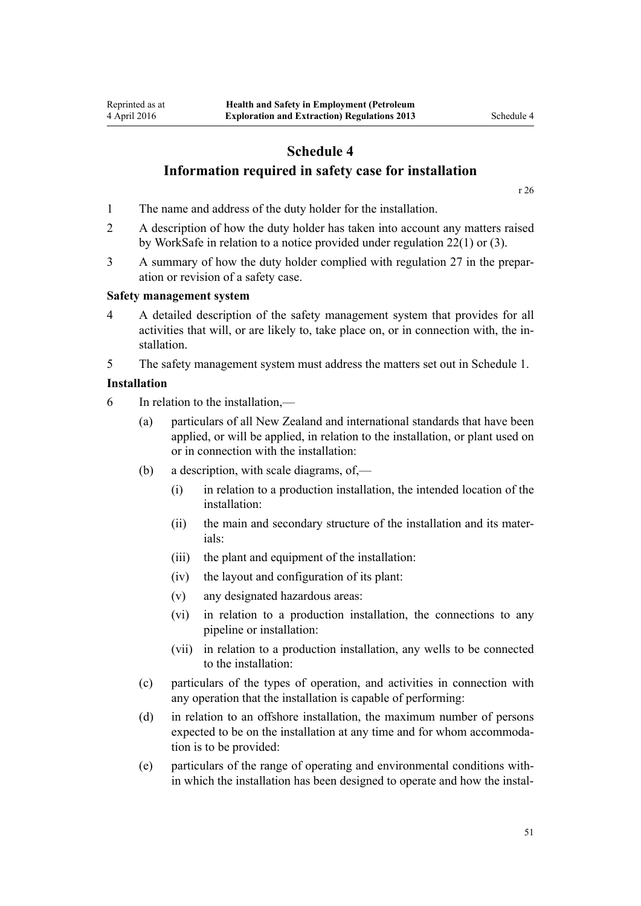# <span id="page-50-0"></span>**Schedule 4 Information required in safety case for installation**

[r 26](#page-16-0)

- 1 The name and address of the duty holder for the installation.
- 2 A description of how the duty holder has taken into account any matters raised by WorkSafe in relation to a notice provided under [regulation 22\(1\) or \(3\).](#page-15-0)
- 3 A summary of how the duty holder complied with [regulation 27](#page-17-0) in the preparation or revision of a safety case.

#### **Safety management system**

4 A detailed description of the safety management system that provides for all activities that will, or are likely to, take place on, or in connection with, the installation.

5 The safety management system must address the matters set out in [Schedule 1.](#page-45-0)

#### **Installation**

- 6 In relation to the installation,—
	- (a) particulars of all New Zealand and international standards that have been applied, or will be applied, in relation to the installation, or plant used on or in connection with the installation:
	- (b) a description, with scale diagrams, of,—
		- (i) in relation to a production installation, the intended location of the installation:
		- (ii) the main and secondary structure of the installation and its materials:
		- (iii) the plant and equipment of the installation:
		- (iv) the layout and configuration of its plant:
		- (v) any designated hazardous areas:
		- (vi) in relation to a production installation, the connections to any pipeline or installation:
		- (vii) in relation to a production installation, any wells to be connected to the installation:
	- (c) particulars of the types of operation, and activities in connection with any operation that the installation is capable of performing:
	- (d) in relation to an offshore installation, the maximum number of persons expected to be on the installation at any time and for whom accommodation is to be provided:
	- (e) particulars of the range of operating and environmental conditions within which the installation has been designed to operate and how the instal-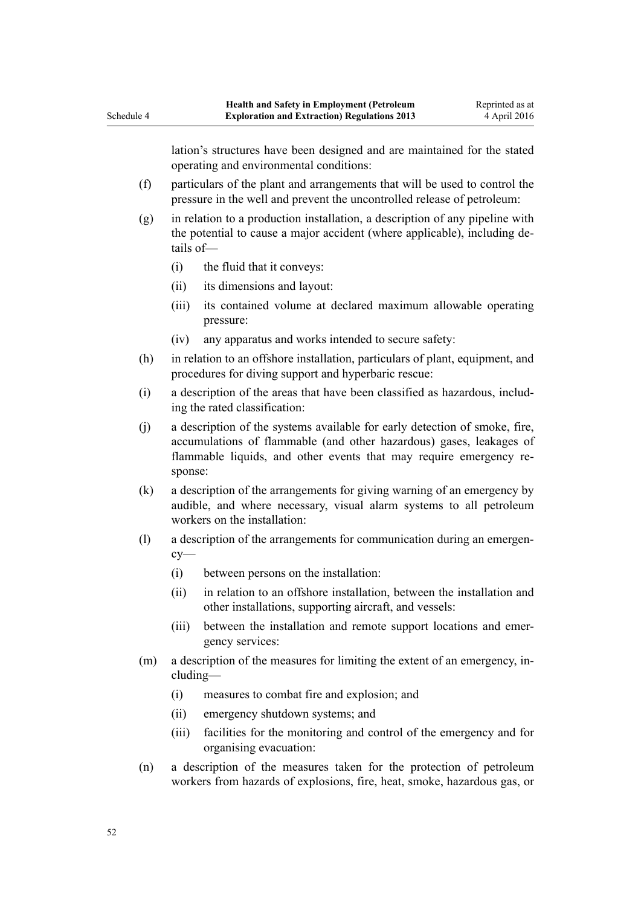lation's structures have been designed and are maintained for the stated operating and environmental conditions:

- (f) particulars of the plant and arrangements that will be used to control the pressure in the well and prevent the uncontrolled release of petroleum:
- (g) in relation to a production installation, a description of any pipeline with the potential to cause a major accident (where applicable), including details of—
	- (i) the fluid that it conveys:

Schedule 4

- (ii) its dimensions and layout:
- (iii) its contained volume at declared maximum allowable operating pressure:
- (iv) any apparatus and works intended to secure safety:
- (h) in relation to an offshore installation, particulars of plant, equipment, and procedures for diving support and hyperbaric rescue:
- (i) a description of the areas that have been classified as hazardous, including the rated classification:
- (j) a description of the systems available for early detection of smoke, fire, accumulations of flammable (and other hazardous) gases, leakages of flammable liquids, and other events that may require emergency response:
- (k) a description of the arrangements for giving warning of an emergency by audible, and where necessary, visual alarm systems to all petroleum workers on the installation:
- (l) a description of the arrangements for communication during an emergency—
	- (i) between persons on the installation:
	- (ii) in relation to an offshore installation, between the installation and other installations, supporting aircraft, and vessels:
	- (iii) between the installation and remote support locations and emergency services:
- (m) a description of the measures for limiting the extent of an emergency, including—
	- (i) measures to combat fire and explosion; and
	- (ii) emergency shutdown systems; and
	- (iii) facilities for the monitoring and control of the emergency and for organising evacuation:
- (n) a description of the measures taken for the protection of petroleum workers from hazards of explosions, fire, heat, smoke, hazardous gas, or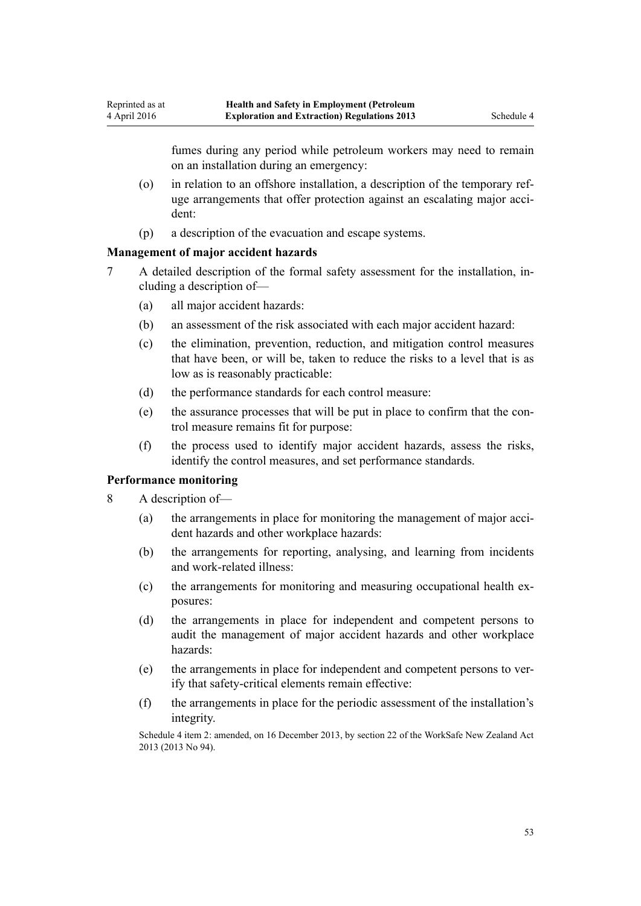fumes during any period while petroleum workers may need to remain on an installation during an emergency:

- (o) in relation to an offshore installation, a description of the temporary refuge arrangements that offer protection against an escalating major accident:
- (p) a description of the evacuation and escape systems.

#### **Management of major accident hazards**

- 7 A detailed description of the formal safety assessment for the installation, including a description of—
	- (a) all major accident hazards:
	- (b) an assessment of the risk associated with each major accident hazard:
	- (c) the elimination, prevention, reduction, and mitigation control measures that have been, or will be, taken to reduce the risks to a level that is as low as is reasonably practicable:
	- (d) the performance standards for each control measure:
	- (e) the assurance processes that will be put in place to confirm that the control measure remains fit for purpose:
	- (f) the process used to identify major accident hazards, assess the risks, identify the control measures, and set performance standards.

#### **Performance monitoring**

- 8 A description of—
	- (a) the arrangements in place for monitoring the management of major accident hazards and other workplace hazards:
	- (b) the arrangements for reporting, analysing, and learning from incidents and work-related illness:
	- (c) the arrangements for monitoring and measuring occupational health exposures:
	- (d) the arrangements in place for independent and competent persons to audit the management of major accident hazards and other workplace hazards:
	- (e) the arrangements in place for independent and competent persons to verify that safety-critical elements remain effective:
	- (f) the arrangements in place for the periodic assessment of the installation's integrity.

Schedule 4 item 2: amended, on 16 December 2013, by [section 22](http://prd-lgnz-nlb.prd.pco.net.nz/pdflink.aspx?id=DLM5302071) of the WorkSafe New Zealand Act 2013 (2013 No 94).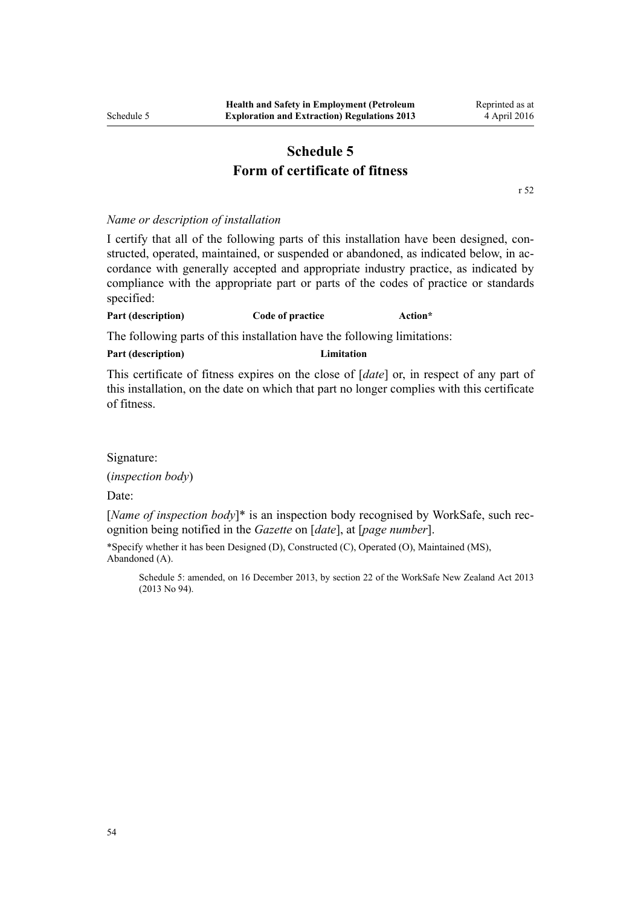# **Schedule 5 Form of certificate of fitness**

[r 52](#page-28-0)

Reprinted as at 4 April 2016

#### <span id="page-53-0"></span>*Name or description of installation*

I certify that all of the following parts of this installation have been designed, constructed, operated, maintained, or suspended or abandoned, as indicated below, in accordance with generally accepted and appropriate industry practice, as indicated by compliance with the appropriate part or parts of the codes of practice or standards specified:

#### **Part (description) Code of practice Action\***

The following parts of this installation have the following limitations:

#### **Part (description) Limitation**

This certificate of fitness expires on the close of [*date*] or, in respect of any part of this installation, on the date on which that part no longer complies with this certificate of fitness.

#### Signature:

(*inspection body*)

Date:

[*Name of inspection body*]\* is an inspection body recognised by WorkSafe, such recognition being notified in the *Gazette* on [*date*], at [*page number*].

\*Specify whether it has been Designed (D), Constructed (C), Operated (O), Maintained (MS), Abandoned (A).

Schedule 5: amended, on 16 December 2013, by [section 22](http://prd-lgnz-nlb.prd.pco.net.nz/pdflink.aspx?id=DLM5302071) of the WorkSafe New Zealand Act 2013 (2013 No 94).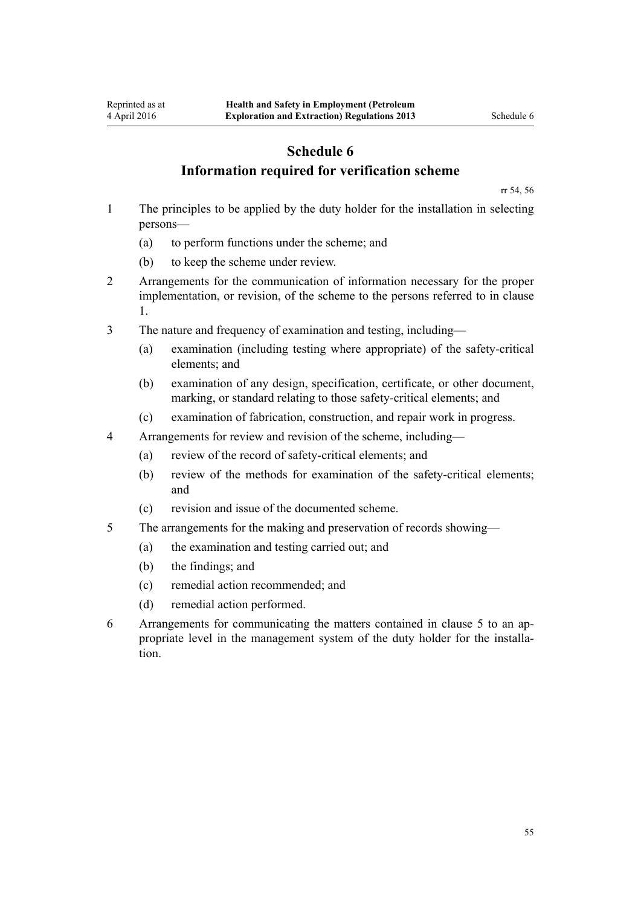# **Schedule 6 Information required for verification scheme**

[rr 54,](#page-29-0) [56](#page-30-0)

- <span id="page-54-0"></span>1 The principles to be applied by the duty holder for the installation in selecting persons—
	- (a) to perform functions under the scheme; and
	- (b) to keep the scheme under review.
- 2 Arrangements for the communication of information necessary for the proper implementation, or revision, of the scheme to the persons referred to in clause 1.
- 3 The nature and frequency of examination and testing, including—
	- (a) examination (including testing where appropriate) of the safety-critical elements; and
	- (b) examination of any design, specification, certificate, or other document, marking, or standard relating to those safety-critical elements; and
	- (c) examination of fabrication, construction, and repair work in progress.
- 4 Arrangements for review and revision of the scheme, including—
	- (a) review of the record of safety-critical elements; and
	- (b) review of the methods for examination of the safety-critical elements; and
	- (c) revision and issue of the documented scheme.
- 5 The arrangements for the making and preservation of records showing—
	- (a) the examination and testing carried out; and
	- (b) the findings; and
	- (c) remedial action recommended; and
	- (d) remedial action performed.
- 6 Arrangements for communicating the matters contained in clause 5 to an appropriate level in the management system of the duty holder for the installation.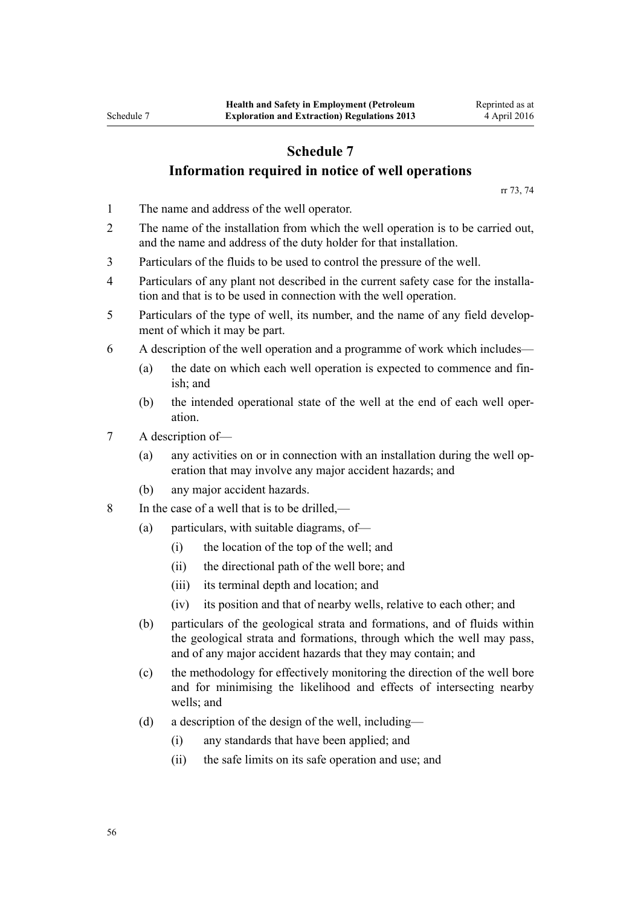# <span id="page-55-0"></span>**Schedule 7 Information required in notice of well operations**

[rr 73, 74](#page-36-0)

- 1 The name and address of the well operator.
- 2 The name of the installation from which the well operation is to be carried out, and the name and address of the duty holder for that installation.
- 3 Particulars of the fluids to be used to control the pressure of the well.
- 4 Particulars of any plant not described in the current safety case for the installation and that is to be used in connection with the well operation.
- 5 Particulars of the type of well, its number, and the name of any field development of which it may be part.
- 6 A description of the well operation and a programme of work which includes—
	- (a) the date on which each well operation is expected to commence and finish; and
	- (b) the intended operational state of the well at the end of each well operation.
- 7 A description of—
	- (a) any activities on or in connection with an installation during the well operation that may involve any major accident hazards; and
	- (b) any major accident hazards.
- 8 In the case of a well that is to be drilled,—
	- (a) particulars, with suitable diagrams, of—
		- (i) the location of the top of the well; and
		- (ii) the directional path of the well bore; and
		- (iii) its terminal depth and location; and
		- (iv) its position and that of nearby wells, relative to each other; and
	- (b) particulars of the geological strata and formations, and of fluids within the geological strata and formations, through which the well may pass, and of any major accident hazards that they may contain; and
	- (c) the methodology for effectively monitoring the direction of the well bore and for minimising the likelihood and effects of intersecting nearby wells; and
	- (d) a description of the design of the well, including—
		- (i) any standards that have been applied; and
		- (ii) the safe limits on its safe operation and use; and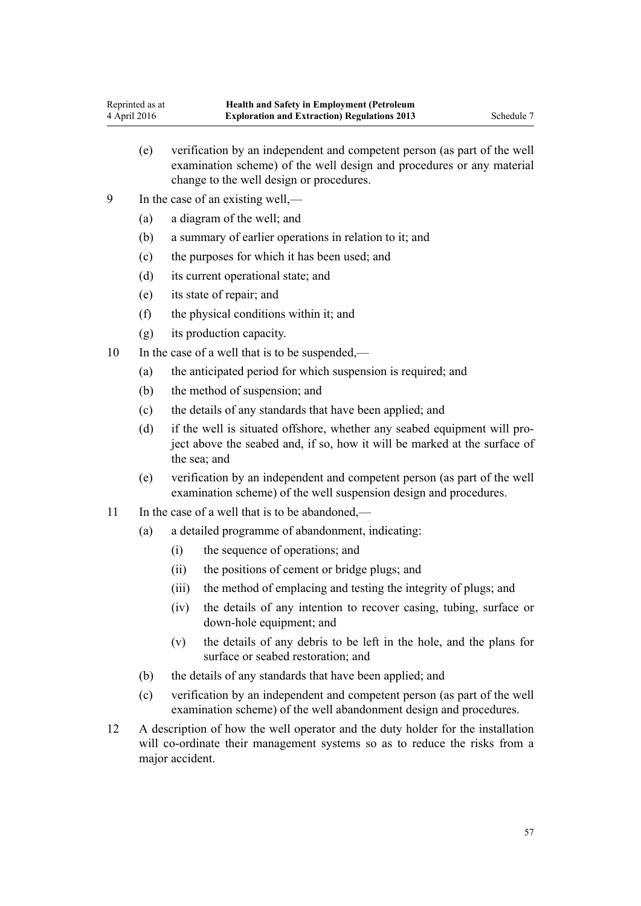- (e) verification by an independent and competent person (as part of the well examination scheme) of the well design and procedures or any material change to the well design or procedures.
- 9 In the case of an existing well,—
	- (a) a diagram of the well; and
	- (b) a summary of earlier operations in relation to it; and
	- (c) the purposes for which it has been used; and
	- (d) its current operational state; and
	- (e) its state of repair; and
	- (f) the physical conditions within it; and
	- (g) its production capacity.
- 10 In the case of a well that is to be suspended,—
	- (a) the anticipated period for which suspension is required; and
	- (b) the method of suspension; and
	- (c) the details of any standards that have been applied; and
	- (d) if the well is situated offshore, whether any seabed equipment will project above the seabed and, if so, how it will be marked at the surface of the sea; and
	- (e) verification by an independent and competent person (as part of the well examination scheme) of the well suspension design and procedures.
- 11 In the case of a well that is to be abandoned,—
	- (a) a detailed programme of abandonment, indicating:
		- (i) the sequence of operations; and
		- (ii) the positions of cement or bridge plugs; and
		- (iii) the method of emplacing and testing the integrity of plugs; and
		- (iv) the details of any intention to recover casing, tubing, surface or down-hole equipment; and
		- (v) the details of any debris to be left in the hole, and the plans for surface or seabed restoration; and
	- (b) the details of any standards that have been applied; and
	- (c) verification by an independent and competent person (as part of the well examination scheme) of the well abandonment design and procedures.
- 12 A description of how the well operator and the duty holder for the installation will co-ordinate their management systems so as to reduce the risks from a major accident.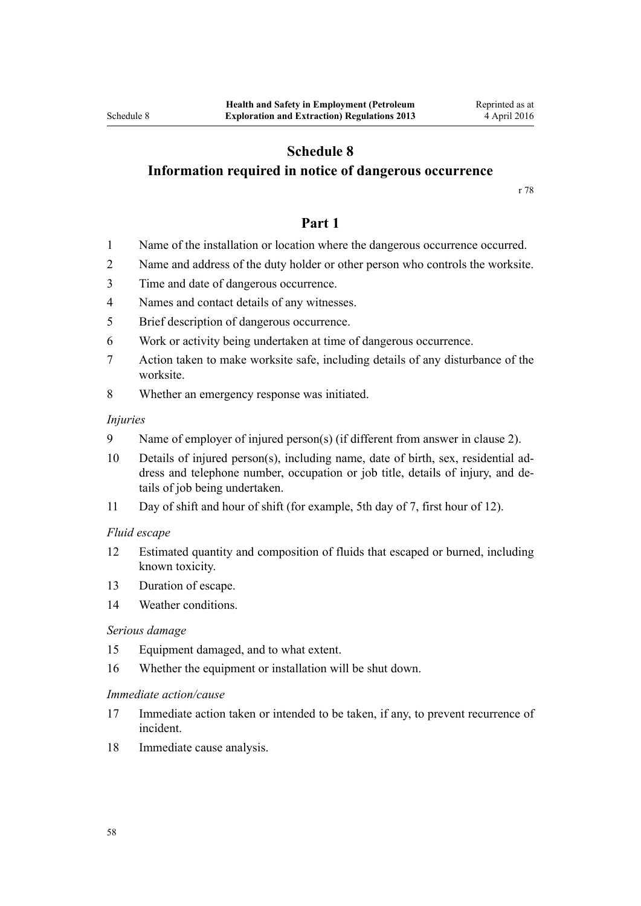# **Schedule 8**

# <span id="page-57-0"></span>**Information required in notice of dangerous occurrence**

[r 78](#page-38-0)

### **Part 1**

- 1 Name of the installation or location where the dangerous occurrence occurred.
- 2 Name and address of the duty holder or other person who controls the worksite.
- 3 Time and date of dangerous occurrence.
- 4 Names and contact details of any witnesses.
- 5 Brief description of dangerous occurrence.
- 6 Work or activity being undertaken at time of dangerous occurrence.
- 7 Action taken to make worksite safe, including details of any disturbance of the worksite.
- 8 Whether an emergency response was initiated.

#### *Injuries*

- 9 Name of employer of injured person(s) (if different from answer in clause 2).
- 10 Details of injured person(s), including name, date of birth, sex, residential address and telephone number, occupation or job title, details of injury, and details of job being undertaken.
- 11 Day of shift and hour of shift (for example, 5th day of 7, first hour of 12).

#### *Fluid escape*

- 12 Estimated quantity and composition of fluids that escaped or burned, including known toxicity.
- 13 Duration of escape.
- 14 Weather conditions.

#### *Serious damage*

- 15 Equipment damaged, and to what extent.
- 16 Whether the equipment or installation will be shut down.

#### *Immediate action/cause*

- 17 Immediate action taken or intended to be taken, if any, to prevent recurrence of incident.
- 18 Immediate cause analysis.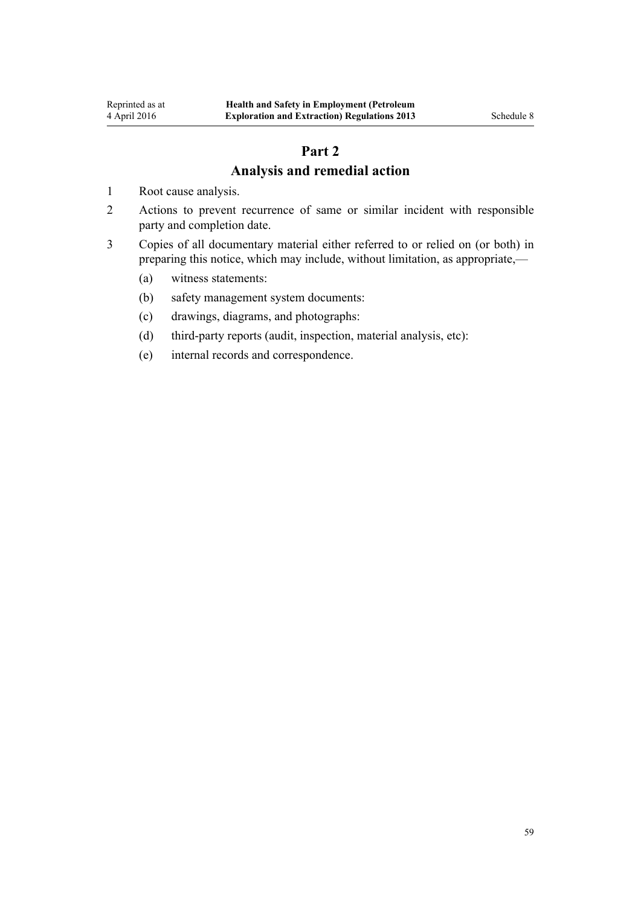# **Part 2 Analysis and remedial action**

- <span id="page-58-0"></span>1 Root cause analysis.
- 2 Actions to prevent recurrence of same or similar incident with responsible party and completion date.
- 3 Copies of all documentary material either referred to or relied on (or both) in preparing this notice, which may include, without limitation, as appropriate,—
	- (a) witness statements:
	- (b) safety management system documents:
	- (c) drawings, diagrams, and photographs:
	- (d) third-party reports (audit, inspection, material analysis, etc):
	- (e) internal records and correspondence.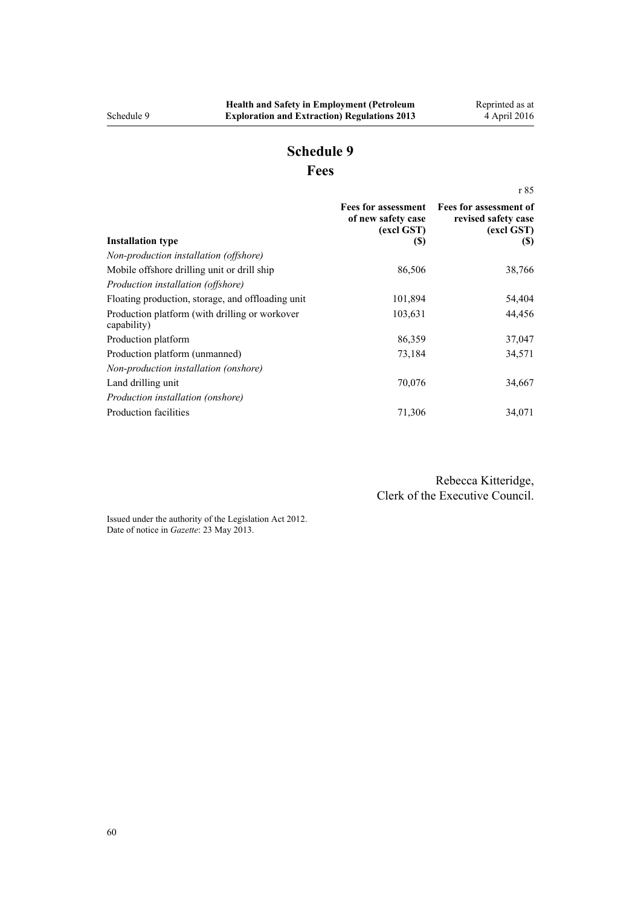# **Schedule 9 Fees**

<span id="page-59-0"></span>[r 85](#page-43-0) **Installation type Fees for assessment of new safety case (excl GST) (\$) Fees for assessment of revised safety case (excl GST) (\$)** *Non-production installation (offshore)* Mobile offshore drilling unit or drill ship 86,506 38,766 38,766 *Production installation (offshore)* Floating production, storage, and offloading unit 101,894 54,404 Production platform (with drilling or workover capability) 103,631 44,456 Production platform 37,047 Production platform (unmanned) 73,184 34,571 *Non-production installation (onshore)* Land drilling unit 24,667 *Production installation (onshore)* Production facilities  $71,306$   $34,071$ 

> Rebecca Kitteridge, Clerk of the Executive Council.

Issued under the authority of the [Legislation Act 2012](http://prd-lgnz-nlb.prd.pco.net.nz/pdflink.aspx?id=DLM2997643). Date of notice in *Gazette*: 23 May 2013.